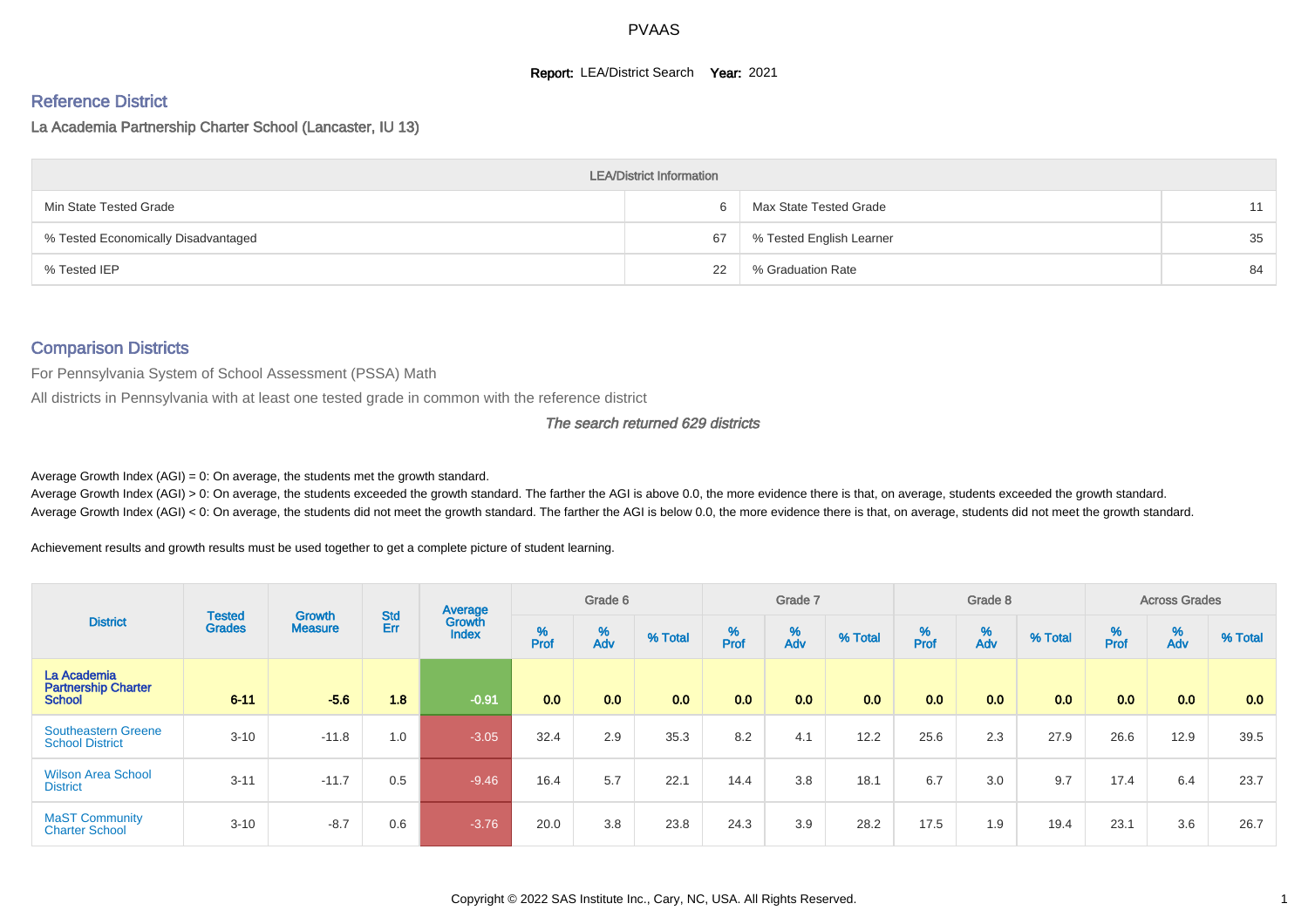#### **Report: LEA/District Search Year: 2021**

# Reference District

La Academia Partnership Charter School (Lancaster, IU 13)

| <b>LEA/District Information</b>     |    |                          |    |  |  |  |  |  |  |  |  |  |  |
|-------------------------------------|----|--------------------------|----|--|--|--|--|--|--|--|--|--|--|
| Min State Tested Grade              |    | Max State Tested Grade   | 11 |  |  |  |  |  |  |  |  |  |  |
| % Tested Economically Disadvantaged | 67 | % Tested English Learner | 35 |  |  |  |  |  |  |  |  |  |  |
| % Tested IEP                        | 22 | % Graduation Rate        | 84 |  |  |  |  |  |  |  |  |  |  |

#### Comparison Districts

For Pennsylvania System of School Assessment (PSSA) Math

All districts in Pennsylvania with at least one tested grade in common with the reference district

The search returned 629 districts

Average Growth Index  $(AGI) = 0$ : On average, the students met the growth standard.

Average Growth Index (AGI) > 0: On average, the students exceeded the growth standard. The farther the AGI is above 0.0, the more evidence there is that, on average, students exceeded the growth standard. Average Growth Index (AGI) < 0: On average, the students did not meet the growth standard. The farther the AGI is below 0.0, the more evidence there is that, on average, students did not meet the growth standard.

Achievement results and growth results must be used together to get a complete picture of student learning.

| <b>District</b>                                            |                                |                                 |                   | Average                |           | Grade 6  |         |          | Grade 7  |         |          | Grade 8  |         |                          | <b>Across Grades</b> |         |
|------------------------------------------------------------|--------------------------------|---------------------------------|-------------------|------------------------|-----------|----------|---------|----------|----------|---------|----------|----------|---------|--------------------------|----------------------|---------|
|                                                            | <b>Tested</b><br><b>Grades</b> | <b>Growth</b><br><b>Measure</b> | <b>Std</b><br>Err | Growth<br><b>Index</b> | %<br>Prof | %<br>Adv | % Total | $%$ Prof | %<br>Adv | % Total | $%$ Prof | %<br>Adv | % Total | $\frac{\%}{\text{Prof}}$ | %<br>Adv             | % Total |
| La Academia<br><b>Partnership Charter</b><br><b>School</b> | $6 - 11$                       | $-5.6$                          | 1.8               | $-0.91$                | 0.0       | 0.0      | 0.0     | 0.0      | 0.0      | 0.0     | 0.0      | 0.0      | 0.0     | 0.0                      | 0.0                  | 0.0     |
| <b>Southeastern Greene</b><br><b>School District</b>       | $3 - 10$                       | $-11.8$                         | 1.0               | $-3.05$                | 32.4      | 2.9      | 35.3    | 8.2      | 4.1      | 12.2    | 25.6     | 2.3      | 27.9    | 26.6                     | 12.9                 | 39.5    |
| <b>Wilson Area School</b><br><b>District</b>               | $3 - 11$                       | $-11.7$                         | 0.5               | $-9.46$                | 16.4      | 5.7      | 22.1    | 14.4     | 3.8      | 18.1    | 6.7      | 3.0      | 9.7     | 17.4                     | 6.4                  | 23.7    |
| <b>MaST Community</b><br><b>Charter School</b>             | $3 - 10$                       | $-8.7$                          | 0.6               | $-3.76$                | 20.0      | 3.8      | 23.8    | 24.3     | 3.9      | 28.2    | 17.5     | 1.9      | 19.4    | 23.1                     | 3.6                  | 26.7    |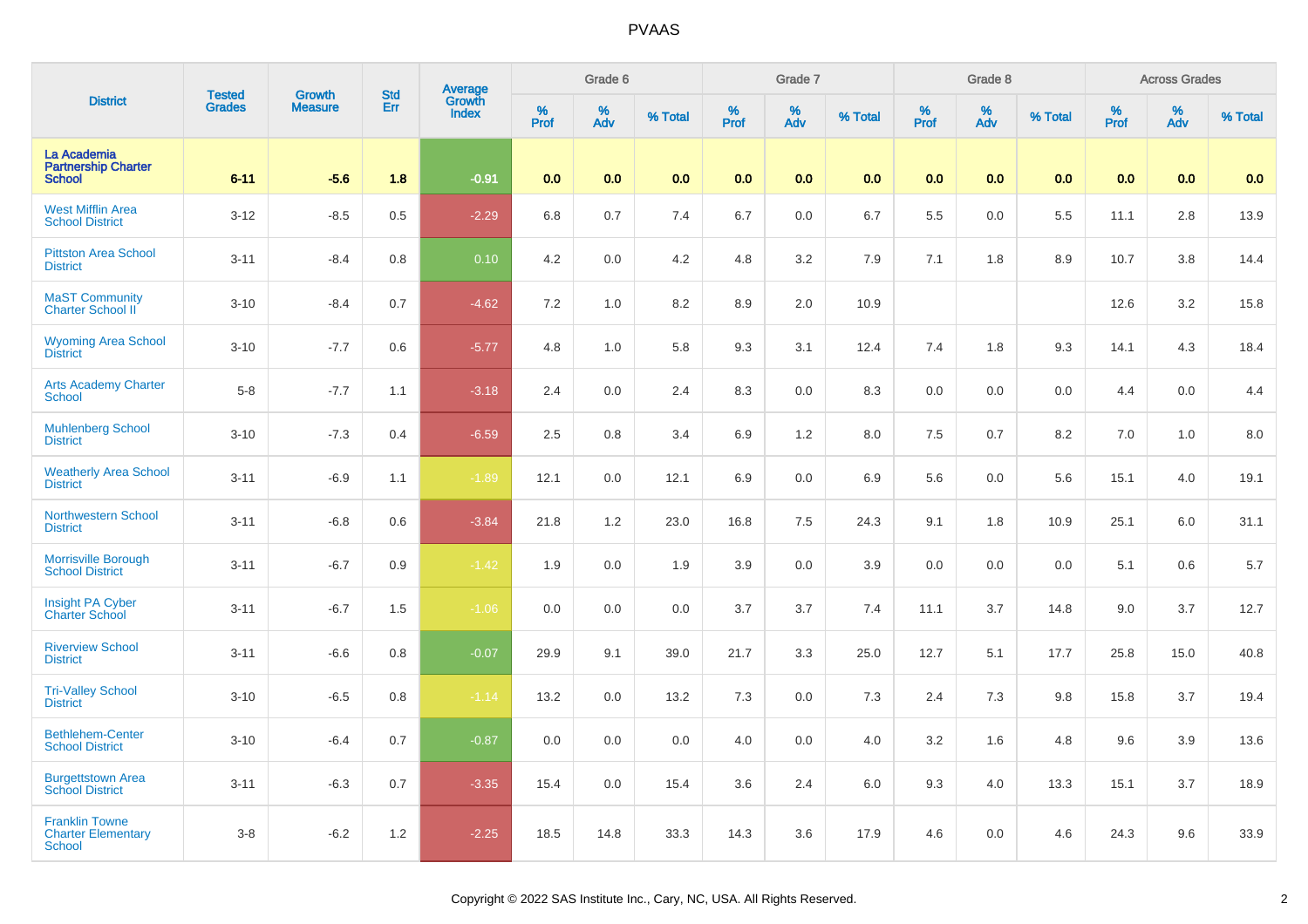| <b>District</b>                                              | <b>Tested</b> | <b>Growth</b>  | <b>Std</b> | Average<br>Growth |          | Grade 6  |         |                          | Grade 7  |         |          | Grade 8         |         |          | <b>Across Grades</b> |         |
|--------------------------------------------------------------|---------------|----------------|------------|-------------------|----------|----------|---------|--------------------------|----------|---------|----------|-----------------|---------|----------|----------------------|---------|
|                                                              | <b>Grades</b> | <b>Measure</b> | Err        | <b>Index</b>      | $%$ Prof | %<br>Adv | % Total | $\frac{\%}{\text{Prof}}$ | %<br>Adv | % Total | $%$ Prof | $\frac{\%}{\%}$ | % Total | $%$ Prof | %<br>Adv             | % Total |
| La Academia<br><b>Partnership Charter</b><br><b>School</b>   | $6 - 11$      | $-5.6$         | 1.8        | $-0.91$           | 0.0      | 0.0      | 0.0     | 0.0                      | 0.0      | 0.0     | 0.0      | 0.0             | 0.0     | 0.0      | 0.0                  | 0.0     |
| <b>West Mifflin Area</b><br><b>School District</b>           | $3 - 12$      | $-8.5$         | 0.5        | $-2.29$           | 6.8      | 0.7      | 7.4     | 6.7                      | 0.0      | 6.7     | 5.5      | 0.0             | 5.5     | 11.1     | 2.8                  | 13.9    |
| <b>Pittston Area School</b><br><b>District</b>               | $3 - 11$      | $-8.4$         | 0.8        | 0.10              | 4.2      | 0.0      | 4.2     | 4.8                      | 3.2      | 7.9     | 7.1      | 1.8             | 8.9     | 10.7     | 3.8                  | 14.4    |
| <b>MaST Community</b><br>Charter School II                   | $3 - 10$      | $-8.4$         | 0.7        | $-4.62$           | 7.2      | 1.0      | 8.2     | 8.9                      | 2.0      | 10.9    |          |                 |         | 12.6     | 3.2                  | 15.8    |
| <b>Wyoming Area School</b><br><b>District</b>                | $3 - 10$      | $-7.7$         | 0.6        | $-5.77$           | 4.8      | 1.0      | 5.8     | 9.3                      | 3.1      | 12.4    | 7.4      | 1.8             | 9.3     | 14.1     | 4.3                  | 18.4    |
| <b>Arts Academy Charter</b><br>School                        | $5 - 8$       | $-7.7$         | 1.1        | $-3.18$           | 2.4      | 0.0      | 2.4     | 8.3                      | $0.0\,$  | 8.3     | 0.0      | 0.0             | 0.0     | 4.4      | 0.0                  | 4.4     |
| <b>Muhlenberg School</b><br><b>District</b>                  | $3 - 10$      | $-7.3$         | 0.4        | $-6.59$           | 2.5      | 0.8      | 3.4     | 6.9                      | 1.2      | 8.0     | $7.5\,$  | 0.7             | 8.2     | $7.0\,$  | 1.0                  | 8.0     |
| <b>Weatherly Area School</b><br><b>District</b>              | $3 - 11$      | $-6.9$         | 1.1        | $-1.89$           | 12.1     | 0.0      | 12.1    | 6.9                      | 0.0      | 6.9     | 5.6      | 0.0             | 5.6     | 15.1     | 4.0                  | 19.1    |
| <b>Northwestern School</b><br><b>District</b>                | $3 - 11$      | $-6.8$         | 0.6        | $-3.84$           | 21.8     | 1.2      | 23.0    | 16.8                     | $7.5\,$  | 24.3    | 9.1      | 1.8             | 10.9    | 25.1     | 6.0                  | 31.1    |
| Morrisville Borough<br><b>School District</b>                | $3 - 11$      | $-6.7$         | 0.9        | $-1.42$           | 1.9      | 0.0      | 1.9     | 3.9                      | 0.0      | 3.9     | 0.0      | 0.0             | 0.0     | 5.1      | 0.6                  | 5.7     |
| Insight PA Cyber<br><b>Charter School</b>                    | $3 - 11$      | $-6.7$         | 1.5        | $-1.06$           | 0.0      | 0.0      | 0.0     | 3.7                      | 3.7      | 7.4     | 11.1     | 3.7             | 14.8    | 9.0      | 3.7                  | 12.7    |
| <b>Riverview School</b><br><b>District</b>                   | $3 - 11$      | $-6.6$         | 0.8        | $-0.07$           | 29.9     | 9.1      | 39.0    | 21.7                     | 3.3      | 25.0    | 12.7     | 5.1             | 17.7    | 25.8     | 15.0                 | 40.8    |
| <b>Tri-Valley School</b><br><b>District</b>                  | $3 - 10$      | $-6.5$         | 0.8        | $-1.14$           | 13.2     | 0.0      | 13.2    | 7.3                      | 0.0      | 7.3     | 2.4      | 7.3             | 9.8     | 15.8     | 3.7                  | 19.4    |
| <b>Bethlehem-Center</b><br><b>School District</b>            | $3 - 10$      | $-6.4$         | 0.7        | $-0.87$           | 0.0      | 0.0      | 0.0     | 4.0                      | 0.0      | 4.0     | 3.2      | 1.6             | 4.8     | 9.6      | 3.9                  | 13.6    |
| <b>Burgettstown Area</b><br>School District                  | $3 - 11$      | $-6.3$         | 0.7        | $-3.35$           | 15.4     | 0.0      | 15.4    | 3.6                      | 2.4      | 6.0     | 9.3      | 4.0             | 13.3    | 15.1     | 3.7                  | 18.9    |
| <b>Franklin Towne</b><br><b>Charter Elementary</b><br>School | $3 - 8$       | $-6.2$         | 1.2        | $-2.25$           | 18.5     | 14.8     | 33.3    | 14.3                     | 3.6      | 17.9    | 4.6      | 0.0             | 4.6     | 24.3     | 9.6                  | 33.9    |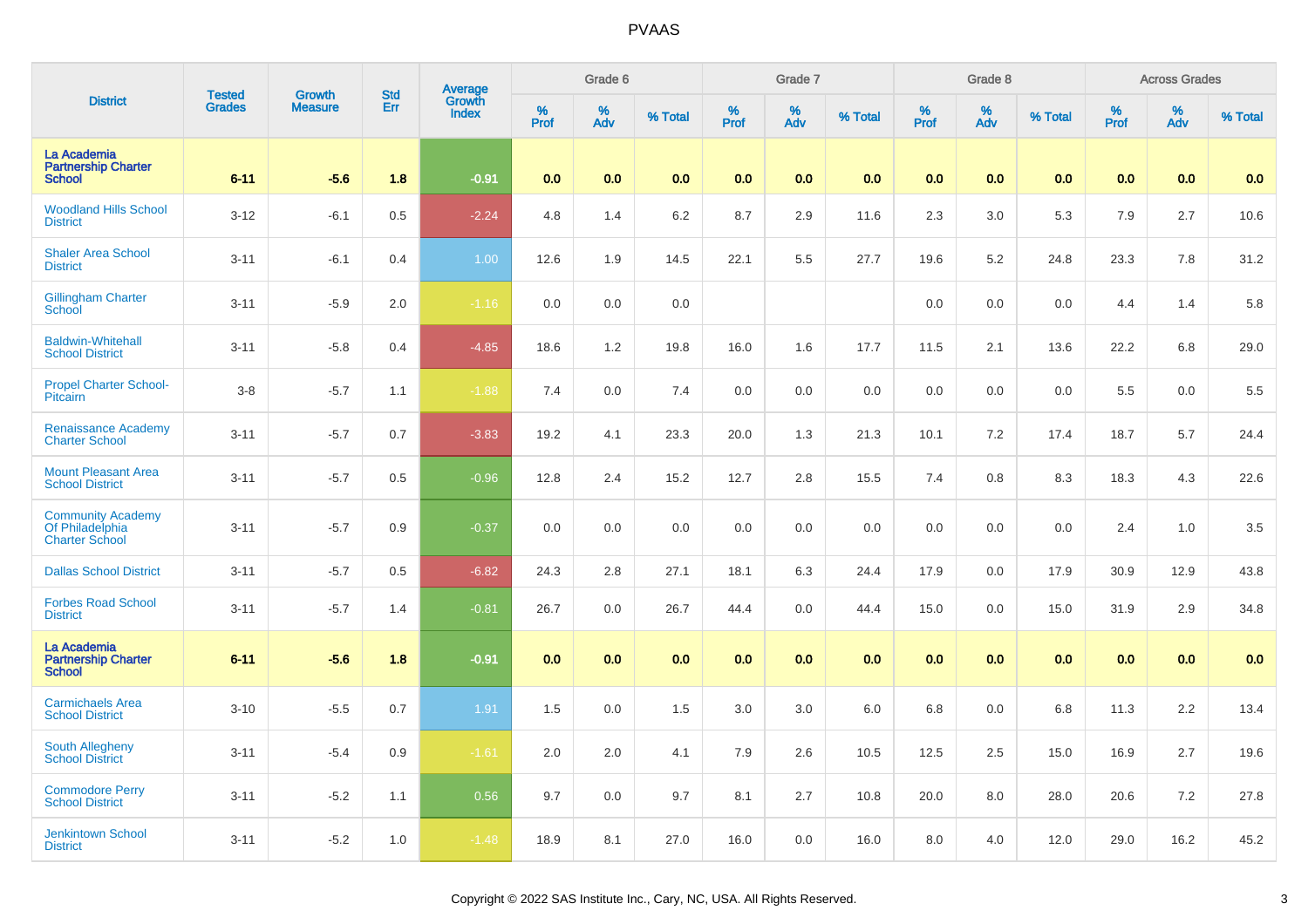| <b>District</b>                                                      | <b>Tested</b> | <b>Growth</b>  | <b>Std</b> | <b>Average</b><br>Growth |          | Grade 6  |         |           | Grade 7  |         |           | Grade 8  |         |           | <b>Across Grades</b> |         |
|----------------------------------------------------------------------|---------------|----------------|------------|--------------------------|----------|----------|---------|-----------|----------|---------|-----------|----------|---------|-----------|----------------------|---------|
|                                                                      | <b>Grades</b> | <b>Measure</b> | Err        | <b>Index</b>             | $%$ Prof | %<br>Adv | % Total | %<br>Prof | %<br>Adv | % Total | %<br>Prof | %<br>Adv | % Total | %<br>Prof | %<br>Adv             | % Total |
| La Academia<br><b>Partnership Charter</b><br><b>School</b>           | $6 - 11$      | $-5.6$         | 1.8        | $-0.91$                  | 0.0      | 0.0      | 0.0     | 0.0       | 0.0      | 0.0     | 0.0       | 0.0      | 0.0     | 0.0       | 0.0                  | 0.0     |
| <b>Woodland Hills School</b><br><b>District</b>                      | $3 - 12$      | $-6.1$         | 0.5        | $-2.24$                  | 4.8      | 1.4      | 6.2     | 8.7       | 2.9      | 11.6    | 2.3       | 3.0      | 5.3     | 7.9       | 2.7                  | 10.6    |
| <b>Shaler Area School</b><br><b>District</b>                         | $3 - 11$      | $-6.1$         | 0.4        | 1.00                     | 12.6     | 1.9      | 14.5    | 22.1      | 5.5      | 27.7    | 19.6      | 5.2      | 24.8    | 23.3      | 7.8                  | 31.2    |
| <b>Gillingham Charter</b><br>School                                  | $3 - 11$      | $-5.9$         | 2.0        | $-1.16$                  | 0.0      | 0.0      | 0.0     |           |          |         | 0.0       | 0.0      | 0.0     | 4.4       | 1.4                  | 5.8     |
| <b>Baldwin-Whitehall</b><br><b>School District</b>                   | $3 - 11$      | $-5.8$         | 0.4        | $-4.85$                  | 18.6     | 1.2      | 19.8    | 16.0      | 1.6      | 17.7    | 11.5      | 2.1      | 13.6    | 22.2      | 6.8                  | 29.0    |
| <b>Propel Charter School-</b><br><b>Pitcairn</b>                     | $3 - 8$       | $-5.7$         | 1.1        | $-1.88$                  | 7.4      | 0.0      | 7.4     | 0.0       | 0.0      | 0.0     | 0.0       | 0.0      | 0.0     | 5.5       | 0.0                  | 5.5     |
| <b>Renaissance Academy</b><br><b>Charter School</b>                  | $3 - 11$      | $-5.7$         | 0.7        | $-3.83$                  | 19.2     | 4.1      | 23.3    | 20.0      | 1.3      | 21.3    | 10.1      | 7.2      | 17.4    | 18.7      | 5.7                  | 24.4    |
| <b>Mount Pleasant Area</b><br><b>School District</b>                 | $3 - 11$      | $-5.7$         | 0.5        | $-0.96$                  | 12.8     | 2.4      | 15.2    | 12.7      | 2.8      | 15.5    | 7.4       | 0.8      | 8.3     | 18.3      | 4.3                  | 22.6    |
| <b>Community Academy</b><br>Of Philadelphia<br><b>Charter School</b> | $3 - 11$      | $-5.7$         | 0.9        | $-0.37$                  | 0.0      | 0.0      | 0.0     | 0.0       | 0.0      | 0.0     | 0.0       | 0.0      | 0.0     | 2.4       | 1.0                  | 3.5     |
| <b>Dallas School District</b>                                        | $3 - 11$      | $-5.7$         | 0.5        | $-6.82$                  | 24.3     | 2.8      | 27.1    | 18.1      | 6.3      | 24.4    | 17.9      | 0.0      | 17.9    | 30.9      | 12.9                 | 43.8    |
| <b>Forbes Road School</b><br><b>District</b>                         | $3 - 11$      | $-5.7$         | 1.4        | $-0.81$                  | 26.7     | 0.0      | 26.7    | 44.4      | 0.0      | 44.4    | 15.0      | 0.0      | 15.0    | 31.9      | 2.9                  | 34.8    |
| La Academia<br><b>Partnership Charter</b><br><b>School</b>           | $6 - 11$      | $-5.6$         | 1.8        | $-0.91$                  | 0.0      | 0.0      | 0.0     | 0.0       | 0.0      | 0.0     | 0.0       | 0.0      | 0.0     | 0.0       | 0.0                  | 0.0     |
| <b>Carmichaels Area</b><br><b>School District</b>                    | $3 - 10$      | $-5.5$         | 0.7        | 1.91                     | 1.5      | 0.0      | 1.5     | 3.0       | 3.0      | 6.0     | 6.8       | 0.0      | 6.8     | 11.3      | 2.2                  | 13.4    |
| <b>South Allegheny</b><br><b>School District</b>                     | $3 - 11$      | $-5.4$         | 0.9        | $-1.61$                  | 2.0      | 2.0      | 4.1     | 7.9       | 2.6      | 10.5    | 12.5      | 2.5      | 15.0    | 16.9      | 2.7                  | 19.6    |
| <b>Commodore Perry</b><br><b>School District</b>                     | $3 - 11$      | $-5.2$         | 1.1        | 0.56                     | 9.7      | 0.0      | 9.7     | 8.1       | 2.7      | 10.8    | 20.0      | 8.0      | 28.0    | 20.6      | 7.2                  | 27.8    |
| <b>Jenkintown School</b><br><b>District</b>                          | $3 - 11$      | $-5.2$         | 1.0        | $-1.48$                  | 18.9     | 8.1      | 27.0    | 16.0      | 0.0      | 16.0    | 8.0       | 4.0      | 12.0    | 29.0      | 16.2                 | 45.2    |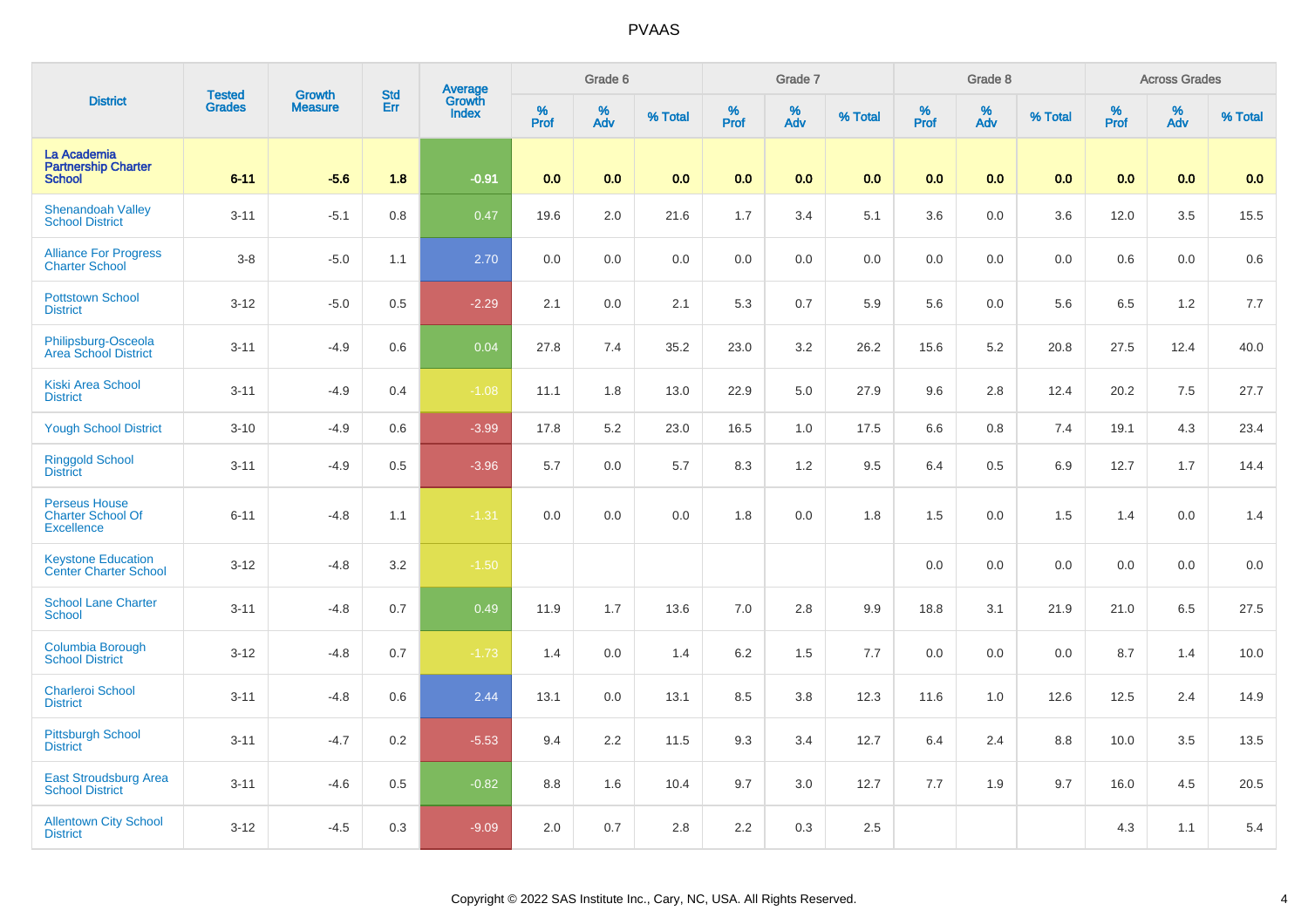| <b>District</b>                                                       | <b>Tested</b> | <b>Growth</b>  | <b>Std</b> |                                          |           | Grade 6  |         |              | Grade 7  |         |              | Grade 8  |         |                  | <b>Across Grades</b> |         |
|-----------------------------------------------------------------------|---------------|----------------|------------|------------------------------------------|-----------|----------|---------|--------------|----------|---------|--------------|----------|---------|------------------|----------------------|---------|
|                                                                       | <b>Grades</b> | <b>Measure</b> | Err        | <b>Average</b><br>Growth<br><b>Index</b> | %<br>Prof | %<br>Adv | % Total | $\%$<br>Prof | %<br>Adv | % Total | $\%$<br>Prof | %<br>Adv | % Total | %<br><b>Prof</b> | %<br>Adv             | % Total |
| La Academia<br><b>Partnership Charter</b><br><b>School</b>            | $6 - 11$      | $-5.6$         | 1.8        | $-0.91$                                  | 0.0       | 0.0      | 0.0     | 0.0          | 0.0      | 0.0     | 0.0          | 0.0      | 0.0     | 0.0              | 0.0                  | 0.0     |
| <b>Shenandoah Valley</b><br><b>School District</b>                    | $3 - 11$      | $-5.1$         | 0.8        | 0.47                                     | 19.6      | 2.0      | 21.6    | 1.7          | 3.4      | 5.1     | 3.6          | 0.0      | 3.6     | 12.0             | 3.5                  | 15.5    |
| <b>Alliance For Progress</b><br><b>Charter School</b>                 | $3 - 8$       | $-5.0$         | 1.1        | 2.70                                     | 0.0       | 0.0      | 0.0     | 0.0          | $0.0\,$  | 0.0     | 0.0          | 0.0      | 0.0     | 0.6              | 0.0                  | 0.6     |
| <b>Pottstown School</b><br><b>District</b>                            | $3 - 12$      | $-5.0$         | 0.5        | $-2.29$                                  | 2.1       | 0.0      | 2.1     | 5.3          | 0.7      | 5.9     | 5.6          | 0.0      | 5.6     | 6.5              | 1.2                  | 7.7     |
| Philipsburg-Osceola<br><b>Area School District</b>                    | $3 - 11$      | $-4.9$         | 0.6        | 0.04                                     | 27.8      | 7.4      | 35.2    | 23.0         | 3.2      | 26.2    | 15.6         | 5.2      | 20.8    | 27.5             | 12.4                 | 40.0    |
| <b>Kiski Area School</b><br><b>District</b>                           | $3 - 11$      | $-4.9$         | 0.4        | $-1.08$                                  | 11.1      | 1.8      | 13.0    | 22.9         | $5.0\,$  | 27.9    | 9.6          | 2.8      | 12.4    | 20.2             | $7.5\,$              | 27.7    |
| <b>Yough School District</b>                                          | $3 - 10$      | $-4.9$         | 0.6        | $-3.99$                                  | 17.8      | $5.2\,$  | 23.0    | 16.5         | 1.0      | 17.5    | 6.6          | 0.8      | 7.4     | 19.1             | 4.3                  | 23.4    |
| <b>Ringgold School</b><br><b>District</b>                             | $3 - 11$      | $-4.9$         | 0.5        | $-3.96$                                  | 5.7       | 0.0      | 5.7     | 8.3          | 1.2      | 9.5     | 6.4          | 0.5      | 6.9     | 12.7             | 1.7                  | 14.4    |
| <b>Perseus House</b><br><b>Charter School Of</b><br><b>Excellence</b> | $6 - 11$      | $-4.8$         | 1.1        | $-1.31$                                  | 0.0       | 0.0      | 0.0     | 1.8          | 0.0      | 1.8     | 1.5          | 0.0      | 1.5     | 1.4              | 0.0                  | 1.4     |
| <b>Keystone Education</b><br>Center Charter School                    | $3 - 12$      | $-4.8$         | 3.2        | $-1.50$                                  |           |          |         |              |          |         | 0.0          | 0.0      | 0.0     | 0.0              | 0.0                  | 0.0     |
| <b>School Lane Charter</b><br><b>School</b>                           | $3 - 11$      | $-4.8$         | 0.7        | 0.49                                     | 11.9      | 1.7      | 13.6    | 7.0          | 2.8      | 9.9     | 18.8         | 3.1      | 21.9    | 21.0             | 6.5                  | 27.5    |
| Columbia Borough<br><b>School District</b>                            | $3 - 12$      | $-4.8$         | 0.7        | $-1.73$                                  | 1.4       | 0.0      | 1.4     | 6.2          | 1.5      | 7.7     | 0.0          | 0.0      | 0.0     | 8.7              | 1.4                  | 10.0    |
| <b>Charleroi School</b><br><b>District</b>                            | $3 - 11$      | $-4.8$         | 0.6        | 2.44                                     | 13.1      | 0.0      | 13.1    | 8.5          | 3.8      | 12.3    | 11.6         | 1.0      | 12.6    | 12.5             | 2.4                  | 14.9    |
| <b>Pittsburgh School</b><br><b>District</b>                           | $3 - 11$      | $-4.7$         | 0.2        | $-5.53$                                  | 9.4       | 2.2      | 11.5    | 9.3          | 3.4      | 12.7    | 6.4          | 2.4      | 8.8     | 10.0             | 3.5                  | 13.5    |
| <b>East Stroudsburg Area</b><br><b>School District</b>                | $3 - 11$      | $-4.6$         | 0.5        | $-0.82$                                  | 8.8       | 1.6      | 10.4    | 9.7          | 3.0      | 12.7    | 7.7          | 1.9      | 9.7     | 16.0             | 4.5                  | 20.5    |
| <b>Allentown City School</b><br><b>District</b>                       | $3 - 12$      | $-4.5$         | 0.3        | $-9.09$                                  | 2.0       | 0.7      | 2.8     | 2.2          | 0.3      | 2.5     |              |          |         | 4.3              | 1.1                  | 5.4     |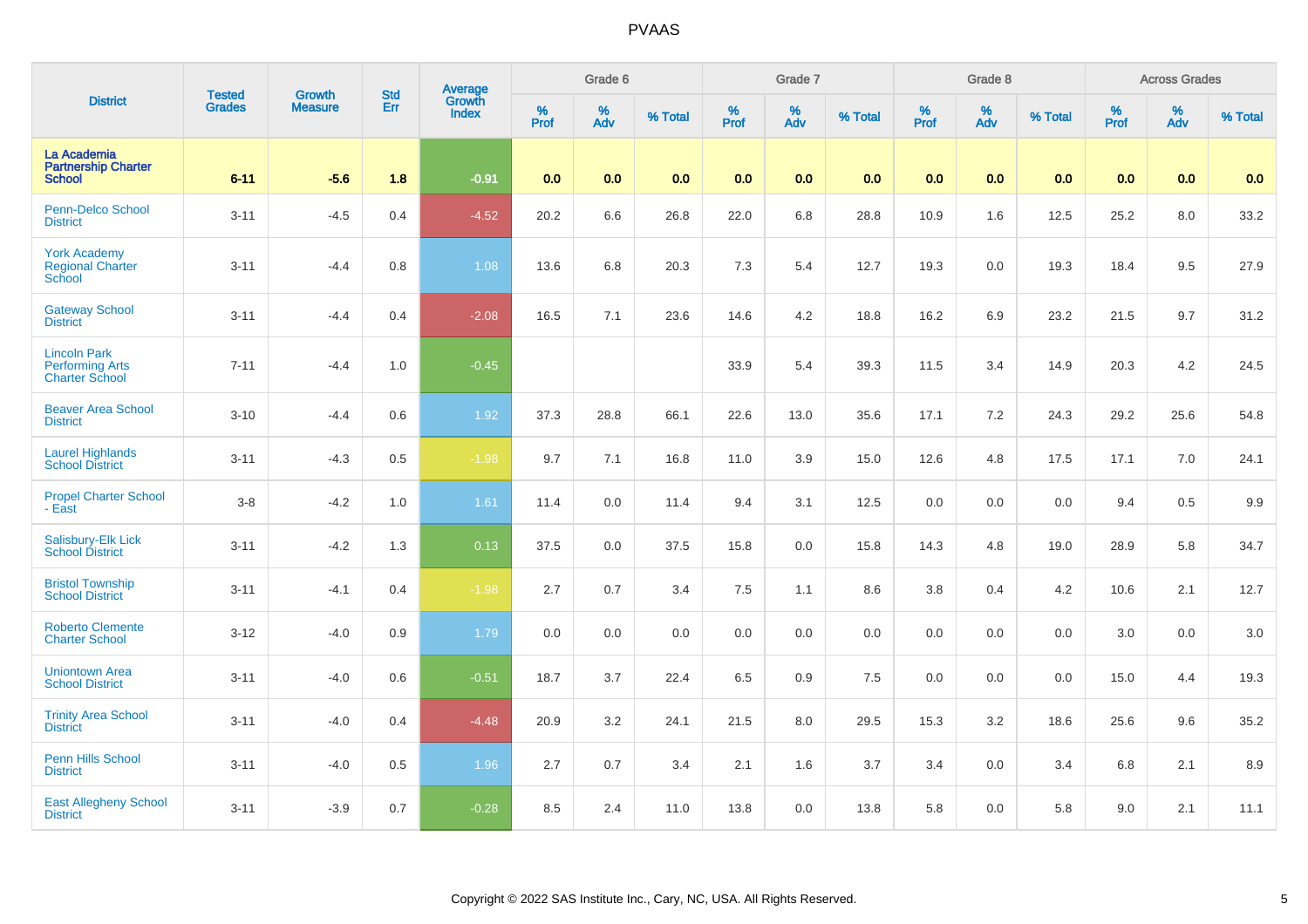| <b>District</b>                                                        | <b>Tested</b> | <b>Growth</b>  | <b>Std</b> | <b>Average</b><br>Growth |          | Grade 6  |         |                     | Grade 7  |         |                  | Grade 8  |         |                  | <b>Across Grades</b> |         |
|------------------------------------------------------------------------|---------------|----------------|------------|--------------------------|----------|----------|---------|---------------------|----------|---------|------------------|----------|---------|------------------|----------------------|---------|
|                                                                        | <b>Grades</b> | <b>Measure</b> | Err        | <b>Index</b>             | $%$ Prof | %<br>Adv | % Total | $\%$<br><b>Prof</b> | %<br>Adv | % Total | %<br><b>Prof</b> | %<br>Adv | % Total | %<br><b>Prof</b> | $\%$<br>Adv          | % Total |
| La Academia<br><b>Partnership Charter</b><br><b>School</b>             | $6 - 11$      | $-5.6$         | 1.8        | $-0.91$                  | 0.0      | 0.0      | 0.0     | 0.0                 | 0.0      | 0.0     | 0.0              | 0.0      | 0.0     | 0.0              | 0.0                  | 0.0     |
| <b>Penn-Delco School</b><br><b>District</b>                            | $3 - 11$      | $-4.5$         | 0.4        | $-4.52$                  | 20.2     | 6.6      | 26.8    | 22.0                | 6.8      | 28.8    | 10.9             | 1.6      | 12.5    | 25.2             | 8.0                  | 33.2    |
| <b>York Academy</b><br><b>Regional Charter</b><br><b>School</b>        | $3 - 11$      | $-4.4$         | 0.8        | 1.08                     | 13.6     | 6.8      | 20.3    | 7.3                 | 5.4      | 12.7    | 19.3             | 0.0      | 19.3    | 18.4             | 9.5                  | 27.9    |
| <b>Gateway School</b><br><b>District</b>                               | $3 - 11$      | $-4.4$         | 0.4        | $-2.08$                  | 16.5     | 7.1      | 23.6    | 14.6                | 4.2      | 18.8    | 16.2             | 6.9      | 23.2    | 21.5             | 9.7                  | 31.2    |
| <b>Lincoln Park</b><br><b>Performing Arts</b><br><b>Charter School</b> | $7 - 11$      | $-4.4$         | 1.0        | $-0.45$                  |          |          |         | 33.9                | 5.4      | 39.3    | 11.5             | 3.4      | 14.9    | 20.3             | 4.2                  | 24.5    |
| <b>Beaver Area School</b><br><b>District</b>                           | $3 - 10$      | $-4.4$         | 0.6        | $1.92$                   | 37.3     | 28.8     | 66.1    | 22.6                | 13.0     | 35.6    | 17.1             | 7.2      | 24.3    | 29.2             | 25.6                 | 54.8    |
| <b>Laurel Highlands</b><br><b>School District</b>                      | $3 - 11$      | $-4.3$         | 0.5        | $-1.98$                  | 9.7      | 7.1      | 16.8    | 11.0                | 3.9      | 15.0    | 12.6             | 4.8      | 17.5    | 17.1             | 7.0                  | 24.1    |
| <b>Propel Charter School</b><br>- East                                 | $3 - 8$       | $-4.2$         | $1.0$      | 1.61                     | 11.4     | 0.0      | 11.4    | 9.4                 | 3.1      | 12.5    | 0.0              | 0.0      | 0.0     | 9.4              | 0.5                  | 9.9     |
| Salisbury-Elk Lick<br><b>School District</b>                           | $3 - 11$      | $-4.2$         | 1.3        | 0.13                     | 37.5     | 0.0      | 37.5    | 15.8                | 0.0      | 15.8    | 14.3             | 4.8      | 19.0    | 28.9             | 5.8                  | 34.7    |
| <b>Bristol Township</b><br><b>School District</b>                      | $3 - 11$      | $-4.1$         | 0.4        | $-1.98$                  | 2.7      | 0.7      | 3.4     | 7.5                 | 1.1      | 8.6     | $3.8\,$          | 0.4      | 4.2     | 10.6             | 2.1                  | 12.7    |
| <b>Roberto Clemente</b><br><b>Charter School</b>                       | $3 - 12$      | $-4.0$         | 0.9        | 1.79                     | 0.0      | 0.0      | 0.0     | 0.0                 | $0.0\,$  | 0.0     | $0.0\,$          | 0.0      | 0.0     | 3.0              | 0.0                  | 3.0     |
| <b>Uniontown Area</b><br><b>School District</b>                        | $3 - 11$      | $-4.0$         | 0.6        | $-0.51$                  | 18.7     | 3.7      | 22.4    | 6.5                 | 0.9      | 7.5     | $0.0\,$          | 0.0      | 0.0     | 15.0             | 4.4                  | 19.3    |
| <b>Trinity Area School</b><br><b>District</b>                          | $3 - 11$      | $-4.0$         | 0.4        | $-4.48$                  | 20.9     | 3.2      | 24.1    | 21.5                | $8.0\,$  | 29.5    | 15.3             | 3.2      | 18.6    | 25.6             | 9.6                  | 35.2    |
| Penn Hills School<br><b>District</b>                                   | $3 - 11$      | $-4.0$         | 0.5        | 1.96                     | 2.7      | 0.7      | 3.4     | 2.1                 | 1.6      | 3.7     | 3.4              | 0.0      | 3.4     | 6.8              | 2.1                  | 8.9     |
| <b>East Allegheny School</b><br><b>District</b>                        | $3 - 11$      | $-3.9$         | 0.7        | $-0.28$                  | 8.5      | 2.4      | 11.0    | 13.8                | 0.0      | 13.8    | 5.8              | 0.0      | 5.8     | 9.0              | 2.1                  | 11.1    |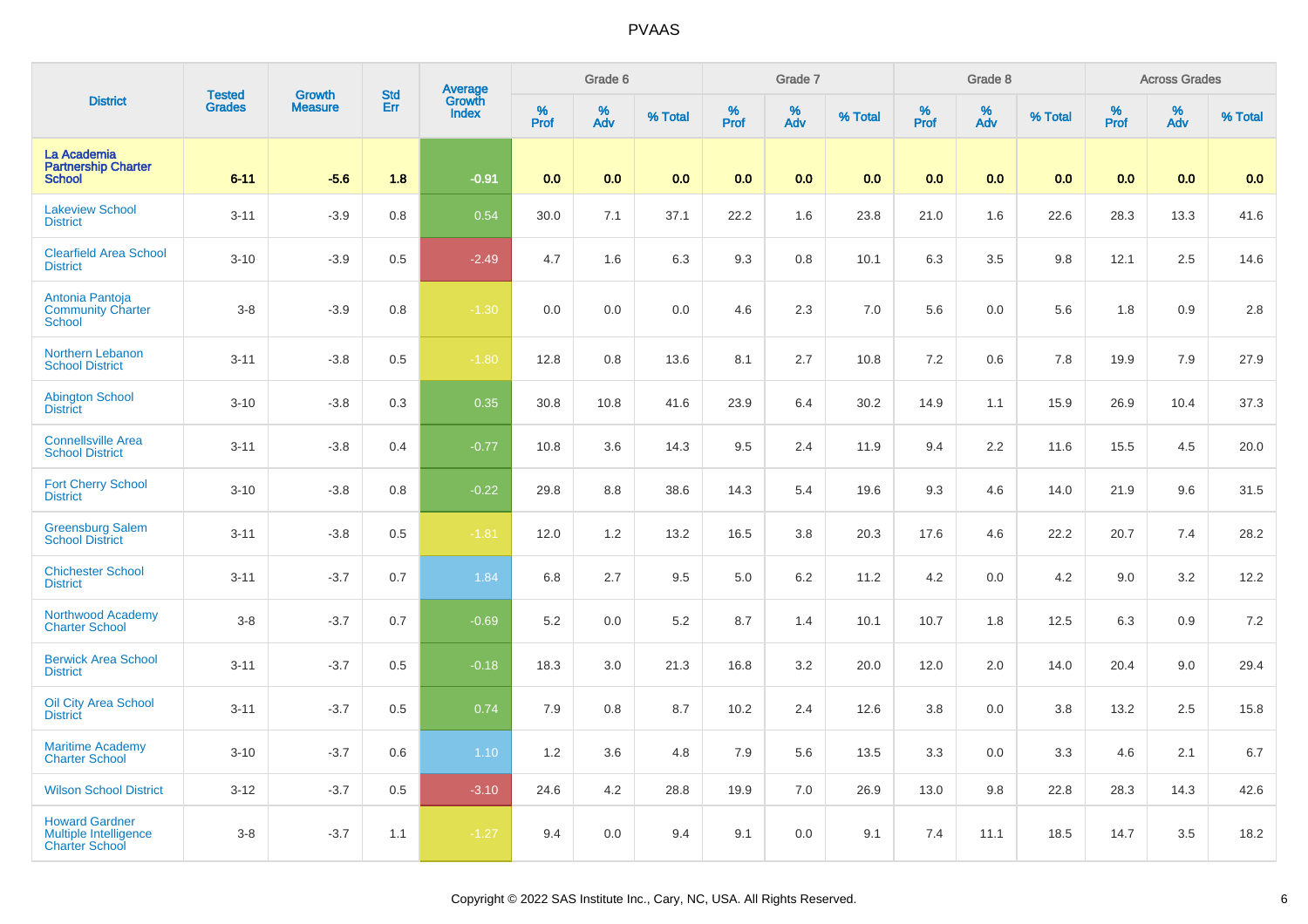| <b>District</b>                                                         | <b>Tested</b> | <b>Growth</b>  | <b>Std</b> | Average<br>Growth |          | Grade 6  |         |          | Grade 7  |         |           | Grade 8                 |         |          | <b>Across Grades</b> |         |
|-------------------------------------------------------------------------|---------------|----------------|------------|-------------------|----------|----------|---------|----------|----------|---------|-----------|-------------------------|---------|----------|----------------------|---------|
|                                                                         | <b>Grades</b> | <b>Measure</b> | Err        | <b>Index</b>      | $%$ Prof | %<br>Adv | % Total | $%$ Prof | %<br>Adv | % Total | %<br>Prof | $\frac{\%}{\text{Adv}}$ | % Total | $%$ Prof | %<br>Adv             | % Total |
| La Academia<br><b>Partnership Charter</b><br><b>School</b>              | $6 - 11$      | $-5.6$         | 1.8        | $-0.91$           | 0.0      | 0.0      | 0.0     | 0.0      | 0.0      | 0.0     | 0.0       | 0.0                     | 0.0     | 0.0      | 0.0                  | 0.0     |
| <b>Lakeview School</b><br><b>District</b>                               | $3 - 11$      | $-3.9$         | 0.8        | 0.54              | 30.0     | 7.1      | 37.1    | 22.2     | 1.6      | 23.8    | 21.0      | 1.6                     | 22.6    | 28.3     | 13.3                 | 41.6    |
| <b>Clearfield Area School</b><br><b>District</b>                        | $3 - 10$      | $-3.9$         | 0.5        | $-2.49$           | 4.7      | 1.6      | 6.3     | 9.3      | $0.8\,$  | 10.1    | 6.3       | 3.5                     | 9.8     | 12.1     | $2.5\,$              | 14.6    |
| Antonia Pantoja<br><b>Community Charter</b><br>School                   | $3 - 8$       | $-3.9$         | 0.8        | $-1.30$           | 0.0      | 0.0      | 0.0     | 4.6      | 2.3      | $7.0\,$ | 5.6       | 0.0                     | 5.6     | 1.8      | 0.9                  | 2.8     |
| Northern Lebanon<br><b>School District</b>                              | $3 - 11$      | $-3.8$         | 0.5        | $-1.80$           | 12.8     | 0.8      | 13.6    | 8.1      | 2.7      | 10.8    | 7.2       | 0.6                     | 7.8     | 19.9     | 7.9                  | 27.9    |
| <b>Abington School</b><br><b>District</b>                               | $3 - 10$      | $-3.8$         | 0.3        | 0.35              | 30.8     | 10.8     | 41.6    | 23.9     | 6.4      | 30.2    | 14.9      | 1.1                     | 15.9    | 26.9     | 10.4                 | 37.3    |
| <b>Connellsville Area</b><br><b>School District</b>                     | $3 - 11$      | $-3.8$         | 0.4        | $-0.77$           | 10.8     | 3.6      | 14.3    | 9.5      | 2.4      | 11.9    | 9.4       | 2.2                     | 11.6    | 15.5     | 4.5                  | 20.0    |
| <b>Fort Cherry School</b><br><b>District</b>                            | $3 - 10$      | $-3.8$         | 0.8        | $-0.22$           | 29.8     | 8.8      | 38.6    | 14.3     | 5.4      | 19.6    | 9.3       | 4.6                     | 14.0    | 21.9     | 9.6                  | 31.5    |
| <b>Greensburg Salem</b><br><b>School District</b>                       | $3 - 11$      | $-3.8$         | 0.5        | $-1.81$           | 12.0     | 1.2      | 13.2    | 16.5     | 3.8      | 20.3    | 17.6      | 4.6                     | 22.2    | 20.7     | 7.4                  | 28.2    |
| <b>Chichester School</b><br><b>District</b>                             | $3 - 11$      | $-3.7$         | 0.7        | 1.84              | 6.8      | 2.7      | 9.5     | 5.0      | 6.2      | 11.2    | 4.2       | 0.0                     | 4.2     | 9.0      | 3.2                  | 12.2    |
| Northwood Academy<br><b>Charter School</b>                              | $3 - 8$       | $-3.7$         | 0.7        | $-0.69$           | 5.2      | 0.0      | 5.2     | 8.7      | 1.4      | 10.1    | 10.7      | 1.8                     | 12.5    | 6.3      | 0.9                  | 7.2     |
| <b>Berwick Area School</b><br><b>District</b>                           | $3 - 11$      | $-3.7$         | 0.5        | $-0.18$           | 18.3     | 3.0      | 21.3    | 16.8     | 3.2      | 20.0    | 12.0      | 2.0                     | 14.0    | 20.4     | 9.0                  | 29.4    |
| <b>Oil City Area School</b><br><b>District</b>                          | $3 - 11$      | $-3.7$         | 0.5        | 0.74              | 7.9      | 0.8      | 8.7     | 10.2     | 2.4      | 12.6    | 3.8       | 0.0                     | 3.8     | 13.2     | 2.5                  | 15.8    |
| <b>Maritime Academy</b><br><b>Charter School</b>                        | $3 - 10$      | $-3.7$         | 0.6        | $1.10$            | 1.2      | 3.6      | 4.8     | 7.9      | 5.6      | 13.5    | 3.3       | 0.0                     | 3.3     | 4.6      | 2.1                  | 6.7     |
| <b>Wilson School District</b>                                           | $3 - 12$      | $-3.7$         | 0.5        | $-3.10$           | 24.6     | 4.2      | 28.8    | 19.9     | $7.0$    | 26.9    | 13.0      | 9.8                     | 22.8    | 28.3     | 14.3                 | 42.6    |
| <b>Howard Gardner</b><br>Multiple Intelligence<br><b>Charter School</b> | $3 - 8$       | $-3.7$         | 1.1        | $-1.27$           | 9.4      | 0.0      | 9.4     | 9.1      | 0.0      | 9.1     | 7.4       | 11.1                    | 18.5    | 14.7     | $3.5\,$              | 18.2    |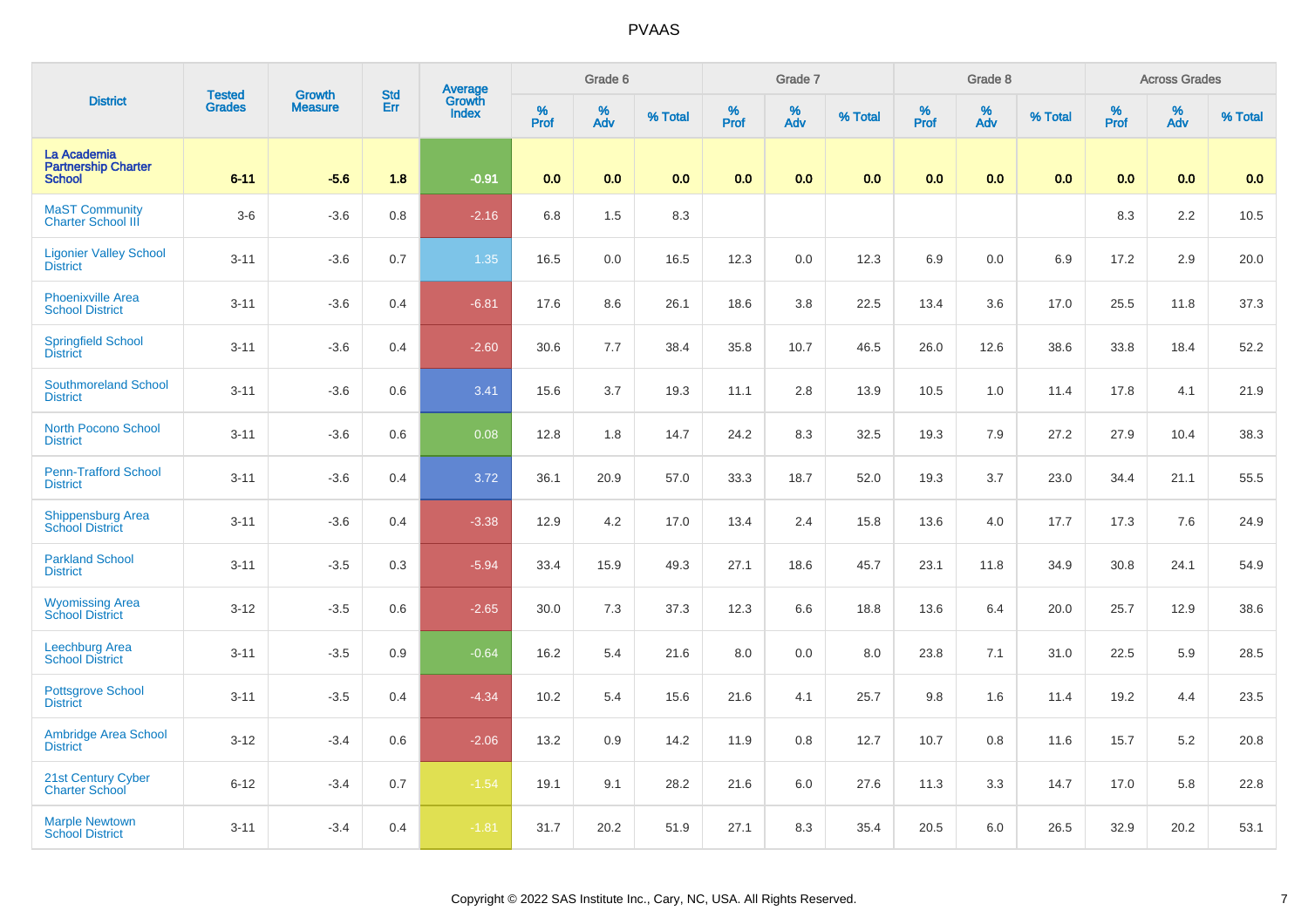| <b>District</b>                                            | <b>Tested</b> | <b>Growth</b>  | <b>Std</b> | Average<br>Growth |           | Grade 6  |         |           | Grade 7  |         |              | Grade 8  |         |           | <b>Across Grades</b> |         |
|------------------------------------------------------------|---------------|----------------|------------|-------------------|-----------|----------|---------|-----------|----------|---------|--------------|----------|---------|-----------|----------------------|---------|
|                                                            | <b>Grades</b> | <b>Measure</b> | Err        | <b>Index</b>      | %<br>Prof | %<br>Adv | % Total | %<br>Prof | %<br>Adv | % Total | $\%$<br>Prof | %<br>Adv | % Total | %<br>Prof | %<br>Adv             | % Total |
| La Academia<br><b>Partnership Charter</b><br><b>School</b> | $6 - 11$      | $-5.6$         | 1.8        | $-0.91$           | 0.0       | 0.0      | 0.0     | 0.0       | 0.0      | 0.0     | 0.0          | 0.0      | 0.0     | 0.0       | 0.0                  | 0.0     |
| <b>MaST Community</b><br><b>Charter School III</b>         | $3-6$         | $-3.6$         | 0.8        | $-2.16$           | 6.8       | 1.5      | 8.3     |           |          |         |              |          |         | 8.3       | 2.2                  | 10.5    |
| <b>Ligonier Valley School</b><br><b>District</b>           | $3 - 11$      | $-3.6$         | 0.7        | 1.35              | 16.5      | 0.0      | 16.5    | 12.3      | $0.0\,$  | 12.3    | 6.9          | 0.0      | 6.9     | 17.2      | 2.9                  | 20.0    |
| <b>Phoenixville Area</b><br><b>School District</b>         | $3 - 11$      | $-3.6$         | 0.4        | $-6.81$           | 17.6      | 8.6      | 26.1    | 18.6      | 3.8      | 22.5    | 13.4         | 3.6      | 17.0    | 25.5      | 11.8                 | 37.3    |
| <b>Springfield School</b><br><b>District</b>               | $3 - 11$      | $-3.6$         | 0.4        | $-2.60$           | 30.6      | 7.7      | 38.4    | 35.8      | 10.7     | 46.5    | 26.0         | 12.6     | 38.6    | 33.8      | 18.4                 | 52.2    |
| <b>Southmoreland School</b><br><b>District</b>             | $3 - 11$      | $-3.6$         | 0.6        | 3.41              | 15.6      | 3.7      | 19.3    | 11.1      | 2.8      | 13.9    | 10.5         | 1.0      | 11.4    | 17.8      | 4.1                  | 21.9    |
| <b>North Pocono School</b><br><b>District</b>              | $3 - 11$      | $-3.6$         | 0.6        | 0.08              | 12.8      | 1.8      | 14.7    | 24.2      | 8.3      | 32.5    | 19.3         | 7.9      | 27.2    | 27.9      | 10.4                 | 38.3    |
| <b>Penn-Trafford School</b><br><b>District</b>             | $3 - 11$      | $-3.6$         | 0.4        | 3.72              | 36.1      | 20.9     | 57.0    | 33.3      | 18.7     | 52.0    | 19.3         | 3.7      | 23.0    | 34.4      | 21.1                 | 55.5    |
| Shippensburg Area<br><b>School District</b>                | $3 - 11$      | $-3.6$         | 0.4        | $-3.38$           | 12.9      | 4.2      | 17.0    | 13.4      | 2.4      | 15.8    | 13.6         | 4.0      | 17.7    | 17.3      | 7.6                  | 24.9    |
| <b>Parkland School</b><br><b>District</b>                  | $3 - 11$      | $-3.5$         | 0.3        | $-5.94$           | 33.4      | 15.9     | 49.3    | 27.1      | 18.6     | 45.7    | 23.1         | 11.8     | 34.9    | 30.8      | 24.1                 | 54.9    |
| <b>Wyomissing Area</b><br><b>School District</b>           | $3 - 12$      | $-3.5$         | 0.6        | $-2.65$           | 30.0      | 7.3      | 37.3    | 12.3      | 6.6      | 18.8    | 13.6         | 6.4      | 20.0    | 25.7      | 12.9                 | 38.6    |
| Leechburg Area<br><b>School District</b>                   | $3 - 11$      | $-3.5$         | 0.9        | $-0.64$           | 16.2      | 5.4      | 21.6    | 8.0       | 0.0      | 8.0     | 23.8         | 7.1      | 31.0    | 22.5      | 5.9                  | 28.5    |
| <b>Pottsgrove School</b><br><b>District</b>                | $3 - 11$      | $-3.5$         | 0.4        | $-4.34$           | 10.2      | 5.4      | 15.6    | 21.6      | 4.1      | 25.7    | 9.8          | 1.6      | 11.4    | 19.2      | 4.4                  | 23.5    |
| <b>Ambridge Area School</b><br><b>District</b>             | $3 - 12$      | $-3.4$         | 0.6        | $-2.06$           | 13.2      | 0.9      | 14.2    | 11.9      | 0.8      | 12.7    | 10.7         | 0.8      | 11.6    | 15.7      | 5.2                  | 20.8    |
| 21st Century Cyber<br><b>Charter School</b>                | $6 - 12$      | $-3.4$         | 0.7        | $-1.54$           | 19.1      | 9.1      | 28.2    | 21.6      | 6.0      | 27.6    | 11.3         | 3.3      | 14.7    | 17.0      | 5.8                  | 22.8    |
| <b>Marple Newtown</b><br><b>School District</b>            | $3 - 11$      | $-3.4$         | 0.4        | $-1.81$           | 31.7      | 20.2     | 51.9    | 27.1      | 8.3      | 35.4    | 20.5         | 6.0      | 26.5    | 32.9      | 20.2                 | 53.1    |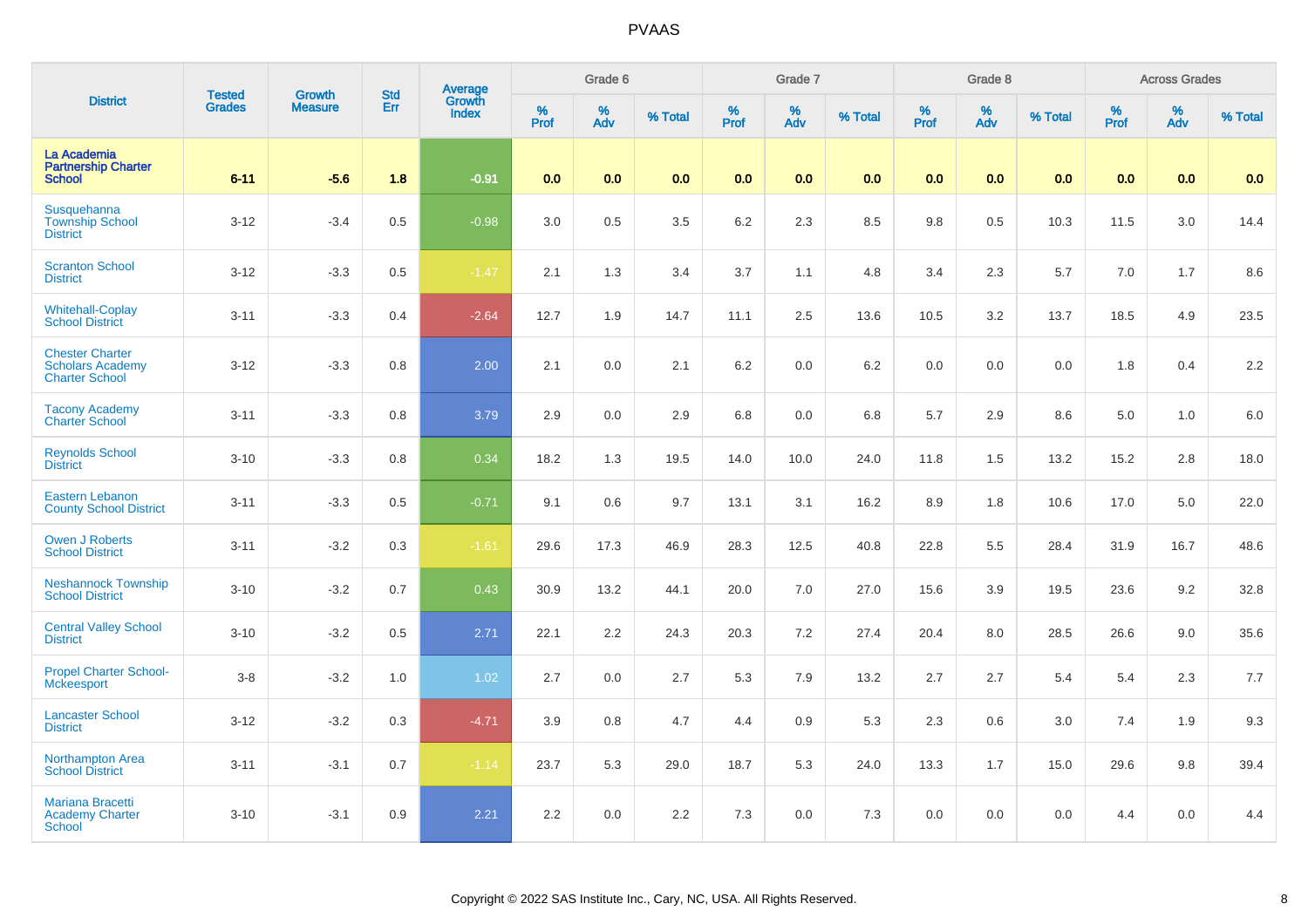| <b>District</b>                                                            | <b>Tested</b> | <b>Growth</b>  | <b>Std</b> |                                   |              | Grade 6     |         |                  | Grade 7  |         |                  | Grade 8  |         |           | <b>Across Grades</b> |         |
|----------------------------------------------------------------------------|---------------|----------------|------------|-----------------------------------|--------------|-------------|---------|------------------|----------|---------|------------------|----------|---------|-----------|----------------------|---------|
|                                                                            | <b>Grades</b> | <b>Measure</b> | Err        | Average<br>Growth<br><b>Index</b> | $\%$<br>Prof | $\%$<br>Adv | % Total | %<br><b>Prof</b> | %<br>Adv | % Total | %<br><b>Prof</b> | %<br>Adv | % Total | %<br>Prof | %<br>Adv             | % Total |
| La Academia<br><b>Partnership Charter</b><br><b>School</b>                 | $6 - 11$      | $-5.6$         | 1.8        | $-0.91$                           | 0.0          | 0.0         | 0.0     | 0.0              | 0.0      | 0.0     | 0.0              | 0.0      | 0.0     | 0.0       | 0.0                  | 0.0     |
| Susquehanna<br><b>Township School</b><br><b>District</b>                   | $3 - 12$      | $-3.4$         | 0.5        | $-0.98$                           | 3.0          | 0.5         | 3.5     | 6.2              | 2.3      | 8.5     | $9.8\,$          | 0.5      | 10.3    | 11.5      | 3.0                  | 14.4    |
| <b>Scranton School</b><br><b>District</b>                                  | $3 - 12$      | $-3.3$         | 0.5        | $-1.47$                           | 2.1          | 1.3         | 3.4     | 3.7              | 1.1      | 4.8     | 3.4              | 2.3      | 5.7     | 7.0       | 1.7                  | 8.6     |
| <b>Whitehall-Coplay</b><br><b>School District</b>                          | $3 - 11$      | $-3.3$         | 0.4        | $-2.64$                           | 12.7         | 1.9         | 14.7    | 11.1             | 2.5      | 13.6    | 10.5             | 3.2      | 13.7    | 18.5      | 4.9                  | 23.5    |
| <b>Chester Charter</b><br><b>Scholars Academy</b><br><b>Charter School</b> | $3 - 12$      | $-3.3$         | 0.8        | 2.00                              | 2.1          | 0.0         | 2.1     | 6.2              | 0.0      | 6.2     | 0.0              | 0.0      | 0.0     | 1.8       | 0.4                  | 2.2     |
| <b>Tacony Academy</b><br><b>Charter School</b>                             | $3 - 11$      | $-3.3$         | 0.8        | 3.79                              | 2.9          | 0.0         | 2.9     | 6.8              | 0.0      | 6.8     | 5.7              | 2.9      | 8.6     | 5.0       | 1.0                  | $6.0\,$ |
| <b>Reynolds School</b><br><b>District</b>                                  | $3 - 10$      | $-3.3$         | 0.8        | 0.34                              | 18.2         | 1.3         | 19.5    | 14.0             | 10.0     | 24.0    | 11.8             | 1.5      | 13.2    | 15.2      | 2.8                  | 18.0    |
| <b>Eastern Lebanon</b><br><b>County School District</b>                    | $3 - 11$      | $-3.3$         | 0.5        | $-0.71$                           | 9.1          | 0.6         | 9.7     | 13.1             | 3.1      | 16.2    | 8.9              | 1.8      | 10.6    | 17.0      | 5.0                  | 22.0    |
| <b>Owen J Roberts</b><br><b>School District</b>                            | $3 - 11$      | $-3.2$         | 0.3        | $-1.61$                           | 29.6         | 17.3        | 46.9    | 28.3             | 12.5     | 40.8    | 22.8             | 5.5      | 28.4    | 31.9      | 16.7                 | 48.6    |
| <b>Neshannock Township</b><br><b>School District</b>                       | $3 - 10$      | $-3.2$         | 0.7        | 0.43                              | 30.9         | 13.2        | 44.1    | 20.0             | 7.0      | 27.0    | 15.6             | 3.9      | 19.5    | 23.6      | 9.2                  | 32.8    |
| <b>Central Valley School</b><br><b>District</b>                            | $3 - 10$      | $-3.2$         | 0.5        | 2.71                              | 22.1         | 2.2         | 24.3    | 20.3             | 7.2      | 27.4    | 20.4             | 8.0      | 28.5    | 26.6      | 9.0                  | 35.6    |
| <b>Propel Charter School-</b><br><b>Mckeesport</b>                         | $3-8$         | $-3.2$         | 1.0        | 1.02                              | 2.7          | 0.0         | 2.7     | 5.3              | 7.9      | 13.2    | 2.7              | 2.7      | 5.4     | 5.4       | 2.3                  | 7.7     |
| <b>Lancaster School</b><br><b>District</b>                                 | $3 - 12$      | $-3.2$         | 0.3        | $-4.71$                           | 3.9          | 0.8         | 4.7     | 4.4              | 0.9      | 5.3     | 2.3              | 0.6      | 3.0     | 7.4       | 1.9                  | 9.3     |
| Northampton Area<br><b>School District</b>                                 | $3 - 11$      | $-3.1$         | 0.7        | $-1.14$                           | 23.7         | 5.3         | 29.0    | 18.7             | 5.3      | 24.0    | 13.3             | 1.7      | 15.0    | 29.6      | 9.8                  | 39.4    |
| <b>Mariana Bracetti</b><br><b>Academy Charter</b><br>School                | $3 - 10$      | $-3.1$         | 0.9        | 2.21                              | 2.2          | 0.0         | 2.2     | 7.3              | 0.0      | 7.3     | 0.0              | 0.0      | 0.0     | 4.4       | 0.0                  | 4.4     |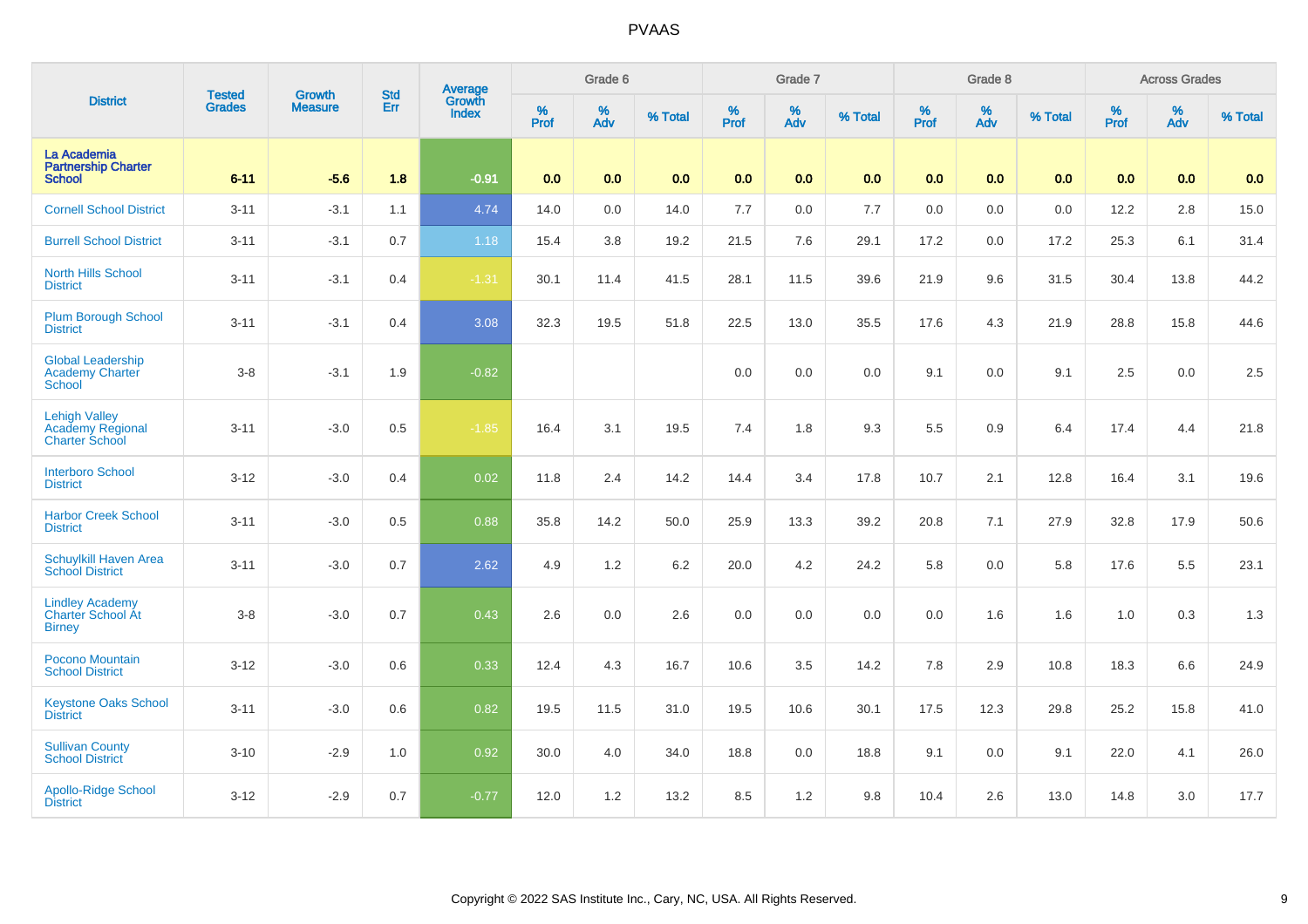|                                                                   |                         | <b>Growth</b>  | <b>Std</b> |                                          |              | Grade 6  |         |                  | Grade 7  |         |           | Grade 8  |         |           | <b>Across Grades</b>          |         |
|-------------------------------------------------------------------|-------------------------|----------------|------------|------------------------------------------|--------------|----------|---------|------------------|----------|---------|-----------|----------|---------|-----------|-------------------------------|---------|
| <b>District</b>                                                   | <b>Tested</b><br>Grades | <b>Measure</b> | Err        | <b>Average</b><br>Growth<br><b>Index</b> | $\%$<br>Prof | %<br>Adv | % Total | %<br><b>Prof</b> | %<br>Adv | % Total | %<br>Prof | %<br>Adv | % Total | %<br>Prof | $\stackrel{\%}{\mathsf{Adv}}$ | % Total |
| La Academia<br><b>Partnership Charter</b><br><b>School</b>        | $6 - 11$                | $-5.6$         | 1.8        | $-0.91$                                  | 0.0          | 0.0      | 0.0     | 0.0              | 0.0      | 0.0     | 0.0       | 0.0      | 0.0     | 0.0       | 0.0                           | 0.0     |
| <b>Cornell School District</b>                                    | $3 - 11$                | $-3.1$         | 1.1        | 4.74                                     | 14.0         | 0.0      | 14.0    | 7.7              | 0.0      | 7.7     | $0.0\,$   | $0.0\,$  | 0.0     | 12.2      | $2.8\,$                       | 15.0    |
| <b>Burrell School District</b>                                    | $3 - 11$                | $-3.1$         | 0.7        | 1.18                                     | 15.4         | 3.8      | 19.2    | 21.5             | $7.6\,$  | 29.1    | 17.2      | 0.0      | 17.2    | 25.3      | 6.1                           | 31.4    |
| <b>North Hills School</b><br><b>District</b>                      | $3 - 11$                | $-3.1$         | 0.4        | $-1.31$                                  | 30.1         | 11.4     | 41.5    | 28.1             | 11.5     | 39.6    | 21.9      | 9.6      | 31.5    | 30.4      | 13.8                          | 44.2    |
| <b>Plum Borough School</b><br><b>District</b>                     | $3 - 11$                | $-3.1$         | 0.4        | 3.08                                     | 32.3         | 19.5     | 51.8    | 22.5             | 13.0     | 35.5    | 17.6      | 4.3      | 21.9    | 28.8      | 15.8                          | 44.6    |
| <b>Global Leadership</b><br><b>Academy Charter</b><br>School      | $3 - 8$                 | $-3.1$         | 1.9        | $-0.82$                                  |              |          |         | 0.0              | 0.0      | 0.0     | 9.1       | 0.0      | 9.1     | 2.5       | 0.0                           | 2.5     |
| <b>Lehigh Valley</b><br>Academy Regional<br><b>Charter School</b> | $3 - 11$                | $-3.0$         | 0.5        | $-1.85$                                  | 16.4         | 3.1      | 19.5    | 7.4              | 1.8      | 9.3     | 5.5       | 0.9      | 6.4     | 17.4      | 4.4                           | 21.8    |
| <b>Interboro School</b><br><b>District</b>                        | $3 - 12$                | $-3.0$         | 0.4        | 0.02                                     | 11.8         | 2.4      | 14.2    | 14.4             | 3.4      | 17.8    | 10.7      | 2.1      | 12.8    | 16.4      | 3.1                           | 19.6    |
| <b>Harbor Creek School</b><br><b>District</b>                     | $3 - 11$                | $-3.0$         | 0.5        | 0.88                                     | 35.8         | 14.2     | 50.0    | 25.9             | 13.3     | 39.2    | 20.8      | 7.1      | 27.9    | 32.8      | 17.9                          | 50.6    |
| Schuylkill Haven Area<br><b>School District</b>                   | $3 - 11$                | $-3.0$         | 0.7        | 2.62                                     | 4.9          | 1.2      | 6.2     | 20.0             | 4.2      | 24.2    | 5.8       | 0.0      | 5.8     | 17.6      | 5.5                           | 23.1    |
| <b>Lindley Academy</b><br>Charter School At<br><b>Birney</b>      | $3-8$                   | $-3.0$         | 0.7        | 0.43                                     | 2.6          | 0.0      | 2.6     | 0.0              | 0.0      | 0.0     | 0.0       | 1.6      | 1.6     | 1.0       | 0.3                           | 1.3     |
| Pocono Mountain<br><b>School District</b>                         | $3 - 12$                | $-3.0$         | 0.6        | 0.33                                     | 12.4         | 4.3      | 16.7    | 10.6             | 3.5      | 14.2    | 7.8       | 2.9      | 10.8    | 18.3      | 6.6                           | 24.9    |
| <b>Keystone Oaks School</b><br><b>District</b>                    | $3 - 11$                | $-3.0$         | 0.6        | 0.82                                     | 19.5         | 11.5     | 31.0    | 19.5             | 10.6     | 30.1    | 17.5      | 12.3     | 29.8    | 25.2      | 15.8                          | 41.0    |
| <b>Sullivan County</b><br><b>School District</b>                  | $3 - 10$                | $-2.9$         | 1.0        | 0.92                                     | 30.0         | 4.0      | 34.0    | 18.8             | 0.0      | 18.8    | 9.1       | 0.0      | 9.1     | 22.0      | 4.1                           | 26.0    |
| Apollo-Ridge School<br><b>District</b>                            | $3 - 12$                | $-2.9$         | 0.7        | $-0.77$                                  | 12.0         | 1.2      | 13.2    | 8.5              | 1.2      | 9.8     | 10.4      | 2.6      | 13.0    | 14.8      | 3.0                           | 17.7    |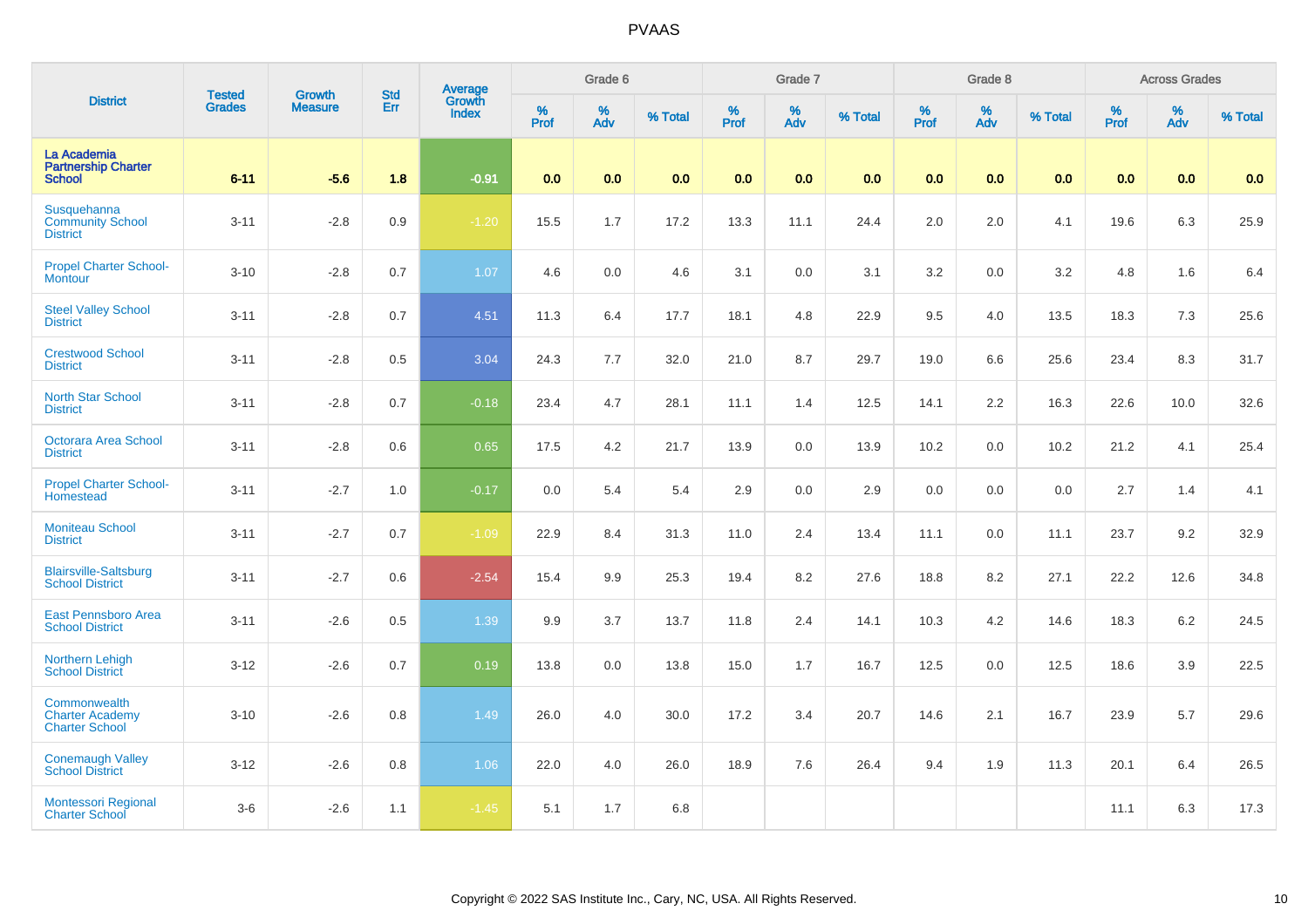| <b>District</b>                                                 | <b>Tested</b> | <b>Growth</b>  | <b>Std</b> | Average<br>Growth |              | Grade 6  |         |                  | Grade 7  |         |                  | Grade 8  |         |                  | <b>Across Grades</b> |         |
|-----------------------------------------------------------------|---------------|----------------|------------|-------------------|--------------|----------|---------|------------------|----------|---------|------------------|----------|---------|------------------|----------------------|---------|
|                                                                 | <b>Grades</b> | <b>Measure</b> | Err        | <b>Index</b>      | $\%$<br>Prof | %<br>Adv | % Total | %<br><b>Prof</b> | %<br>Adv | % Total | %<br><b>Prof</b> | %<br>Adv | % Total | %<br><b>Prof</b> | %<br>Adv             | % Total |
| La Academia<br><b>Partnership Charter</b><br><b>School</b>      | $6 - 11$      | $-5.6$         | 1.8        | $-0.91$           | 0.0          | 0.0      | 0.0     | 0.0              | 0.0      | 0.0     | 0.0              | 0.0      | 0.0     | 0.0              | 0.0                  | 0.0     |
| Susquehanna<br><b>Community School</b><br><b>District</b>       | $3 - 11$      | $-2.8$         | 0.9        | $-1.20$           | 15.5         | 1.7      | 17.2    | 13.3             | 11.1     | 24.4    | 2.0              | 2.0      | 4.1     | 19.6             | 6.3                  | 25.9    |
| <b>Propel Charter School-</b><br><b>Montour</b>                 | $3 - 10$      | $-2.8$         | 0.7        | 1.07              | 4.6          | 0.0      | 4.6     | 3.1              | 0.0      | 3.1     | 3.2              | 0.0      | 3.2     | 4.8              | 1.6                  | 6.4     |
| <b>Steel Valley School</b><br><b>District</b>                   | $3 - 11$      | $-2.8$         | 0.7        | 4.51              | 11.3         | 6.4      | 17.7    | 18.1             | 4.8      | 22.9    | 9.5              | 4.0      | 13.5    | 18.3             | 7.3                  | 25.6    |
| <b>Crestwood School</b><br><b>District</b>                      | $3 - 11$      | $-2.8$         | 0.5        | 3.04              | 24.3         | 7.7      | 32.0    | 21.0             | 8.7      | 29.7    | 19.0             | 6.6      | 25.6    | 23.4             | 8.3                  | 31.7    |
| <b>North Star School</b><br><b>District</b>                     | $3 - 11$      | $-2.8$         | 0.7        | $-0.18$           | 23.4         | 4.7      | 28.1    | 11.1             | 1.4      | 12.5    | 14.1             | 2.2      | 16.3    | 22.6             | 10.0                 | 32.6    |
| <b>Octorara Area School</b><br><b>District</b>                  | $3 - 11$      | $-2.8$         | 0.6        | 0.65              | 17.5         | 4.2      | 21.7    | 13.9             | 0.0      | 13.9    | 10.2             | 0.0      | 10.2    | 21.2             | 4.1                  | 25.4    |
| <b>Propel Charter School-</b><br>Homestead                      | $3 - 11$      | $-2.7$         | 1.0        | $-0.17$           | 0.0          | 5.4      | 5.4     | 2.9              | 0.0      | 2.9     | 0.0              | 0.0      | 0.0     | 2.7              | 1.4                  | 4.1     |
| <b>Moniteau School</b><br><b>District</b>                       | $3 - 11$      | $-2.7$         | 0.7        | $-1.09$           | 22.9         | 8.4      | 31.3    | 11.0             | 2.4      | 13.4    | 11.1             | 0.0      | 11.1    | 23.7             | 9.2                  | 32.9    |
| <b>Blairsville-Saltsburg</b><br><b>School District</b>          | $3 - 11$      | $-2.7$         | 0.6        | $-2.54$           | 15.4         | 9.9      | 25.3    | 19.4             | 8.2      | 27.6    | 18.8             | 8.2      | 27.1    | 22.2             | 12.6                 | 34.8    |
| <b>East Pennsboro Area</b><br><b>School District</b>            | $3 - 11$      | $-2.6$         | 0.5        | 1.39              | 9.9          | 3.7      | 13.7    | 11.8             | 2.4      | 14.1    | 10.3             | 4.2      | 14.6    | 18.3             | $6.2\,$              | 24.5    |
| <b>Northern Lehigh</b><br><b>School District</b>                | $3 - 12$      | $-2.6$         | 0.7        | 0.19              | 13.8         | 0.0      | 13.8    | 15.0             | 1.7      | 16.7    | 12.5             | 0.0      | 12.5    | 18.6             | 3.9                  | 22.5    |
| Commonwealth<br><b>Charter Academy</b><br><b>Charter School</b> | $3 - 10$      | $-2.6$         | 0.8        | 1.49              | 26.0         | 4.0      | 30.0    | 17.2             | 3.4      | 20.7    | 14.6             | 2.1      | 16.7    | 23.9             | 5.7                  | 29.6    |
| <b>Conemaugh Valley</b><br><b>School District</b>               | $3 - 12$      | $-2.6$         | 0.8        | 1.06              | 22.0         | 4.0      | 26.0    | 18.9             | 7.6      | 26.4    | 9.4              | 1.9      | 11.3    | 20.1             | 6.4                  | 26.5    |
| <b>Montessori Regional</b><br><b>Charter School</b>             | $3-6$         | $-2.6$         | 1.1        | $-1.45$           | 5.1          | 1.7      | 6.8     |                  |          |         |                  |          |         | 11.1             | 6.3                  | 17.3    |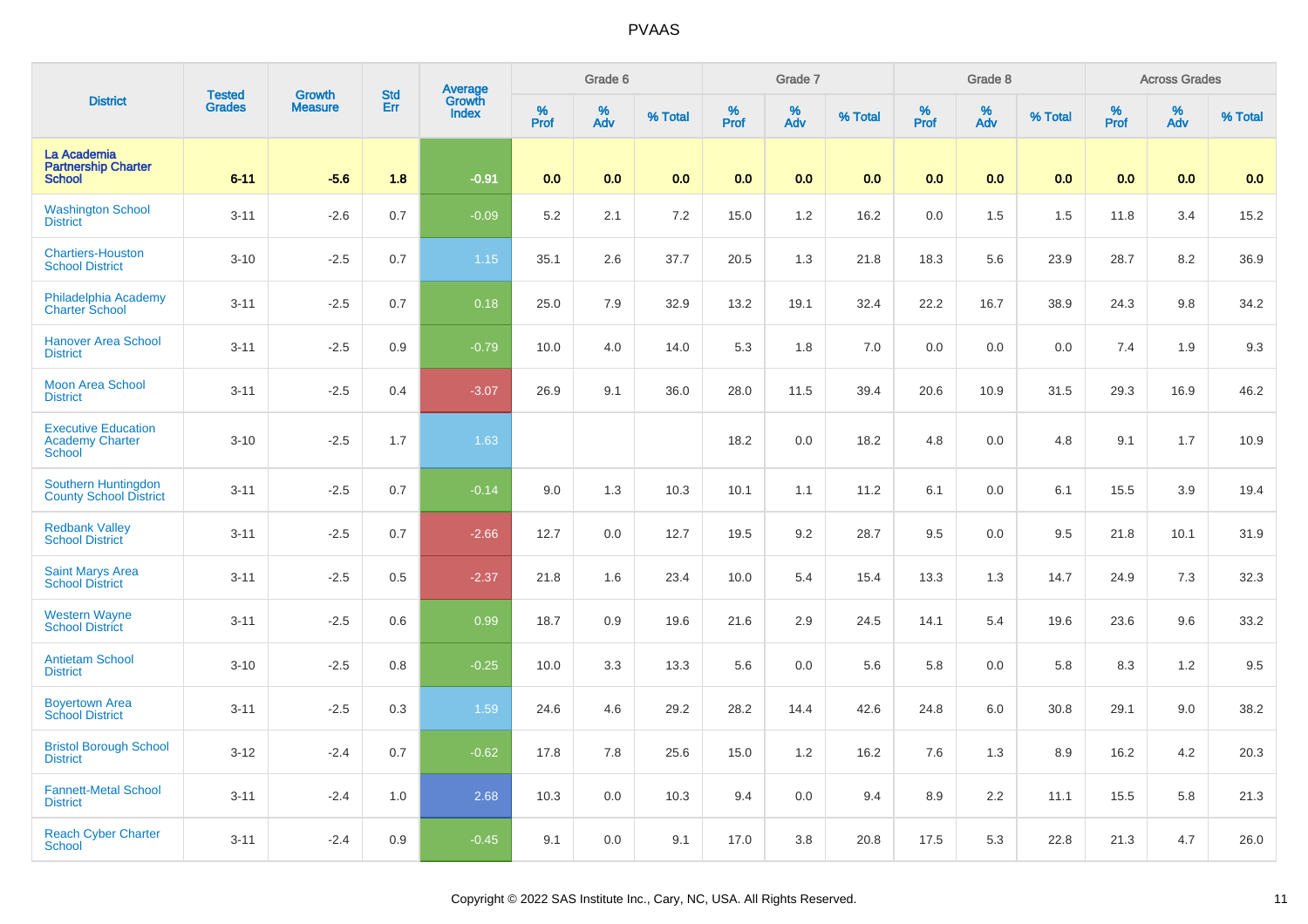| <b>District</b>                                                       | <b>Tested</b> | <b>Growth</b>  | <b>Std</b> |                                          |           | Grade 6  |         |           | Grade 7  |         |           | Grade 8  |         |           | <b>Across Grades</b> |         |
|-----------------------------------------------------------------------|---------------|----------------|------------|------------------------------------------|-----------|----------|---------|-----------|----------|---------|-----------|----------|---------|-----------|----------------------|---------|
|                                                                       | <b>Grades</b> | <b>Measure</b> | Err        | <b>Average</b><br>Growth<br><b>Index</b> | %<br>Prof | %<br>Adv | % Total | %<br>Prof | %<br>Adv | % Total | %<br>Prof | %<br>Adv | % Total | %<br>Prof | %<br>Adv             | % Total |
| La Academia<br><b>Partnership Charter</b><br><b>School</b>            | $6 - 11$      | $-5.6$         | 1.8        | $-0.91$                                  | 0.0       | 0.0      | 0.0     | 0.0       | 0.0      | 0.0     | 0.0       | 0.0      | 0.0     | 0.0       | 0.0                  | 0.0     |
| <b>Washington School</b><br><b>District</b>                           | $3 - 11$      | $-2.6$         | 0.7        | $-0.09$                                  | 5.2       | 2.1      | 7.2     | 15.0      | $1.2$    | 16.2    | 0.0       | 1.5      | 1.5     | 11.8      | 3.4                  | 15.2    |
| <b>Chartiers-Houston</b><br><b>School District</b>                    | $3 - 10$      | $-2.5$         | 0.7        | $1.15$                                   | 35.1      | 2.6      | 37.7    | 20.5      | 1.3      | 21.8    | 18.3      | 5.6      | 23.9    | 28.7      | 8.2                  | 36.9    |
| Philadelphia Academy<br><b>Charter School</b>                         | $3 - 11$      | $-2.5$         | 0.7        | 0.18                                     | 25.0      | 7.9      | 32.9    | 13.2      | 19.1     | 32.4    | 22.2      | 16.7     | 38.9    | 24.3      | 9.8                  | 34.2    |
| <b>Hanover Area School</b><br><b>District</b>                         | $3 - 11$      | $-2.5$         | 0.9        | $-0.79$                                  | 10.0      | 4.0      | 14.0    | 5.3       | 1.8      | 7.0     | 0.0       | 0.0      | 0.0     | 7.4       | 1.9                  | 9.3     |
| <b>Moon Area School</b><br><b>District</b>                            | $3 - 11$      | $-2.5$         | 0.4        | $-3.07$                                  | 26.9      | 9.1      | 36.0    | 28.0      | 11.5     | 39.4    | 20.6      | 10.9     | 31.5    | 29.3      | 16.9                 | 46.2    |
| <b>Executive Education</b><br><b>Academy Charter</b><br><b>School</b> | $3 - 10$      | $-2.5$         | 1.7        | 1.63                                     |           |          |         | 18.2      | 0.0      | 18.2    | 4.8       | 0.0      | 4.8     | 9.1       | 1.7                  | 10.9    |
| Southern Huntingdon<br><b>County School District</b>                  | $3 - 11$      | $-2.5$         | 0.7        | $-0.14$                                  | 9.0       | 1.3      | 10.3    | 10.1      | 1.1      | 11.2    | 6.1       | 0.0      | 6.1     | 15.5      | 3.9                  | 19.4    |
| <b>Redbank Valley</b><br><b>School District</b>                       | $3 - 11$      | $-2.5$         | 0.7        | $-2.66$                                  | 12.7      | 0.0      | 12.7    | 19.5      | 9.2      | 28.7    | 9.5       | 0.0      | 9.5     | 21.8      | 10.1                 | 31.9    |
| <b>Saint Marys Area</b><br><b>School District</b>                     | $3 - 11$      | $-2.5$         | 0.5        | $-2.37$                                  | 21.8      | 1.6      | 23.4    | 10.0      | 5.4      | 15.4    | 13.3      | 1.3      | 14.7    | 24.9      | 7.3                  | 32.3    |
| <b>Western Wayne</b><br><b>School District</b>                        | $3 - 11$      | $-2.5$         | 0.6        | 0.99                                     | 18.7      | 0.9      | 19.6    | 21.6      | 2.9      | 24.5    | 14.1      | 5.4      | 19.6    | 23.6      | 9.6                  | 33.2    |
| <b>Antietam School</b><br><b>District</b>                             | $3 - 10$      | $-2.5$         | 0.8        | $-0.25$                                  | 10.0      | 3.3      | 13.3    | 5.6       | 0.0      | 5.6     | 5.8       | 0.0      | 5.8     | 8.3       | 1.2                  | 9.5     |
| <b>Boyertown Area</b><br><b>School District</b>                       | $3 - 11$      | $-2.5$         | 0.3        | 1.59                                     | 24.6      | 4.6      | 29.2    | 28.2      | 14.4     | 42.6    | 24.8      | 6.0      | 30.8    | 29.1      | 9.0                  | 38.2    |
| <b>Bristol Borough School</b><br><b>District</b>                      | $3 - 12$      | $-2.4$         | 0.7        | $-0.62$                                  | 17.8      | 7.8      | 25.6    | 15.0      | 1.2      | 16.2    | 7.6       | 1.3      | 8.9     | 16.2      | 4.2                  | 20.3    |
| <b>Fannett-Metal School</b><br><b>District</b>                        | $3 - 11$      | $-2.4$         | 1.0        | 2.68                                     | 10.3      | 0.0      | 10.3    | 9.4       | 0.0      | 9.4     | 8.9       | 2.2      | 11.1    | 15.5      | 5.8                  | 21.3    |
| <b>Reach Cyber Charter</b><br><b>School</b>                           | $3 - 11$      | $-2.4$         | 0.9        | $-0.45$                                  | 9.1       | 0.0      | 9.1     | 17.0      | 3.8      | 20.8    | 17.5      | 5.3      | 22.8    | 21.3      | 4.7                  | 26.0    |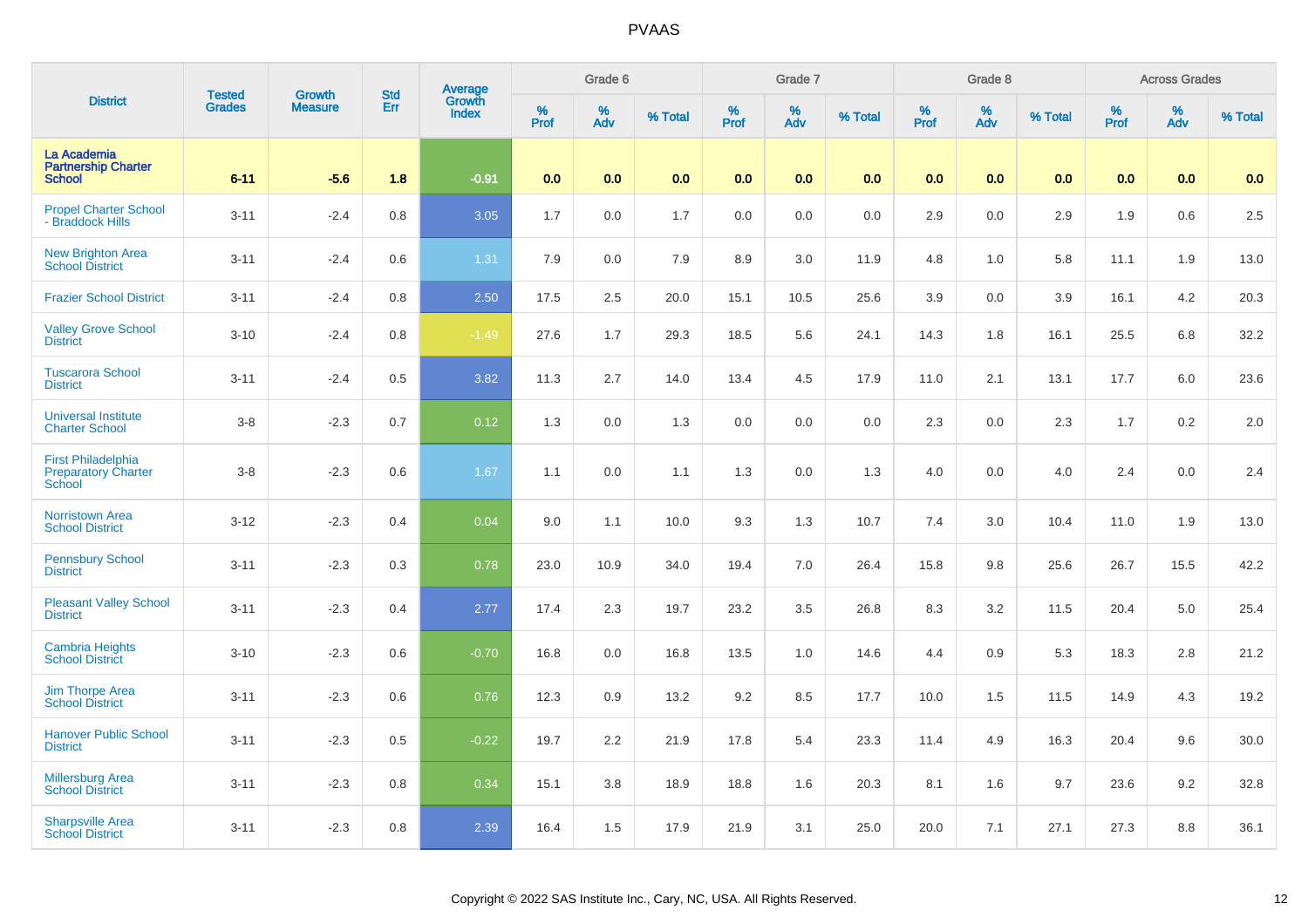|                                                                   | <b>Tested</b> | <b>Growth</b>  | <b>Std</b> | Average<br>Growth |           | Grade 6  |         |           | Grade 7  |         |              | Grade 8  |         |           | <b>Across Grades</b> |         |
|-------------------------------------------------------------------|---------------|----------------|------------|-------------------|-----------|----------|---------|-----------|----------|---------|--------------|----------|---------|-----------|----------------------|---------|
| <b>District</b>                                                   | <b>Grades</b> | <b>Measure</b> | Err        | <b>Index</b>      | %<br>Prof | %<br>Adv | % Total | %<br>Prof | %<br>Adv | % Total | $\%$<br>Prof | %<br>Adv | % Total | %<br>Prof | %<br>Adv             | % Total |
| La Academia<br><b>Partnership Charter</b><br><b>School</b>        | $6 - 11$      | $-5.6$         | 1.8        | $-0.91$           | 0.0       | 0.0      | 0.0     | 0.0       | 0.0      | 0.0     | 0.0          | 0.0      | 0.0     | 0.0       | 0.0                  | 0.0     |
| <b>Propel Charter School</b><br>- Braddock Hills                  | $3 - 11$      | $-2.4$         | 0.8        | 3.05              | 1.7       | 0.0      | 1.7     | 0.0       | 0.0      | 0.0     | 2.9          | 0.0      | 2.9     | 1.9       | 0.6                  | 2.5     |
| <b>New Brighton Area</b><br>School District                       | $3 - 11$      | $-2.4$         | 0.6        | 1.31              | 7.9       | 0.0      | 7.9     | 8.9       | $3.0\,$  | 11.9    | 4.8          | 1.0      | 5.8     | 11.1      | 1.9                  | 13.0    |
| <b>Frazier School District</b>                                    | $3 - 11$      | $-2.4$         | 0.8        | 2.50              | 17.5      | 2.5      | 20.0    | 15.1      | 10.5     | 25.6    | 3.9          | 0.0      | 3.9     | 16.1      | 4.2                  | 20.3    |
| <b>Valley Grove School</b><br><b>District</b>                     | $3 - 10$      | $-2.4$         | 0.8        | $-1.49$           | 27.6      | 1.7      | 29.3    | 18.5      | 5.6      | 24.1    | 14.3         | 1.8      | 16.1    | 25.5      | 6.8                  | 32.2    |
| <b>Tuscarora School</b><br><b>District</b>                        | $3 - 11$      | $-2.4$         | 0.5        | 3.82              | 11.3      | 2.7      | 14.0    | 13.4      | 4.5      | 17.9    | 11.0         | 2.1      | 13.1    | 17.7      | 6.0                  | 23.6    |
| <b>Universal Institute</b><br><b>Charter School</b>               | $3 - 8$       | $-2.3$         | 0.7        | 0.12              | 1.3       | 0.0      | 1.3     | 0.0       | 0.0      | 0.0     | 2.3          | 0.0      | 2.3     | 1.7       | 0.2                  | 2.0     |
| <b>First Philadelphia</b><br><b>Preparatory Charter</b><br>School | $3 - 8$       | $-2.3$         | 0.6        | 1.67              | 1.1       | 0.0      | 1.1     | 1.3       | 0.0      | 1.3     | 4.0          | 0.0      | 4.0     | 2.4       | 0.0                  | 2.4     |
| <b>Norristown Area</b><br><b>School District</b>                  | $3 - 12$      | $-2.3$         | 0.4        | 0.04              | 9.0       | 1.1      | 10.0    | 9.3       | 1.3      | 10.7    | 7.4          | 3.0      | 10.4    | 11.0      | 1.9                  | 13.0    |
| <b>Pennsbury School</b><br><b>District</b>                        | $3 - 11$      | $-2.3$         | 0.3        | 0.78              | 23.0      | 10.9     | 34.0    | 19.4      | $7.0\,$  | 26.4    | 15.8         | 9.8      | 25.6    | 26.7      | 15.5                 | 42.2    |
| <b>Pleasant Valley School</b><br><b>District</b>                  | $3 - 11$      | $-2.3$         | 0.4        | 2.77              | 17.4      | 2.3      | 19.7    | 23.2      | 3.5      | 26.8    | 8.3          | 3.2      | 11.5    | 20.4      | 5.0                  | 25.4    |
| <b>Cambria Heights</b><br><b>School District</b>                  | $3 - 10$      | $-2.3$         | 0.6        | $-0.70$           | 16.8      | 0.0      | 16.8    | 13.5      | $1.0$    | 14.6    | 4.4          | 0.9      | 5.3     | 18.3      | 2.8                  | 21.2    |
| <b>Jim Thorpe Area</b><br><b>School District</b>                  | $3 - 11$      | $-2.3$         | 0.6        | 0.76              | 12.3      | 0.9      | 13.2    | 9.2       | 8.5      | 17.7    | 10.0         | 1.5      | 11.5    | 14.9      | 4.3                  | 19.2    |
| <b>Hanover Public School</b><br><b>District</b>                   | $3 - 11$      | $-2.3$         | 0.5        | $-0.22$           | 19.7      | 2.2      | 21.9    | 17.8      | 5.4      | 23.3    | 11.4         | 4.9      | 16.3    | 20.4      | 9.6                  | 30.0    |
| <b>Millersburg Area</b><br><b>School District</b>                 | $3 - 11$      | $-2.3$         | 0.8        | 0.34              | 15.1      | 3.8      | 18.9    | 18.8      | 1.6      | 20.3    | 8.1          | 1.6      | 9.7     | 23.6      | 9.2                  | 32.8    |
| <b>Sharpsville Area</b><br><b>School District</b>                 | $3 - 11$      | $-2.3$         | 0.8        | 2.39              | 16.4      | 1.5      | 17.9    | 21.9      | 3.1      | 25.0    | 20.0         | 7.1      | 27.1    | 27.3      | 8.8                  | 36.1    |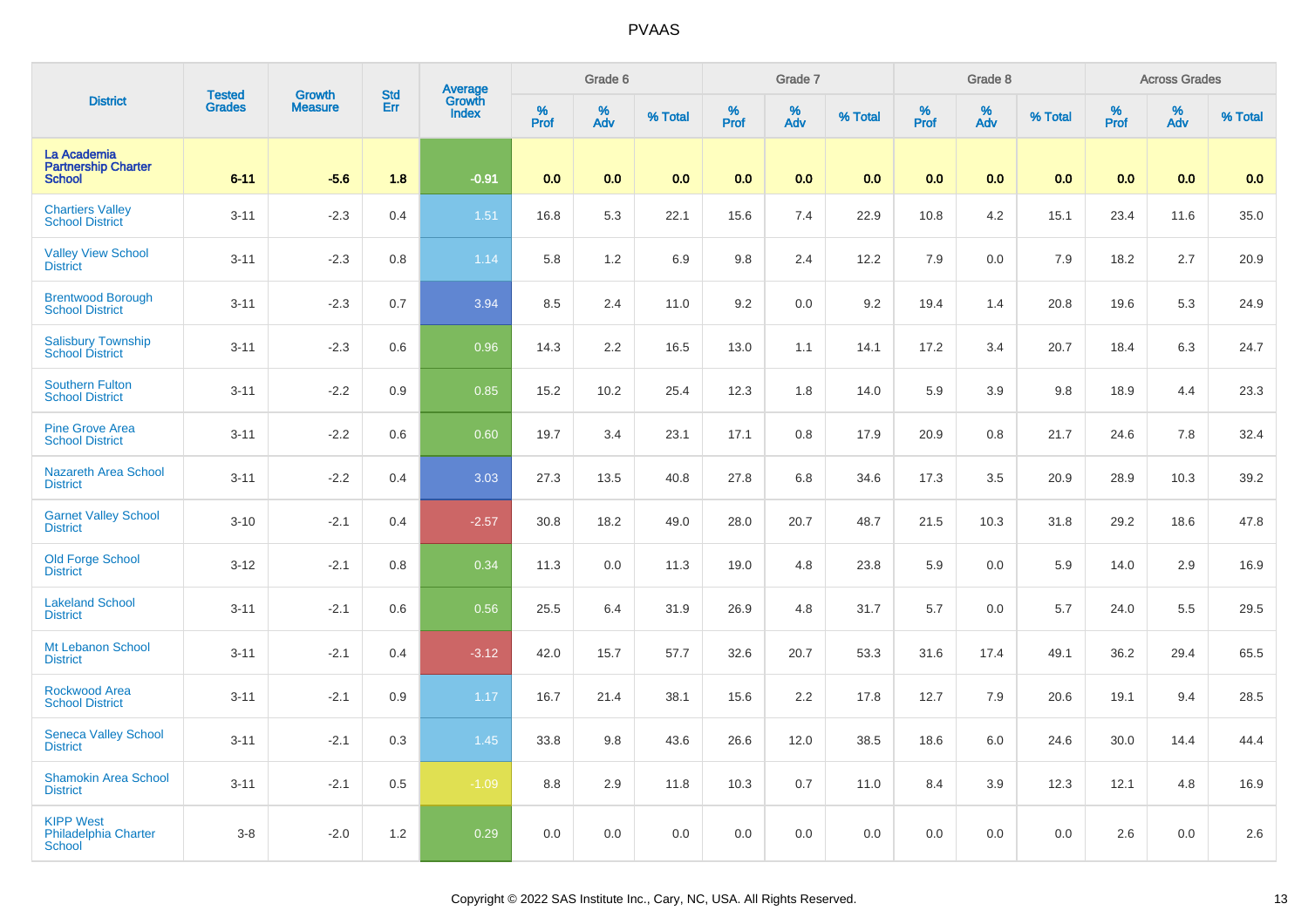| <b>District</b>                                                  | <b>Tested</b> | <b>Growth</b>  | <b>Std</b> | Average<br>Growth |           | Grade 6  |         |          | Grade 7  |         |          | Grade 8  |         |          | <b>Across Grades</b> |         |
|------------------------------------------------------------------|---------------|----------------|------------|-------------------|-----------|----------|---------|----------|----------|---------|----------|----------|---------|----------|----------------------|---------|
|                                                                  | <b>Grades</b> | <b>Measure</b> | Err        | <b>Index</b>      | %<br>Prof | %<br>Adv | % Total | $%$ Prof | %<br>Adv | % Total | $%$ Prof | %<br>Adv | % Total | $%$ Prof | %<br>Adv             | % Total |
| La Academia<br><b>Partnership Charter</b><br><b>School</b>       | $6 - 11$      | $-5.6$         | 1.8        | $-0.91$           | 0.0       | 0.0      | 0.0     | 0.0      | 0.0      | 0.0     | 0.0      | 0.0      | 0.0     | 0.0      | 0.0                  | 0.0     |
| <b>Chartiers Valley</b><br><b>School District</b>                | $3 - 11$      | $-2.3$         | 0.4        | $1.51$            | 16.8      | 5.3      | 22.1    | 15.6     | 7.4      | 22.9    | 10.8     | 4.2      | 15.1    | 23.4     | 11.6                 | 35.0    |
| <b>Valley View School</b><br><b>District</b>                     | $3 - 11$      | $-2.3$         | 0.8        | 1.14              | 5.8       | $1.2$    | 6.9     | 9.8      | 2.4      | 12.2    | 7.9      | 0.0      | 7.9     | 18.2     | 2.7                  | 20.9    |
| <b>Brentwood Borough</b><br><b>School District</b>               | $3 - 11$      | $-2.3$         | 0.7        | 3.94              | 8.5       | 2.4      | 11.0    | 9.2      | 0.0      | 9.2     | 19.4     | 1.4      | 20.8    | 19.6     | 5.3                  | 24.9    |
| <b>Salisbury Township</b><br><b>School District</b>              | $3 - 11$      | $-2.3$         | 0.6        | 0.96              | 14.3      | 2.2      | 16.5    | 13.0     | 1.1      | 14.1    | 17.2     | 3.4      | 20.7    | 18.4     | 6.3                  | 24.7    |
| <b>Southern Fulton</b><br><b>School District</b>                 | $3 - 11$      | $-2.2$         | 0.9        | 0.85              | 15.2      | 10.2     | 25.4    | 12.3     | 1.8      | 14.0    | 5.9      | 3.9      | 9.8     | 18.9     | 4.4                  | 23.3    |
| <b>Pine Grove Area</b><br><b>School District</b>                 | $3 - 11$      | $-2.2$         | 0.6        | 0.60              | 19.7      | 3.4      | 23.1    | 17.1     | 0.8      | 17.9    | 20.9     | 0.8      | 21.7    | 24.6     | 7.8                  | 32.4    |
| <b>Nazareth Area School</b><br><b>District</b>                   | $3 - 11$      | $-2.2$         | 0.4        | 3.03              | 27.3      | 13.5     | 40.8    | 27.8     | 6.8      | 34.6    | 17.3     | 3.5      | 20.9    | 28.9     | 10.3                 | 39.2    |
| <b>Garnet Valley School</b><br><b>District</b>                   | $3 - 10$      | $-2.1$         | 0.4        | $-2.57$           | 30.8      | 18.2     | 49.0    | 28.0     | 20.7     | 48.7    | 21.5     | 10.3     | 31.8    | 29.2     | 18.6                 | 47.8    |
| <b>Old Forge School</b><br><b>District</b>                       | $3 - 12$      | $-2.1$         | 0.8        | 0.34              | 11.3      | 0.0      | 11.3    | 19.0     | 4.8      | 23.8    | 5.9      | 0.0      | 5.9     | 14.0     | 2.9                  | 16.9    |
| <b>Lakeland School</b><br><b>District</b>                        | $3 - 11$      | $-2.1$         | 0.6        | 0.56              | 25.5      | 6.4      | 31.9    | 26.9     | 4.8      | 31.7    | 5.7      | 0.0      | 5.7     | 24.0     | 5.5                  | 29.5    |
| Mt Lebanon School<br><b>District</b>                             | $3 - 11$      | $-2.1$         | 0.4        | $-3.12$           | 42.0      | 15.7     | 57.7    | 32.6     | 20.7     | 53.3    | 31.6     | 17.4     | 49.1    | 36.2     | 29.4                 | 65.5    |
| <b>Rockwood Area</b><br><b>School District</b>                   | $3 - 11$      | $-2.1$         | 0.9        | 1.17              | 16.7      | 21.4     | 38.1    | 15.6     | 2.2      | 17.8    | 12.7     | 7.9      | 20.6    | 19.1     | 9.4                  | 28.5    |
| <b>Seneca Valley School</b><br><b>District</b>                   | $3 - 11$      | $-2.1$         | 0.3        | 1.45              | 33.8      | 9.8      | 43.6    | 26.6     | 12.0     | 38.5    | 18.6     | 6.0      | 24.6    | 30.0     | 14.4                 | 44.4    |
| <b>Shamokin Area School</b><br><b>District</b>                   | $3 - 11$      | $-2.1$         | 0.5        | $-1.09$           | 8.8       | 2.9      | 11.8    | 10.3     | 0.7      | 11.0    | 8.4      | 3.9      | 12.3    | 12.1     | 4.8                  | 16.9    |
| <b>KIPP West</b><br><b>Philadelphia Charter</b><br><b>School</b> | $3 - 8$       | $-2.0$         | 1.2        | 0.29              | 0.0       | 0.0      | 0.0     | 0.0      | 0.0      | 0.0     | 0.0      | 0.0      | 0.0     | 2.6      | 0.0                  | 2.6     |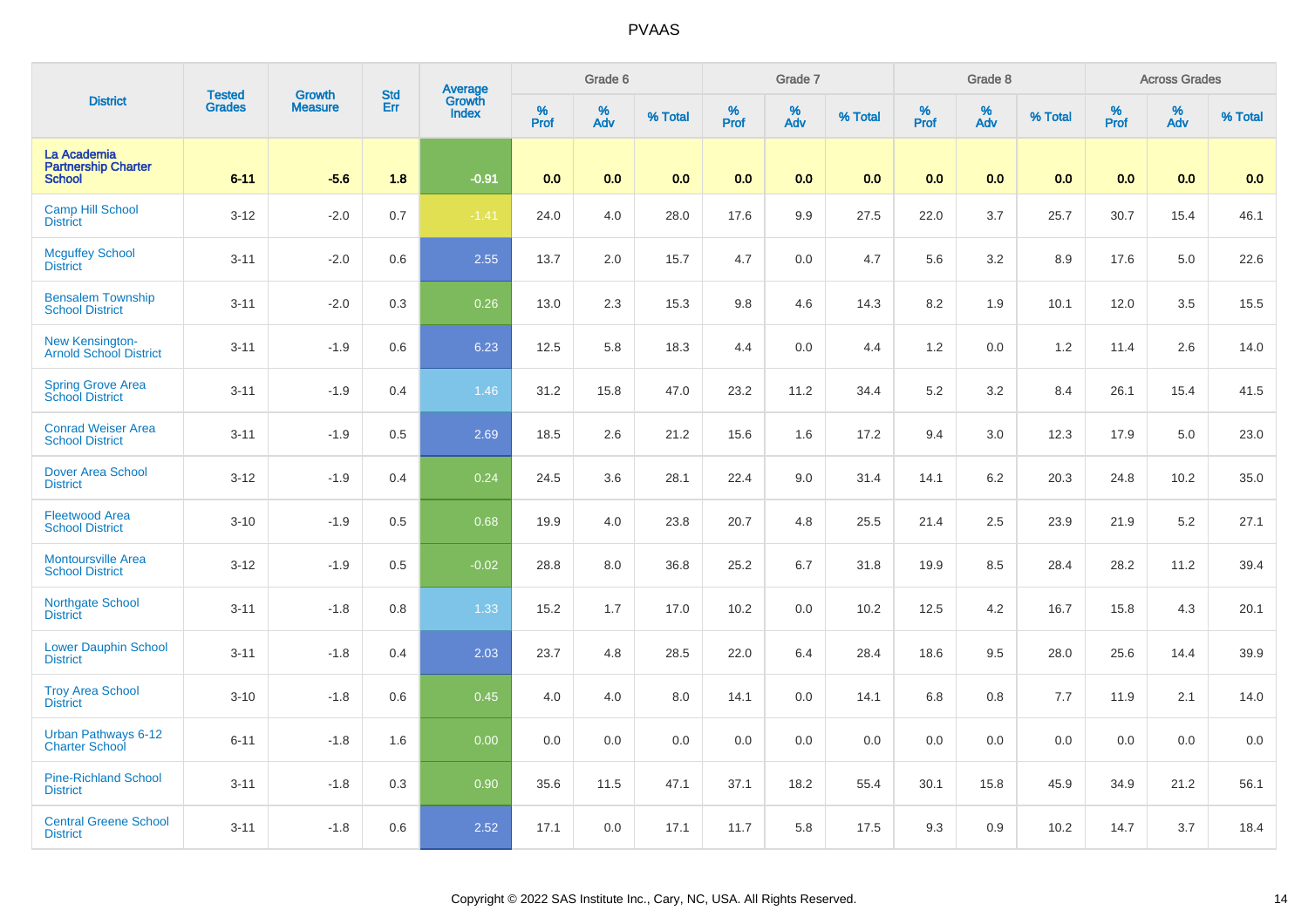| <b>District</b>                                            | <b>Tested</b> | <b>Growth</b>  | <b>Std</b> |                                   |           | Grade 6  |         |              | Grade 7  |         |              | Grade 8  |         |           | <b>Across Grades</b> |         |
|------------------------------------------------------------|---------------|----------------|------------|-----------------------------------|-----------|----------|---------|--------------|----------|---------|--------------|----------|---------|-----------|----------------------|---------|
|                                                            | <b>Grades</b> | <b>Measure</b> | Err        | Average<br>Growth<br><b>Index</b> | %<br>Prof | %<br>Adv | % Total | $\%$<br>Prof | %<br>Adv | % Total | $\%$<br>Prof | %<br>Adv | % Total | %<br>Prof | %<br>Adv             | % Total |
| La Academia<br><b>Partnership Charter</b><br><b>School</b> | $6 - 11$      | $-5.6$         | 1.8        | $-0.91$                           | 0.0       | 0.0      | 0.0     | 0.0          | 0.0      | 0.0     | 0.0          | 0.0      | 0.0     | 0.0       | 0.0                  | 0.0     |
| <b>Camp Hill School</b><br><b>District</b>                 | $3 - 12$      | $-2.0$         | 0.7        | $-1.41$                           | 24.0      | 4.0      | 28.0    | 17.6         | 9.9      | 27.5    | 22.0         | 3.7      | 25.7    | 30.7      | 15.4                 | 46.1    |
| <b>Mcguffey School</b><br><b>District</b>                  | $3 - 11$      | $-2.0$         | 0.6        | 2.55                              | 13.7      | 2.0      | 15.7    | 4.7          | $0.0\,$  | 4.7     | 5.6          | 3.2      | 8.9     | 17.6      | 5.0                  | 22.6    |
| <b>Bensalem Township</b><br><b>School District</b>         | $3 - 11$      | $-2.0$         | 0.3        | 0.26                              | 13.0      | 2.3      | 15.3    | 9.8          | 4.6      | 14.3    | 8.2          | 1.9      | 10.1    | 12.0      | 3.5                  | 15.5    |
| New Kensington-<br><b>Arnold School District</b>           | $3 - 11$      | $-1.9$         | 0.6        | 6.23                              | 12.5      | 5.8      | 18.3    | 4.4          | 0.0      | 4.4     | 1.2          | 0.0      | 1.2     | 11.4      | 2.6                  | 14.0    |
| <b>Spring Grove Area</b><br><b>School District</b>         | $3 - 11$      | $-1.9$         | 0.4        | 1.46                              | 31.2      | 15.8     | 47.0    | 23.2         | 11.2     | 34.4    | $5.2\,$      | 3.2      | 8.4     | 26.1      | 15.4                 | 41.5    |
| <b>Conrad Weiser Area</b><br><b>School District</b>        | $3 - 11$      | $-1.9$         | 0.5        | 2.69                              | 18.5      | 2.6      | 21.2    | 15.6         | 1.6      | 17.2    | 9.4          | 3.0      | 12.3    | 17.9      | 5.0                  | 23.0    |
| <b>Dover Area School</b><br><b>District</b>                | $3 - 12$      | $-1.9$         | 0.4        | 0.24                              | 24.5      | 3.6      | 28.1    | 22.4         | 9.0      | 31.4    | 14.1         | 6.2      | 20.3    | 24.8      | 10.2                 | 35.0    |
| <b>Fleetwood Area</b><br><b>School District</b>            | $3 - 10$      | $-1.9$         | 0.5        | 0.68                              | 19.9      | 4.0      | 23.8    | 20.7         | 4.8      | 25.5    | 21.4         | 2.5      | 23.9    | 21.9      | 5.2                  | 27.1    |
| <b>Montoursville Area</b><br><b>School District</b>        | $3 - 12$      | $-1.9$         | 0.5        | $-0.02$                           | 28.8      | 8.0      | 36.8    | 25.2         | 6.7      | 31.8    | 19.9         | 8.5      | 28.4    | 28.2      | 11.2                 | 39.4    |
| Northgate School<br><b>District</b>                        | $3 - 11$      | $-1.8$         | 0.8        | 1.33                              | 15.2      | 1.7      | 17.0    | 10.2         | 0.0      | 10.2    | 12.5         | 4.2      | 16.7    | 15.8      | 4.3                  | 20.1    |
| <b>Lower Dauphin School</b><br><b>District</b>             | $3 - 11$      | $-1.8$         | 0.4        | 2.03                              | 23.7      | 4.8      | 28.5    | 22.0         | 6.4      | 28.4    | 18.6         | 9.5      | 28.0    | 25.6      | 14.4                 | 39.9    |
| <b>Troy Area School</b><br><b>District</b>                 | $3 - 10$      | $-1.8$         | 0.6        | 0.45                              | 4.0       | 4.0      | 8.0     | 14.1         | 0.0      | 14.1    | 6.8          | 0.8      | 7.7     | 11.9      | 2.1                  | 14.0    |
| Urban Pathways 6-12<br><b>Charter School</b>               | $6 - 11$      | $-1.8$         | 1.6        | 0.00                              | 0.0       | 0.0      | 0.0     | 0.0          | 0.0      | 0.0     | 0.0          | 0.0      | 0.0     | 0.0       | 0.0                  | 0.0     |
| <b>Pine-Richland School</b><br><b>District</b>             | $3 - 11$      | $-1.8$         | 0.3        | 0.90                              | 35.6      | 11.5     | 47.1    | 37.1         | 18.2     | 55.4    | 30.1         | 15.8     | 45.9    | 34.9      | 21.2                 | 56.1    |
| <b>Central Greene School</b><br><b>District</b>            | $3 - 11$      | $-1.8$         | 0.6        | 2.52                              | 17.1      | 0.0      | 17.1    | 11.7         | 5.8      | 17.5    | 9.3          | 0.9      | 10.2    | 14.7      | 3.7                  | 18.4    |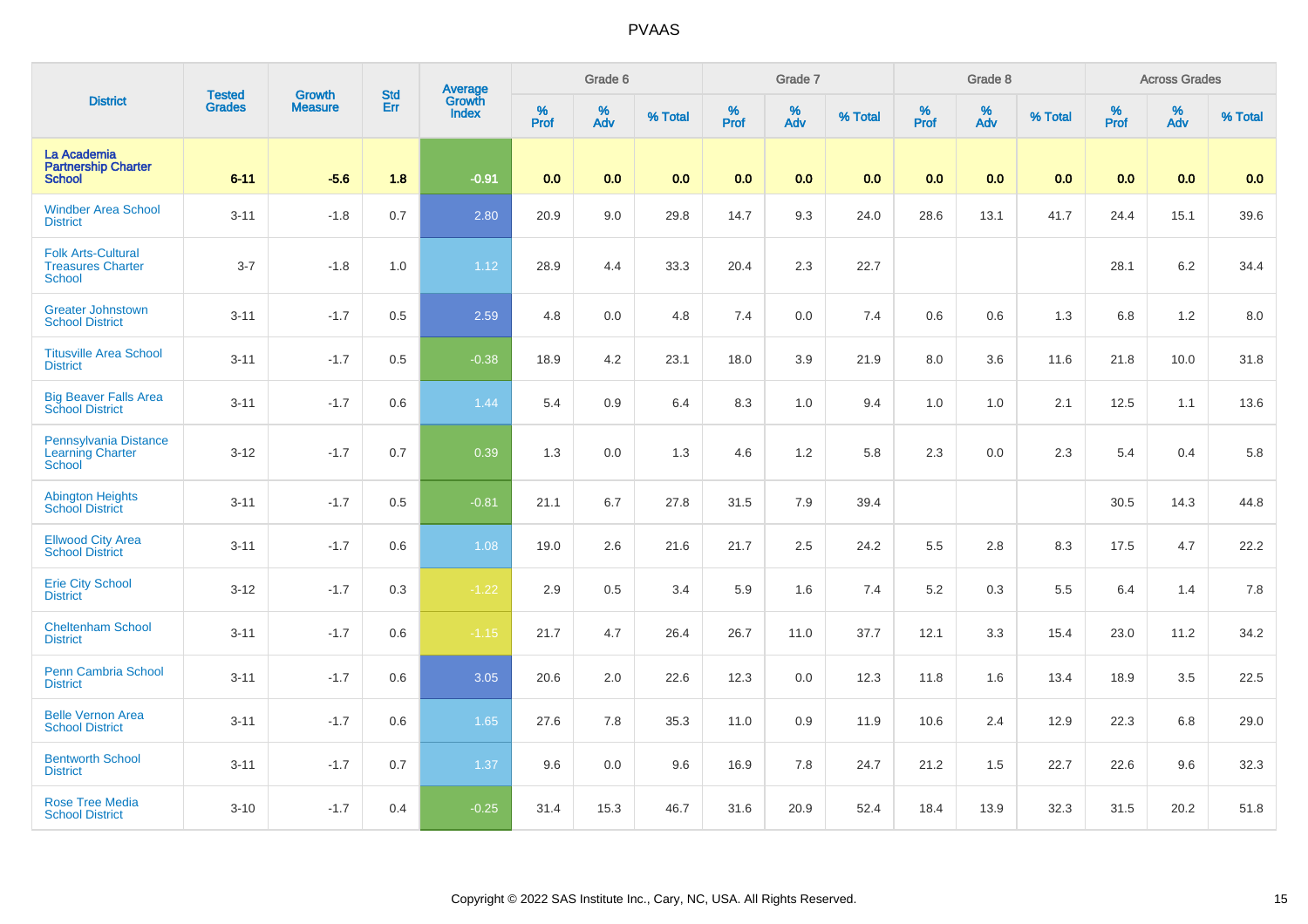|                                                                        | <b>Tested</b> | <b>Growth</b>  | <b>Std</b> | Average<br>Growth |              | Grade 6  |         |                  | Grade 7  |         |                  | Grade 8  |         |           | <b>Across Grades</b> |         |
|------------------------------------------------------------------------|---------------|----------------|------------|-------------------|--------------|----------|---------|------------------|----------|---------|------------------|----------|---------|-----------|----------------------|---------|
| <b>District</b>                                                        | <b>Grades</b> | <b>Measure</b> | Err        | <b>Index</b>      | $\%$<br>Prof | %<br>Adv | % Total | %<br><b>Prof</b> | %<br>Adv | % Total | %<br><b>Prof</b> | %<br>Adv | % Total | %<br>Prof | %<br>Adv             | % Total |
| La Academia<br><b>Partnership Charter</b><br><b>School</b>             | $6 - 11$      | $-5.6$         | 1.8        | $-0.91$           | 0.0          | 0.0      | 0.0     | 0.0              | 0.0      | 0.0     | 0.0              | 0.0      | 0.0     | 0.0       | 0.0                  | 0.0     |
| <b>Windber Area School</b><br><b>District</b>                          | $3 - 11$      | $-1.8$         | 0.7        | 2.80              | 20.9         | 9.0      | 29.8    | 14.7             | 9.3      | 24.0    | 28.6             | 13.1     | 41.7    | 24.4      | 15.1                 | 39.6    |
| <b>Folk Arts-Cultural</b><br><b>Treasures Charter</b><br><b>School</b> | $3 - 7$       | $-1.8$         | 1.0        | 1.12              | 28.9         | 4.4      | 33.3    | 20.4             | 2.3      | 22.7    |                  |          |         | 28.1      | 6.2                  | 34.4    |
| <b>Greater Johnstown</b><br><b>School District</b>                     | $3 - 11$      | $-1.7$         | 0.5        | 2.59              | 4.8          | 0.0      | 4.8     | 7.4              | 0.0      | 7.4     | 0.6              | 0.6      | 1.3     | 6.8       | 1.2                  | 8.0     |
| <b>Titusville Area School</b><br><b>District</b>                       | $3 - 11$      | $-1.7$         | 0.5        | $-0.38$           | 18.9         | 4.2      | 23.1    | 18.0             | 3.9      | 21.9    | $8.0\,$          | 3.6      | 11.6    | 21.8      | 10.0                 | 31.8    |
| <b>Big Beaver Falls Area</b><br><b>School District</b>                 | $3 - 11$      | $-1.7$         | 0.6        | 1.44              | 5.4          | 0.9      | 6.4     | 8.3              | $1.0$    | 9.4     | $1.0$            | $1.0$    | 2.1     | 12.5      | 1.1                  | 13.6    |
| Pennsylvania Distance<br><b>Learning Charter</b><br>School             | $3 - 12$      | $-1.7$         | 0.7        | 0.39              | 1.3          | 0.0      | 1.3     | 4.6              | 1.2      | 5.8     | 2.3              | 0.0      | 2.3     | 5.4       | 0.4                  | 5.8     |
| <b>Abington Heights</b><br><b>School District</b>                      | $3 - 11$      | $-1.7$         | 0.5        | $-0.81$           | 21.1         | 6.7      | 27.8    | 31.5             | 7.9      | 39.4    |                  |          |         | 30.5      | 14.3                 | 44.8    |
| <b>Ellwood City Area</b><br><b>School District</b>                     | $3 - 11$      | $-1.7$         | 0.6        | 1.08              | 19.0         | 2.6      | 21.6    | 21.7             | 2.5      | 24.2    | 5.5              | 2.8      | 8.3     | 17.5      | 4.7                  | 22.2    |
| <b>Erie City School</b><br><b>District</b>                             | $3 - 12$      | $-1.7$         | 0.3        | $-1.22$           | 2.9          | 0.5      | 3.4     | 5.9              | 1.6      | 7.4     | $5.2\,$          | 0.3      | 5.5     | 6.4       | 1.4                  | 7.8     |
| <b>Cheltenham School</b><br><b>District</b>                            | $3 - 11$      | $-1.7$         | 0.6        | $-1.15$           | 21.7         | 4.7      | 26.4    | 26.7             | 11.0     | 37.7    | 12.1             | 3.3      | 15.4    | 23.0      | 11.2                 | 34.2    |
| <b>Penn Cambria School</b><br><b>District</b>                          | $3 - 11$      | $-1.7$         | 0.6        | 3.05              | 20.6         | 2.0      | 22.6    | 12.3             | $0.0\,$  | 12.3    | 11.8             | 1.6      | 13.4    | 18.9      | 3.5                  | 22.5    |
| <b>Belle Vernon Area</b><br><b>School District</b>                     | $3 - 11$      | $-1.7$         | 0.6        | 1.65              | 27.6         | 7.8      | 35.3    | 11.0             | 0.9      | 11.9    | 10.6             | 2.4      | 12.9    | 22.3      | 6.8                  | 29.0    |
| <b>Bentworth School</b><br><b>District</b>                             | $3 - 11$      | $-1.7$         | 0.7        | 1.37              | 9.6          | 0.0      | 9.6     | 16.9             | 7.8      | 24.7    | 21.2             | 1.5      | 22.7    | 22.6      | 9.6                  | 32.3    |
| <b>Rose Tree Media</b><br><b>School District</b>                       | $3 - 10$      | $-1.7$         | 0.4        | $-0.25$           | 31.4         | 15.3     | 46.7    | 31.6             | 20.9     | 52.4    | 18.4             | 13.9     | 32.3    | 31.5      | 20.2                 | 51.8    |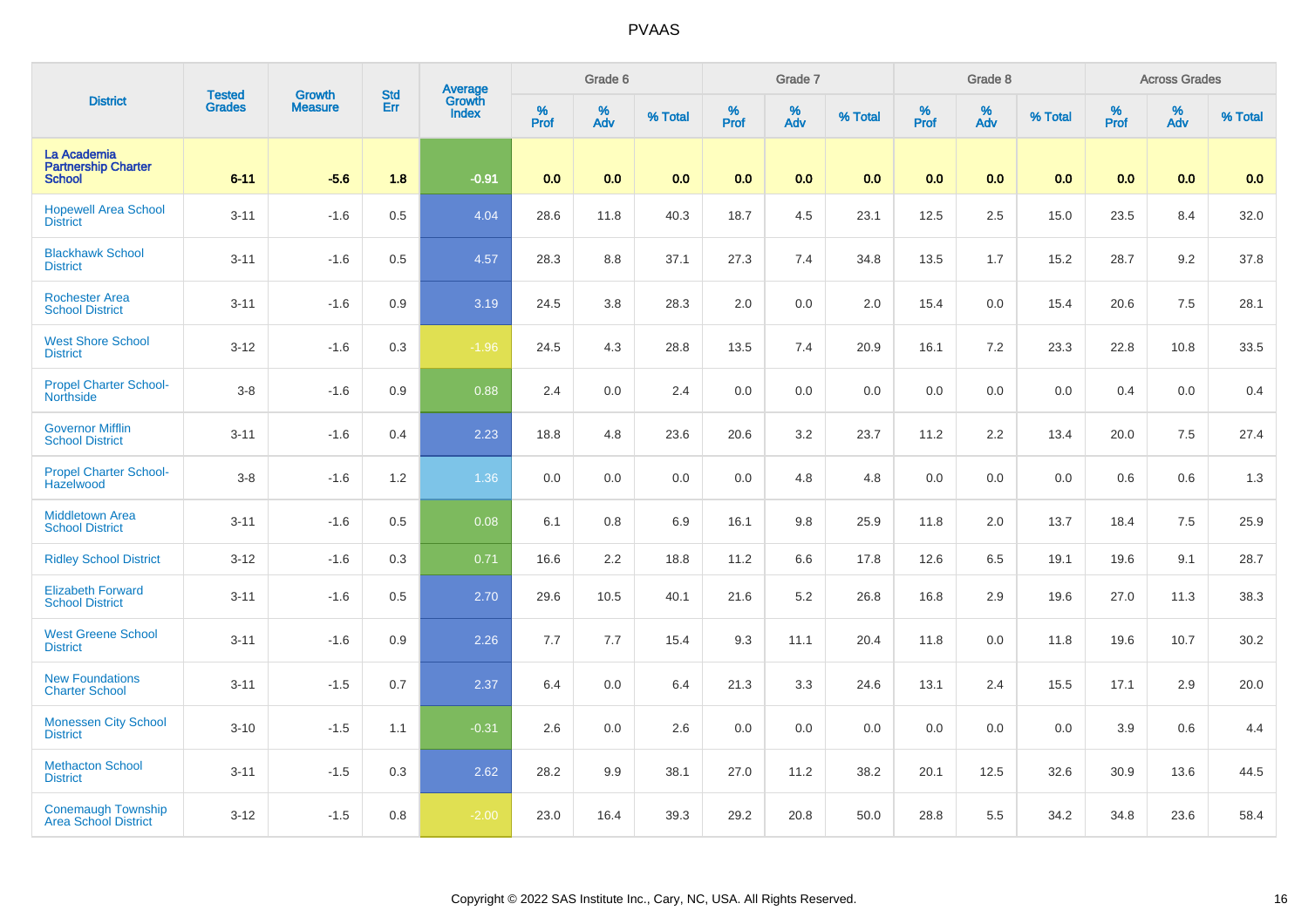| <b>District</b><br>La Academia                           | <b>Tested</b> | <b>Growth</b>  | <b>Std</b> | Average<br>Growth |          | Grade 6  |         |                     | Grade 7  |         |                     | Grade 8  |         |                     | <b>Across Grades</b> |         |
|----------------------------------------------------------|---------------|----------------|------------|-------------------|----------|----------|---------|---------------------|----------|---------|---------------------|----------|---------|---------------------|----------------------|---------|
|                                                          | <b>Grades</b> | <b>Measure</b> | Err        | <b>Index</b>      | $%$ Prof | %<br>Adv | % Total | $\%$<br><b>Prof</b> | %<br>Adv | % Total | $\%$<br><b>Prof</b> | %<br>Adv | % Total | $\%$<br><b>Prof</b> | $\%$<br>Adv          | % Total |
| <b>Partnership Charter</b><br><b>School</b>              | $6 - 11$      | $-5.6$         | 1.8        | $-0.91$           | 0.0      | 0.0      | 0.0     | 0.0                 | 0.0      | 0.0     | 0.0                 | 0.0      | 0.0     | 0.0                 | 0.0                  | 0.0     |
| <b>Hopewell Area School</b><br><b>District</b>           | $3 - 11$      | $-1.6$         | 0.5        | 4.04              | 28.6     | 11.8     | 40.3    | 18.7                | 4.5      | 23.1    | 12.5                | 2.5      | 15.0    | 23.5                | 8.4                  | 32.0    |
| <b>Blackhawk School</b><br><b>District</b>               | $3 - 11$      | $-1.6$         | 0.5        | 4.57              | 28.3     | 8.8      | 37.1    | 27.3                | 7.4      | 34.8    | 13.5                | 1.7      | 15.2    | 28.7                | 9.2                  | 37.8    |
| <b>Rochester Area</b><br><b>School District</b>          | $3 - 11$      | $-1.6$         | 0.9        | 3.19              | 24.5     | 3.8      | 28.3    | 2.0                 | 0.0      | 2.0     | 15.4                | 0.0      | 15.4    | 20.6                | 7.5                  | 28.1    |
| <b>West Shore School</b><br><b>District</b>              | $3 - 12$      | $-1.6$         | 0.3        | $-1.96$           | 24.5     | 4.3      | 28.8    | 13.5                | 7.4      | 20.9    | 16.1                | 7.2      | 23.3    | 22.8                | 10.8                 | 33.5    |
| <b>Propel Charter School-</b><br><b>Northside</b>        | $3 - 8$       | $-1.6$         | 0.9        | 0.88              | 2.4      | 0.0      | 2.4     | 0.0                 | 0.0      | 0.0     | 0.0                 | 0.0      | 0.0     | 0.4                 | 0.0                  | 0.4     |
| <b>Governor Mifflin</b><br><b>School District</b>        | $3 - 11$      | $-1.6$         | 0.4        | 2.23              | 18.8     | 4.8      | 23.6    | 20.6                | 3.2      | 23.7    | 11.2                | 2.2      | 13.4    | 20.0                | 7.5                  | 27.4    |
| <b>Propel Charter School-</b><br>Hazelwood               | $3 - 8$       | $-1.6$         | 1.2        | 1.36              | 0.0      | 0.0      | 0.0     | 0.0                 | 4.8      | 4.8     | 0.0                 | 0.0      | 0.0     | 0.6                 | 0.6                  | $1.3$   |
| <b>Middletown Area</b><br><b>School District</b>         | $3 - 11$      | $-1.6$         | 0.5        | 0.08              | 6.1      | 0.8      | 6.9     | 16.1                | 9.8      | 25.9    | 11.8                | 2.0      | 13.7    | 18.4                | 7.5                  | 25.9    |
| <b>Ridley School District</b>                            | $3 - 12$      | $-1.6$         | 0.3        | 0.71              | 16.6     | 2.2      | 18.8    | 11.2                | 6.6      | 17.8    | 12.6                | 6.5      | 19.1    | 19.6                | 9.1                  | 28.7    |
| <b>Elizabeth Forward</b><br><b>School District</b>       | $3 - 11$      | $-1.6$         | 0.5        | 2.70              | 29.6     | 10.5     | 40.1    | 21.6                | 5.2      | 26.8    | 16.8                | 2.9      | 19.6    | 27.0                | 11.3                 | 38.3    |
| <b>West Greene School</b><br><b>District</b>             | $3 - 11$      | $-1.6$         | 0.9        | 2.26              | 7.7      | 7.7      | 15.4    | 9.3                 | 11.1     | 20.4    | 11.8                | 0.0      | 11.8    | 19.6                | 10.7                 | 30.2    |
| <b>New Foundations</b><br><b>Charter School</b>          | $3 - 11$      | $-1.5$         | 0.7        | 2.37              | 6.4      | 0.0      | 6.4     | 21.3                | 3.3      | 24.6    | 13.1                | 2.4      | 15.5    | 17.1                | 2.9                  | 20.0    |
| <b>Monessen City School</b><br><b>District</b>           | $3 - 10$      | $-1.5$         | 1.1        | $-0.31$           | 2.6      | 0.0      | 2.6     | 0.0                 | 0.0      | 0.0     | 0.0                 | 0.0      | 0.0     | 3.9                 | 0.6                  | 4.4     |
| <b>Methacton School</b><br><b>District</b>               | $3 - 11$      | $-1.5$         | 0.3        | 2.62              | 28.2     | 9.9      | 38.1    | 27.0                | 11.2     | 38.2    | 20.1                | 12.5     | 32.6    | 30.9                | 13.6                 | 44.5    |
| <b>Conemaugh Township</b><br><b>Area School District</b> | $3 - 12$      | $-1.5$         | 0.8        | $-2.00$           | 23.0     | 16.4     | 39.3    | 29.2                | 20.8     | 50.0    | 28.8                | 5.5      | 34.2    | 34.8                | 23.6                 | 58.4    |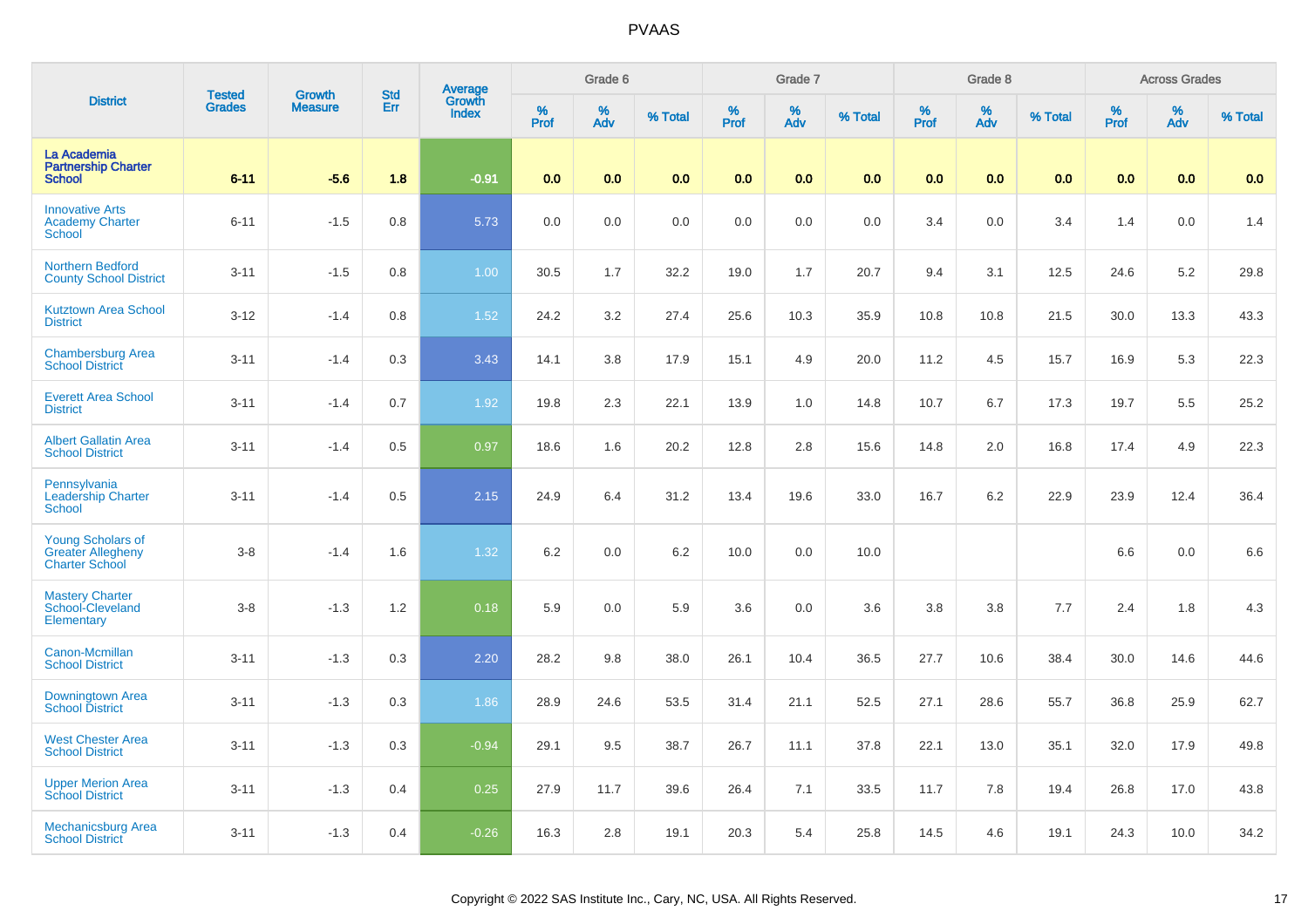|                                                                               |                                |                                 |                   |                                          |              | Grade 6     |         |           | Grade 7  |         |                     | Grade 8  |         |           | <b>Across Grades</b> |         |
|-------------------------------------------------------------------------------|--------------------------------|---------------------------------|-------------------|------------------------------------------|--------------|-------------|---------|-----------|----------|---------|---------------------|----------|---------|-----------|----------------------|---------|
| <b>District</b>                                                               | <b>Tested</b><br><b>Grades</b> | <b>Growth</b><br><b>Measure</b> | <b>Std</b><br>Err | <b>Average</b><br>Growth<br><b>Index</b> | $\%$<br>Prof | $\%$<br>Adv | % Total | %<br>Prof | %<br>Adv | % Total | $\%$<br><b>Prof</b> | %<br>Adv | % Total | %<br>Prof | %<br>Adv             | % Total |
| La Academia<br><b>Partnership Charter</b><br><b>School</b>                    | $6 - 11$                       | $-5.6$                          | 1.8               | $-0.91$                                  | 0.0          | 0.0         | 0.0     | 0.0       | 0.0      | 0.0     | 0.0                 | 0.0      | 0.0     | 0.0       | 0.0                  | 0.0     |
| <b>Innovative Arts</b><br><b>Academy Charter</b><br>School                    | $6 - 11$                       | $-1.5$                          | 0.8               | 5.73                                     | 0.0          | 0.0         | 0.0     | 0.0       | 0.0      | 0.0     | 3.4                 | 0.0      | 3.4     | 1.4       | 0.0                  | 1.4     |
| Northern Bedford<br><b>County School District</b>                             | $3 - 11$                       | $-1.5$                          | 0.8               | 1.00                                     | 30.5         | 1.7         | 32.2    | 19.0      | 1.7      | 20.7    | 9.4                 | 3.1      | 12.5    | 24.6      | 5.2                  | 29.8    |
| <b>Kutztown Area School</b><br><b>District</b>                                | $3 - 12$                       | $-1.4$                          | 0.8               | $1.52$                                   | 24.2         | 3.2         | 27.4    | 25.6      | 10.3     | 35.9    | 10.8                | 10.8     | 21.5    | 30.0      | 13.3                 | 43.3    |
| <b>Chambersburg Area</b><br><b>School District</b>                            | $3 - 11$                       | $-1.4$                          | 0.3               | 3.43                                     | 14.1         | 3.8         | 17.9    | 15.1      | 4.9      | 20.0    | 11.2                | 4.5      | 15.7    | 16.9      | 5.3                  | 22.3    |
| <b>Everett Area School</b><br><b>District</b>                                 | $3 - 11$                       | $-1.4$                          | 0.7               | 1.92                                     | 19.8         | 2.3         | 22.1    | 13.9      | 1.0      | 14.8    | 10.7                | 6.7      | 17.3    | 19.7      | 5.5                  | 25.2    |
| <b>Albert Gallatin Area</b><br><b>School District</b>                         | $3 - 11$                       | $-1.4$                          | 0.5               | 0.97                                     | 18.6         | 1.6         | 20.2    | 12.8      | 2.8      | 15.6    | 14.8                | 2.0      | 16.8    | 17.4      | 4.9                  | 22.3    |
| Pennsylvania<br><b>Leadership Charter</b><br>School                           | $3 - 11$                       | $-1.4$                          | 0.5               | 2.15                                     | 24.9         | 6.4         | 31.2    | 13.4      | 19.6     | 33.0    | 16.7                | 6.2      | 22.9    | 23.9      | 12.4                 | 36.4    |
| <b>Young Scholars of</b><br><b>Greater Allegheny</b><br><b>Charter School</b> | $3 - 8$                        | $-1.4$                          | 1.6               | 1.32                                     | 6.2          | 0.0         | 6.2     | 10.0      | 0.0      | 10.0    |                     |          |         | 6.6       | $0.0\,$              | 6.6     |
| <b>Mastery Charter</b><br>School-Cleveland<br>Elementary                      | $3 - 8$                        | $-1.3$                          | 1.2               | 0.18                                     | 5.9          | 0.0         | 5.9     | 3.6       | 0.0      | 3.6     | 3.8                 | 3.8      | 7.7     | 2.4       | 1.8                  | 4.3     |
| Canon-Mcmillan<br><b>School District</b>                                      | $3 - 11$                       | $-1.3$                          | 0.3               | 2.20                                     | 28.2         | 9.8         | 38.0    | 26.1      | 10.4     | 36.5    | 27.7                | 10.6     | 38.4    | 30.0      | 14.6                 | 44.6    |
| <b>Downingtown Area</b><br><b>School District</b>                             | $3 - 11$                       | $-1.3$                          | 0.3               | 1.86                                     | 28.9         | 24.6        | 53.5    | 31.4      | 21.1     | 52.5    | 27.1                | 28.6     | 55.7    | 36.8      | 25.9                 | 62.7    |
| <b>West Chester Area</b><br><b>School District</b>                            | $3 - 11$                       | $-1.3$                          | 0.3               | $-0.94$                                  | 29.1         | 9.5         | 38.7    | 26.7      | 11.1     | 37.8    | 22.1                | 13.0     | 35.1    | 32.0      | 17.9                 | 49.8    |
| <b>Upper Merion Area</b><br><b>School District</b>                            | $3 - 11$                       | $-1.3$                          | 0.4               | 0.25                                     | 27.9         | 11.7        | 39.6    | 26.4      | 7.1      | 33.5    | 11.7                | 7.8      | 19.4    | 26.8      | 17.0                 | 43.8    |
| Mechanicsburg Area<br><b>School District</b>                                  | $3 - 11$                       | $-1.3$                          | 0.4               | $-0.26$                                  | 16.3         | 2.8         | 19.1    | 20.3      | 5.4      | 25.8    | 14.5                | 4.6      | 19.1    | 24.3      | 10.0                 | 34.2    |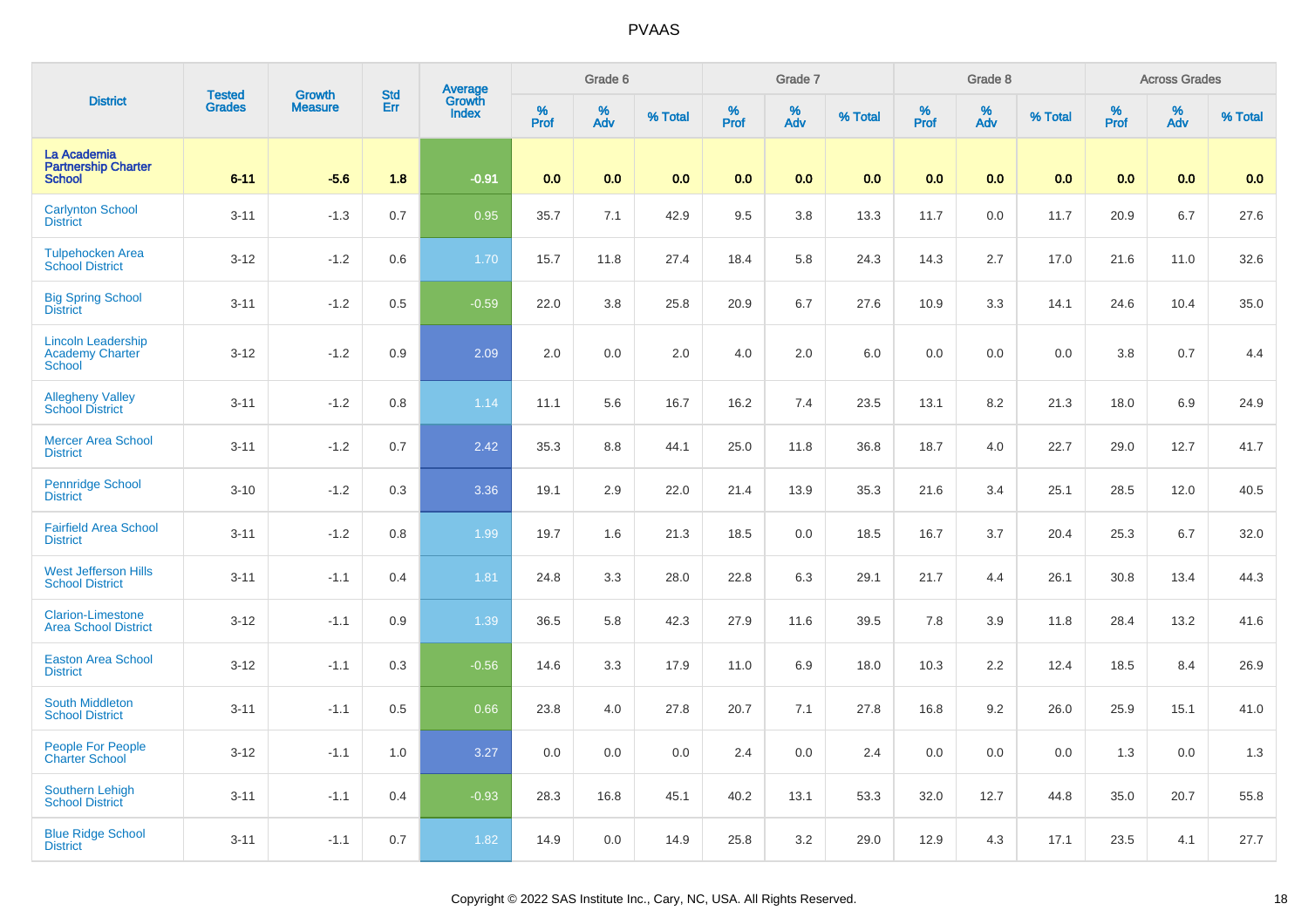| <b>District</b>                                               | <b>Tested</b> | <b>Growth</b>  | <b>Std</b> | <b>Average</b><br>Growth |           | Grade 6  |         |          | Grade 7  |         |           | Grade 8  |         |           | <b>Across Grades</b> |         |
|---------------------------------------------------------------|---------------|----------------|------------|--------------------------|-----------|----------|---------|----------|----------|---------|-----------|----------|---------|-----------|----------------------|---------|
|                                                               | <b>Grades</b> | <b>Measure</b> | Err        | <b>Index</b>             | %<br>Prof | %<br>Adv | % Total | $%$ Prof | %<br>Adv | % Total | %<br>Prof | %<br>Adv | % Total | %<br>Prof | %<br>Adv             | % Total |
| La Academia<br><b>Partnership Charter</b><br><b>School</b>    | $6 - 11$      | $-5.6$         | 1.8        | $-0.91$                  | 0.0       | 0.0      | 0.0     | 0.0      | 0.0      | 0.0     | 0.0       | 0.0      | 0.0     | 0.0       | 0.0                  | 0.0     |
| <b>Carlynton School</b><br><b>District</b>                    | $3 - 11$      | $-1.3$         | 0.7        | 0.95                     | 35.7      | 7.1      | 42.9    | 9.5      | 3.8      | 13.3    | 11.7      | 0.0      | 11.7    | 20.9      | 6.7                  | 27.6    |
| <b>Tulpehocken Area</b><br><b>School District</b>             | $3 - 12$      | $-1.2$         | 0.6        | 1.70                     | 15.7      | 11.8     | 27.4    | 18.4     | 5.8      | 24.3    | 14.3      | 2.7      | 17.0    | 21.6      | 11.0                 | 32.6    |
| <b>Big Spring School</b><br><b>District</b>                   | $3 - 11$      | $-1.2$         | 0.5        | $-0.59$                  | 22.0      | 3.8      | 25.8    | 20.9     | 6.7      | 27.6    | 10.9      | 3.3      | 14.1    | 24.6      | 10.4                 | 35.0    |
| <b>Lincoln Leadership</b><br><b>Academy Charter</b><br>School | $3 - 12$      | $-1.2$         | 0.9        | 2.09                     | 2.0       | 0.0      | 2.0     | 4.0      | $2.0\,$  | 6.0     | 0.0       | 0.0      | 0.0     | 3.8       | 0.7                  | 4.4     |
| <b>Allegheny Valley</b><br>School District                    | $3 - 11$      | $-1.2$         | 0.8        | 1.14                     | 11.1      | 5.6      | 16.7    | 16.2     | 7.4      | 23.5    | 13.1      | 8.2      | 21.3    | 18.0      | 6.9                  | 24.9    |
| <b>Mercer Area School</b><br><b>District</b>                  | $3 - 11$      | $-1.2$         | 0.7        | 2.42                     | 35.3      | 8.8      | 44.1    | 25.0     | 11.8     | 36.8    | 18.7      | 4.0      | 22.7    | 29.0      | 12.7                 | 41.7    |
| <b>Pennridge School</b><br><b>District</b>                    | $3 - 10$      | $-1.2$         | 0.3        | 3.36                     | 19.1      | 2.9      | 22.0    | 21.4     | 13.9     | 35.3    | 21.6      | 3.4      | 25.1    | 28.5      | 12.0                 | 40.5    |
| <b>Fairfield Area School</b><br><b>District</b>               | $3 - 11$      | $-1.2$         | 0.8        | 1.99                     | 19.7      | 1.6      | 21.3    | 18.5     | 0.0      | 18.5    | 16.7      | 3.7      | 20.4    | 25.3      | 6.7                  | 32.0    |
| <b>West Jefferson Hills</b><br><b>School District</b>         | $3 - 11$      | $-1.1$         | 0.4        | 1.81                     | 24.8      | 3.3      | 28.0    | 22.8     | 6.3      | 29.1    | 21.7      | 4.4      | 26.1    | 30.8      | 13.4                 | 44.3    |
| <b>Clarion-Limestone</b><br><b>Area School District</b>       | $3 - 12$      | $-1.1$         | 0.9        | 1.39                     | 36.5      | 5.8      | 42.3    | 27.9     | 11.6     | 39.5    | 7.8       | 3.9      | 11.8    | 28.4      | 13.2                 | 41.6    |
| <b>Easton Area School</b><br><b>District</b>                  | $3 - 12$      | $-1.1$         | 0.3        | $-0.56$                  | 14.6      | 3.3      | 17.9    | 11.0     | 6.9      | 18.0    | 10.3      | 2.2      | 12.4    | 18.5      | 8.4                  | 26.9    |
| South Middleton<br><b>School District</b>                     | $3 - 11$      | $-1.1$         | 0.5        | 0.66                     | 23.8      | 4.0      | 27.8    | 20.7     | 7.1      | 27.8    | 16.8      | 9.2      | 26.0    | 25.9      | 15.1                 | 41.0    |
| <b>People For People</b><br><b>Charter School</b>             | $3 - 12$      | $-1.1$         | 1.0        | 3.27                     | 0.0       | 0.0      | 0.0     | 2.4      | 0.0      | 2.4     | 0.0       | 0.0      | 0.0     | 1.3       | 0.0                  | 1.3     |
| <b>Southern Lehigh</b><br><b>School District</b>              | $3 - 11$      | $-1.1$         | 0.4        | $-0.93$                  | 28.3      | 16.8     | 45.1    | 40.2     | 13.1     | 53.3    | 32.0      | 12.7     | 44.8    | 35.0      | 20.7                 | 55.8    |
| <b>Blue Ridge School</b><br><b>District</b>                   | $3 - 11$      | $-1.1$         | 0.7        | 1.82                     | 14.9      | 0.0      | 14.9    | 25.8     | 3.2      | 29.0    | 12.9      | 4.3      | 17.1    | 23.5      | 4.1                  | 27.7    |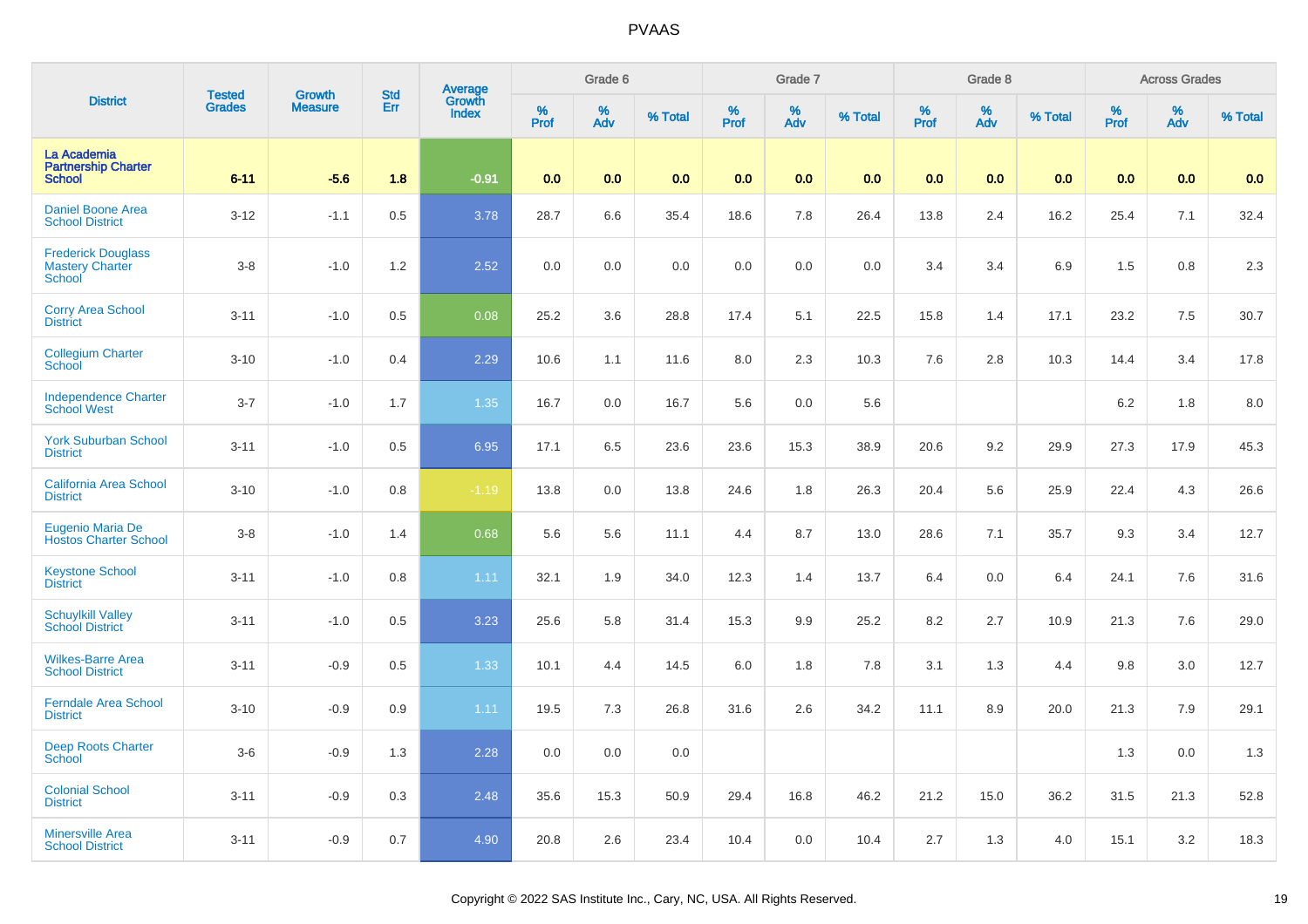| <b>District</b>                                               | <b>Tested</b> | <b>Growth</b>  | <b>Std</b> |                                          |           | Grade 6  |         |           | Grade 7  |         |           | Grade 8  |         |           | <b>Across Grades</b> |         |
|---------------------------------------------------------------|---------------|----------------|------------|------------------------------------------|-----------|----------|---------|-----------|----------|---------|-----------|----------|---------|-----------|----------------------|---------|
|                                                               | <b>Grades</b> | <b>Measure</b> | Err        | <b>Average</b><br>Growth<br><b>Index</b> | %<br>Prof | %<br>Adv | % Total | %<br>Prof | %<br>Adv | % Total | %<br>Prof | %<br>Adv | % Total | %<br>Prof | %<br>Adv             | % Total |
| La Academia<br><b>Partnership Charter</b><br><b>School</b>    | $6 - 11$      | $-5.6$         | 1.8        | $-0.91$                                  | 0.0       | 0.0      | 0.0     | 0.0       | 0.0      | 0.0     | 0.0       | 0.0      | 0.0     | 0.0       | 0.0                  | 0.0     |
| <b>Daniel Boone Area</b><br><b>School District</b>            | $3 - 12$      | $-1.1$         | 0.5        | 3.78                                     | 28.7      | 6.6      | 35.4    | 18.6      | 7.8      | 26.4    | 13.8      | 2.4      | 16.2    | 25.4      | 7.1                  | 32.4    |
| <b>Frederick Douglass</b><br><b>Mastery Charter</b><br>School | $3 - 8$       | $-1.0$         | 1.2        | 2.52                                     | 0.0       | 0.0      | 0.0     | 0.0       | 0.0      | 0.0     | 3.4       | 3.4      | 6.9     | 1.5       | 0.8                  | 2.3     |
| <b>Corry Area School</b><br><b>District</b>                   | $3 - 11$      | $-1.0$         | 0.5        | 0.08                                     | 25.2      | 3.6      | 28.8    | 17.4      | 5.1      | 22.5    | 15.8      | 1.4      | 17.1    | 23.2      | 7.5                  | 30.7    |
| <b>Collegium Charter</b><br>School                            | $3 - 10$      | $-1.0$         | 0.4        | 2.29                                     | 10.6      | 1.1      | 11.6    | 8.0       | 2.3      | 10.3    | 7.6       | 2.8      | 10.3    | 14.4      | 3.4                  | 17.8    |
| <b>Independence Charter</b><br><b>School West</b>             | $3 - 7$       | $-1.0$         | 1.7        | 1.35                                     | 16.7      | 0.0      | 16.7    | 5.6       | 0.0      | 5.6     |           |          |         | 6.2       | 1.8                  | 8.0     |
| <b>York Suburban School</b><br><b>District</b>                | $3 - 11$      | $-1.0$         | 0.5        | 6.95                                     | 17.1      | 6.5      | 23.6    | 23.6      | 15.3     | 38.9    | 20.6      | 9.2      | 29.9    | 27.3      | 17.9                 | 45.3    |
| <b>California Area School</b><br><b>District</b>              | $3 - 10$      | $-1.0$         | 0.8        | $-1.19$                                  | 13.8      | 0.0      | 13.8    | 24.6      | 1.8      | 26.3    | 20.4      | 5.6      | 25.9    | 22.4      | 4.3                  | 26.6    |
| Eugenio Maria De<br><b>Hostos Charter School</b>              | $3 - 8$       | $-1.0$         | 1.4        | 0.68                                     | 5.6       | 5.6      | 11.1    | 4.4       | 8.7      | 13.0    | 28.6      | 7.1      | 35.7    | 9.3       | 3.4                  | 12.7    |
| <b>Keystone School</b><br><b>District</b>                     | $3 - 11$      | $-1.0$         | 0.8        | 1.11                                     | 32.1      | 1.9      | 34.0    | 12.3      | 1.4      | 13.7    | 6.4       | 0.0      | 6.4     | 24.1      | 7.6                  | 31.6    |
| <b>Schuylkill Valley</b><br><b>School District</b>            | $3 - 11$      | $-1.0$         | 0.5        | 3.23                                     | 25.6      | 5.8      | 31.4    | 15.3      | 9.9      | 25.2    | 8.2       | 2.7      | 10.9    | 21.3      | 7.6                  | 29.0    |
| <b>Wilkes-Barre Area</b><br><b>School District</b>            | $3 - 11$      | $-0.9$         | 0.5        | 1.33                                     | 10.1      | 4.4      | 14.5    | 6.0       | 1.8      | 7.8     | 3.1       | 1.3      | 4.4     | 9.8       | 3.0                  | 12.7    |
| <b>Ferndale Area School</b><br><b>District</b>                | $3 - 10$      | $-0.9$         | 0.9        | 1.11                                     | 19.5      | 7.3      | 26.8    | 31.6      | 2.6      | 34.2    | 11.1      | 8.9      | 20.0    | 21.3      | 7.9                  | 29.1    |
| <b>Deep Roots Charter</b><br>School                           | $3-6$         | $-0.9$         | 1.3        | 2.28                                     | 0.0       | 0.0      | 0.0     |           |          |         |           |          |         | 1.3       | 0.0                  | 1.3     |
| <b>Colonial School</b><br><b>District</b>                     | $3 - 11$      | $-0.9$         | 0.3        | 2.48                                     | 35.6      | 15.3     | 50.9    | 29.4      | 16.8     | 46.2    | 21.2      | 15.0     | 36.2    | 31.5      | 21.3                 | 52.8    |
| <b>Minersville Area</b><br><b>School District</b>             | $3 - 11$      | $-0.9$         | 0.7        | 4.90                                     | 20.8      | 2.6      | 23.4    | 10.4      | 0.0      | 10.4    | 2.7       | 1.3      | 4.0     | 15.1      | 3.2                  | 18.3    |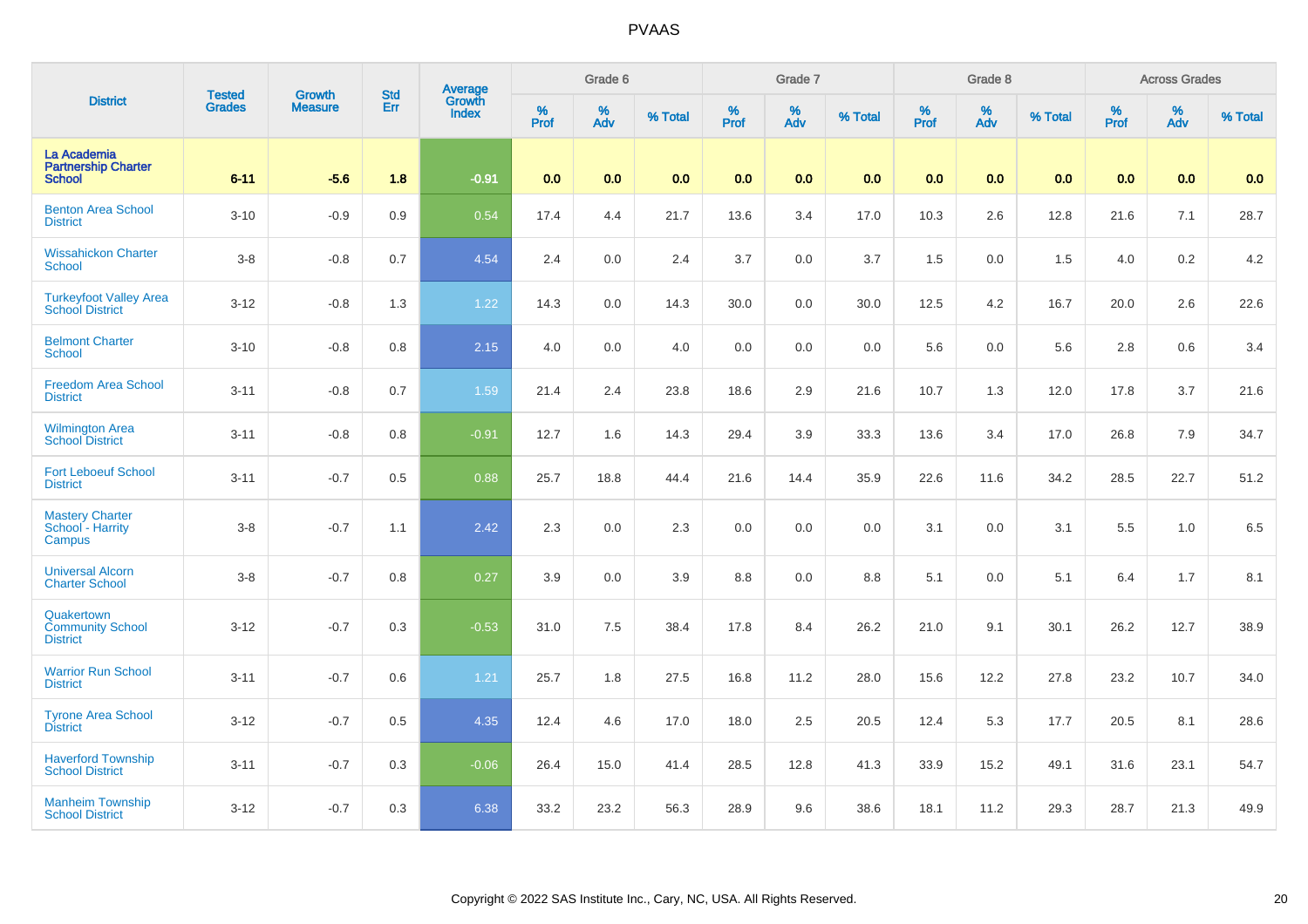| <b>District</b>                                            | <b>Tested</b> | <b>Growth</b>  | <b>Std</b> | Average<br>Growth |           | Grade 6  |         |                  | Grade 7  |         |           | Grade 8  |         |           | <b>Across Grades</b> |         |
|------------------------------------------------------------|---------------|----------------|------------|-------------------|-----------|----------|---------|------------------|----------|---------|-----------|----------|---------|-----------|----------------------|---------|
|                                                            | <b>Grades</b> | <b>Measure</b> | Err        | <b>Index</b>      | %<br>Prof | %<br>Adv | % Total | %<br><b>Prof</b> | %<br>Adv | % Total | %<br>Prof | %<br>Adv | % Total | %<br>Prof | %<br>Adv             | % Total |
| La Academia<br><b>Partnership Charter</b><br><b>School</b> | $6 - 11$      | $-5.6$         | 1.8        | $-0.91$           | 0.0       | 0.0      | 0.0     | 0.0              | 0.0      | 0.0     | 0.0       | 0.0      | 0.0     | 0.0       | 0.0                  | 0.0     |
| <b>Benton Area School</b><br><b>District</b>               | $3 - 10$      | $-0.9$         | 0.9        | 0.54              | 17.4      | 4.4      | 21.7    | 13.6             | 3.4      | 17.0    | 10.3      | 2.6      | 12.8    | 21.6      | 7.1                  | 28.7    |
| <b>Wissahickon Charter</b><br><b>School</b>                | $3 - 8$       | $-0.8$         | 0.7        | 4.54              | 2.4       | 0.0      | 2.4     | 3.7              | 0.0      | 3.7     | 1.5       | 0.0      | 1.5     | 4.0       | 0.2                  | 4.2     |
| <b>Turkeyfoot Valley Area</b><br><b>School District</b>    | $3 - 12$      | $-0.8$         | 1.3        | 1.22              | 14.3      | 0.0      | 14.3    | 30.0             | 0.0      | 30.0    | 12.5      | 4.2      | 16.7    | 20.0      | 2.6                  | 22.6    |
| <b>Belmont Charter</b><br>School                           | $3 - 10$      | $-0.8$         | 0.8        | 2.15              | 4.0       | 0.0      | 4.0     | 0.0              | 0.0      | 0.0     | 5.6       | 0.0      | 5.6     | 2.8       | 0.6                  | 3.4     |
| Freedom Area School<br><b>District</b>                     | $3 - 11$      | $-0.8$         | 0.7        | 1.59              | 21.4      | 2.4      | 23.8    | 18.6             | 2.9      | 21.6    | 10.7      | 1.3      | 12.0    | 17.8      | 3.7                  | 21.6    |
| <b>Wilmington Area</b><br><b>School District</b>           | $3 - 11$      | $-0.8$         | 0.8        | $-0.91$           | 12.7      | 1.6      | 14.3    | 29.4             | 3.9      | 33.3    | 13.6      | 3.4      | 17.0    | 26.8      | 7.9                  | 34.7    |
| <b>Fort Leboeuf School</b><br><b>District</b>              | $3 - 11$      | $-0.7$         | 0.5        | 0.88              | 25.7      | 18.8     | 44.4    | 21.6             | 14.4     | 35.9    | 22.6      | 11.6     | 34.2    | 28.5      | 22.7                 | 51.2    |
| <b>Mastery Charter</b><br>School - Harrity<br>Campus       | $3 - 8$       | $-0.7$         | 1.1        | 2.42              | 2.3       | 0.0      | 2.3     | 0.0              | 0.0      | 0.0     | 3.1       | 0.0      | 3.1     | 5.5       | 1.0                  | 6.5     |
| <b>Universal Alcorn</b><br><b>Charter School</b>           | $3 - 8$       | $-0.7$         | 0.8        | 0.27              | 3.9       | 0.0      | 3.9     | 8.8              | 0.0      | 8.8     | 5.1       | 0.0      | 5.1     | 6.4       | 1.7                  | 8.1     |
| Quakertown<br><b>Community School</b><br><b>District</b>   | $3 - 12$      | $-0.7$         | 0.3        | $-0.53$           | 31.0      | 7.5      | 38.4    | 17.8             | 8.4      | 26.2    | 21.0      | 9.1      | 30.1    | 26.2      | 12.7                 | 38.9    |
| <b>Warrior Run School</b><br><b>District</b>               | $3 - 11$      | $-0.7$         | 0.6        | 1.21              | 25.7      | 1.8      | 27.5    | 16.8             | 11.2     | 28.0    | 15.6      | 12.2     | 27.8    | 23.2      | 10.7                 | 34.0    |
| <b>Tyrone Area School</b><br><b>District</b>               | $3 - 12$      | $-0.7$         | 0.5        | 4.35              | 12.4      | 4.6      | 17.0    | 18.0             | $2.5\,$  | 20.5    | 12.4      | 5.3      | 17.7    | 20.5      | 8.1                  | 28.6    |
| <b>Haverford Township</b><br><b>School District</b>        | $3 - 11$      | $-0.7$         | 0.3        | $-0.06$           | 26.4      | 15.0     | 41.4    | 28.5             | 12.8     | 41.3    | 33.9      | 15.2     | 49.1    | 31.6      | 23.1                 | 54.7    |
| <b>Manheim Township</b><br><b>School District</b>          | $3 - 12$      | $-0.7$         | 0.3        | 6.38              | 33.2      | 23.2     | 56.3    | 28.9             | 9.6      | 38.6    | 18.1      | 11.2     | 29.3    | 28.7      | 21.3                 | 49.9    |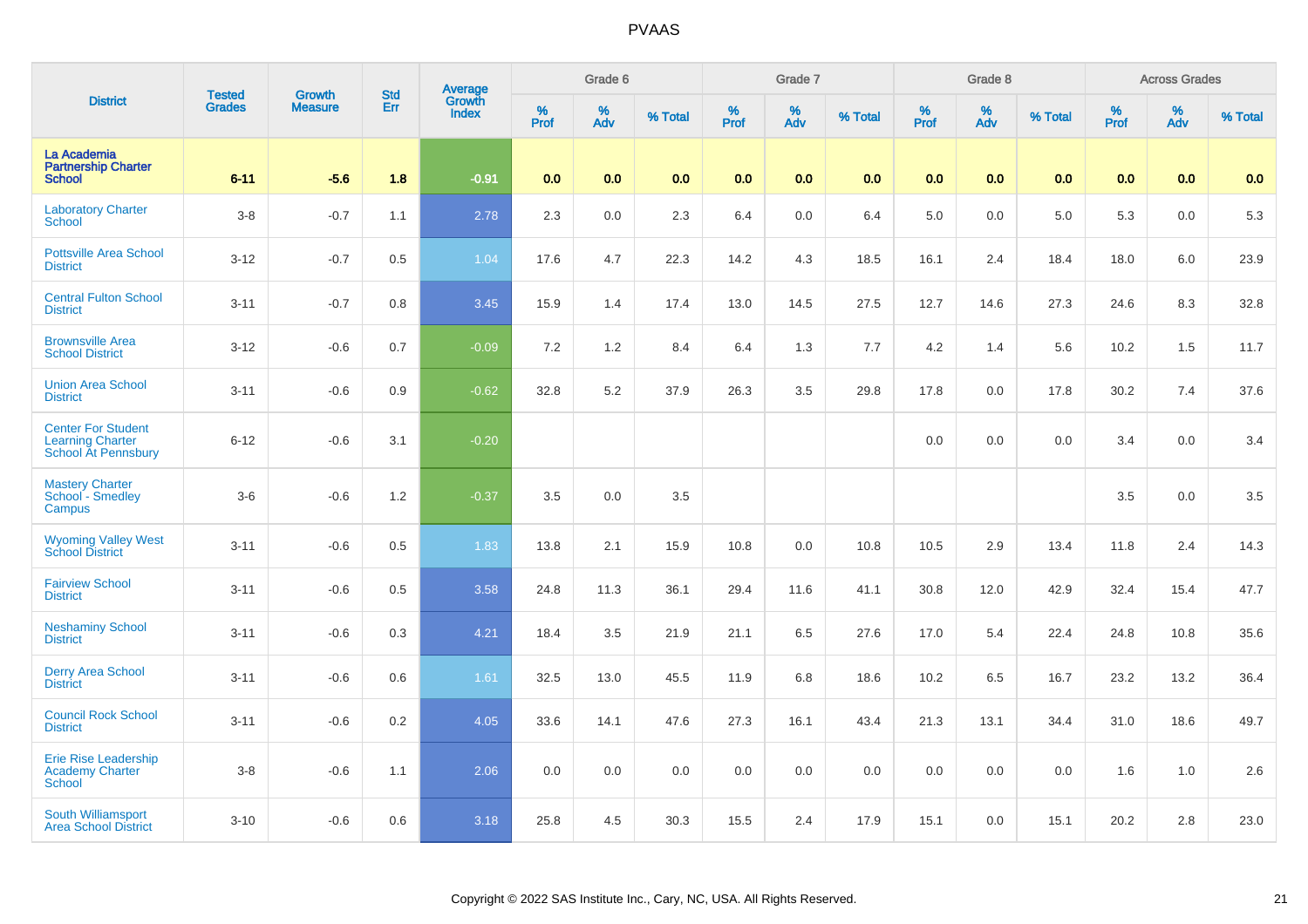| <b>District</b>                                                                    | <b>Tested</b> | <b>Growth</b>  | <b>Std</b> |                                   |                  | Grade 6  |         |                     | Grade 7  |         |                  | Grade 8  |         |           | <b>Across Grades</b> |         |
|------------------------------------------------------------------------------------|---------------|----------------|------------|-----------------------------------|------------------|----------|---------|---------------------|----------|---------|------------------|----------|---------|-----------|----------------------|---------|
|                                                                                    | <b>Grades</b> | <b>Measure</b> | Err        | Average<br>Growth<br><b>Index</b> | %<br><b>Prof</b> | %<br>Adv | % Total | $\%$<br><b>Prof</b> | %<br>Adv | % Total | %<br><b>Prof</b> | %<br>Adv | % Total | %<br>Prof | $\%$<br>Adv          | % Total |
| La Academia<br><b>Partnership Charter</b><br><b>School</b>                         | $6 - 11$      | $-5.6$         | 1.8        | $-0.91$                           | 0.0              | 0.0      | 0.0     | 0.0                 | 0.0      | 0.0     | 0.0              | 0.0      | 0.0     | 0.0       | 0.0                  | 0.0     |
| <b>Laboratory Charter</b><br>School                                                | $3 - 8$       | $-0.7$         | 1.1        | 2.78                              | 2.3              | 0.0      | 2.3     | 6.4                 | 0.0      | 6.4     | 5.0              | 0.0      | 5.0     | 5.3       | 0.0                  | 5.3     |
| <b>Pottsville Area School</b><br><b>District</b>                                   | $3 - 12$      | $-0.7$         | 0.5        | 1.04                              | 17.6             | 4.7      | 22.3    | 14.2                | 4.3      | 18.5    | 16.1             | 2.4      | 18.4    | 18.0      | 6.0                  | 23.9    |
| <b>Central Fulton School</b><br><b>District</b>                                    | $3 - 11$      | $-0.7$         | 0.8        | 3.45                              | 15.9             | 1.4      | 17.4    | 13.0                | 14.5     | 27.5    | 12.7             | 14.6     | 27.3    | 24.6      | 8.3                  | 32.8    |
| <b>Brownsville Area</b><br><b>School District</b>                                  | $3 - 12$      | $-0.6$         | 0.7        | $-0.09$                           | 7.2              | 1.2      | 8.4     | 6.4                 | 1.3      | 7.7     | 4.2              | 1.4      | 5.6     | 10.2      | 1.5                  | 11.7    |
| <b>Union Area School</b><br><b>District</b>                                        | $3 - 11$      | $-0.6$         | 0.9        | $-0.62$                           | 32.8             | 5.2      | 37.9    | 26.3                | 3.5      | 29.8    | 17.8             | 0.0      | 17.8    | 30.2      | 7.4                  | 37.6    |
| <b>Center For Student</b><br><b>Learning Charter</b><br><b>School At Pennsbury</b> | $6 - 12$      | $-0.6$         | 3.1        | $-0.20$                           |                  |          |         |                     |          |         | 0.0              | 0.0      | 0.0     | 3.4       | 0.0                  | 3.4     |
| <b>Mastery Charter</b><br>School - Smedley<br>Campus                               | $3-6$         | $-0.6$         | 1.2        | $-0.37$                           | 3.5              | 0.0      | 3.5     |                     |          |         |                  |          |         | 3.5       | 0.0                  | 3.5     |
| <b>Wyoming Valley West</b><br><b>School District</b>                               | $3 - 11$      | $-0.6$         | 0.5        | 1.83                              | 13.8             | 2.1      | 15.9    | 10.8                | 0.0      | 10.8    | 10.5             | 2.9      | 13.4    | 11.8      | 2.4                  | 14.3    |
| <b>Fairview School</b><br><b>District</b>                                          | $3 - 11$      | $-0.6$         | 0.5        | 3.58                              | 24.8             | 11.3     | 36.1    | 29.4                | 11.6     | 41.1    | 30.8             | 12.0     | 42.9    | 32.4      | 15.4                 | 47.7    |
| <b>Neshaminy School</b><br><b>District</b>                                         | $3 - 11$      | $-0.6$         | 0.3        | 4.21                              | 18.4             | 3.5      | 21.9    | 21.1                | 6.5      | 27.6    | 17.0             | 5.4      | 22.4    | 24.8      | 10.8                 | 35.6    |
| <b>Derry Area School</b><br><b>District</b>                                        | $3 - 11$      | $-0.6$         | 0.6        | 1.61                              | 32.5             | 13.0     | 45.5    | 11.9                | 6.8      | 18.6    | 10.2             | 6.5      | 16.7    | 23.2      | 13.2                 | 36.4    |
| <b>Council Rock School</b><br><b>District</b>                                      | $3 - 11$      | $-0.6$         | 0.2        | 4.05                              | 33.6             | 14.1     | 47.6    | 27.3                | 16.1     | 43.4    | 21.3             | 13.1     | 34.4    | 31.0      | 18.6                 | 49.7    |
| <b>Erie Rise Leadership</b><br><b>Academy Charter</b><br><b>School</b>             | $3 - 8$       | $-0.6$         | 1.1        | 2.06                              | 0.0              | 0.0      | 0.0     | 0.0                 | 0.0      | 0.0     | 0.0              | 0.0      | 0.0     | 1.6       | 1.0                  | 2.6     |
| <b>South Williamsport</b><br><b>Area School District</b>                           | $3 - 10$      | $-0.6$         | 0.6        | 3.18                              | 25.8             | 4.5      | 30.3    | 15.5                | 2.4      | 17.9    | 15.1             | 0.0      | 15.1    | 20.2      | 2.8                  | 23.0    |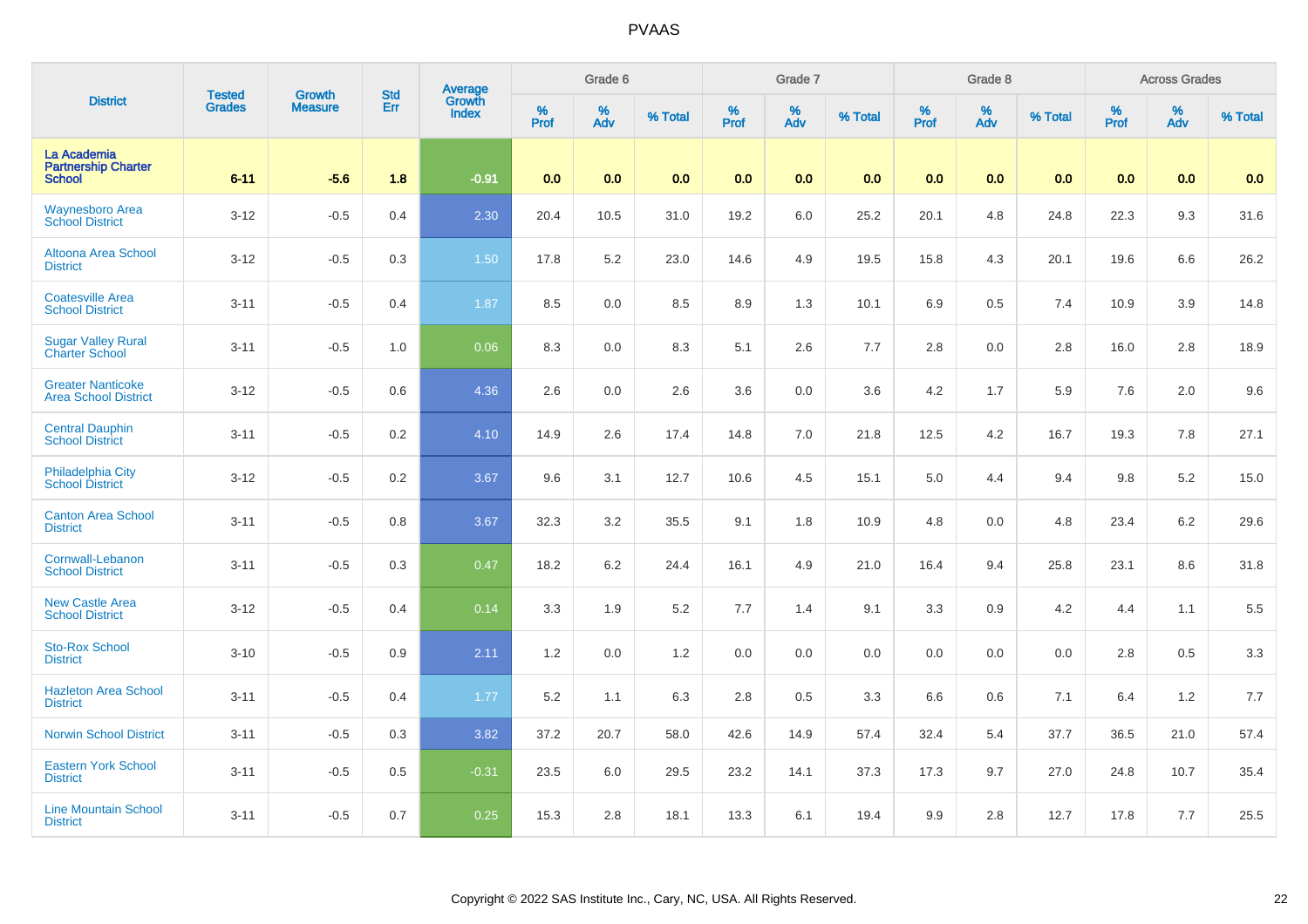| <b>District</b>                                            |                                | <b>Growth</b>  | <b>Std</b> |                                   |              | Grade 6     |         |                     | Grade 7  |         |              | Grade 8  |         |           | <b>Across Grades</b> |         |
|------------------------------------------------------------|--------------------------------|----------------|------------|-----------------------------------|--------------|-------------|---------|---------------------|----------|---------|--------------|----------|---------|-----------|----------------------|---------|
|                                                            | <b>Tested</b><br><b>Grades</b> | <b>Measure</b> | Err        | Average<br>Growth<br><b>Index</b> | $\%$<br>Prof | $\%$<br>Adv | % Total | $\%$<br><b>Prof</b> | %<br>Adv | % Total | $\%$<br>Prof | %<br>Adv | % Total | %<br>Prof | %<br>Adv             | % Total |
| La Academia<br><b>Partnership Charter</b><br><b>School</b> | $6 - 11$                       | $-5.6$         | 1.8        | $-0.91$                           | 0.0          | 0.0         | 0.0     | 0.0                 | 0.0      | 0.0     | 0.0          | 0.0      | 0.0     | 0.0       | 0.0                  | 0.0     |
| <b>Waynesboro Area</b><br><b>School District</b>           | $3 - 12$                       | $-0.5$         | 0.4        | 2.30                              | 20.4         | 10.5        | 31.0    | 19.2                | $6.0\,$  | 25.2    | 20.1         | 4.8      | 24.8    | 22.3      | 9.3                  | 31.6    |
| <b>Altoona Area School</b><br><b>District</b>              | $3 - 12$                       | $-0.5$         | 0.3        | 1.50                              | 17.8         | $5.2\,$     | 23.0    | 14.6                | 4.9      | 19.5    | 15.8         | 4.3      | 20.1    | 19.6      | 6.6                  | 26.2    |
| <b>Coatesville Area</b><br><b>School District</b>          | $3 - 11$                       | $-0.5$         | 0.4        | 1.87                              | 8.5          | 0.0         | 8.5     | 8.9                 | 1.3      | 10.1    | 6.9          | 0.5      | 7.4     | 10.9      | 3.9                  | 14.8    |
| <b>Sugar Valley Rural</b><br><b>Charter School</b>         | $3 - 11$                       | $-0.5$         | 1.0        | 0.06                              | 8.3          | 0.0         | 8.3     | 5.1                 | 2.6      | 7.7     | 2.8          | 0.0      | 2.8     | 16.0      | 2.8                  | 18.9    |
| <b>Greater Nanticoke</b><br><b>Area School District</b>    | $3 - 12$                       | $-0.5$         | 0.6        | 4.36                              | 2.6          | 0.0         | 2.6     | 3.6                 | 0.0      | 3.6     | 4.2          | 1.7      | 5.9     | 7.6       | 2.0                  | 9.6     |
| <b>Central Dauphin</b><br><b>School District</b>           | $3 - 11$                       | $-0.5$         | 0.2        | 4.10                              | 14.9         | 2.6         | 17.4    | 14.8                | 7.0      | 21.8    | 12.5         | 4.2      | 16.7    | 19.3      | 7.8                  | 27.1    |
| Philadelphia City<br><b>School District</b>                | $3 - 12$                       | $-0.5$         | 0.2        | 3.67                              | 9.6          | 3.1         | 12.7    | 10.6                | 4.5      | 15.1    | 5.0          | 4.4      | 9.4     | 9.8       | 5.2                  | 15.0    |
| <b>Canton Area School</b><br><b>District</b>               | $3 - 11$                       | $-0.5$         | 0.8        | 3.67                              | 32.3         | 3.2         | 35.5    | 9.1                 | 1.8      | 10.9    | 4.8          | 0.0      | 4.8     | 23.4      | 6.2                  | 29.6    |
| Cornwall-Lebanon<br><b>School District</b>                 | $3 - 11$                       | $-0.5$         | 0.3        | 0.47                              | 18.2         | 6.2         | 24.4    | 16.1                | 4.9      | 21.0    | 16.4         | 9.4      | 25.8    | 23.1      | 8.6                  | 31.8    |
| <b>New Castle Area</b><br><b>School District</b>           | $3 - 12$                       | $-0.5$         | 0.4        | 0.14                              | 3.3          | 1.9         | 5.2     | 7.7                 | 1.4      | 9.1     | 3.3          | 0.9      | $4.2\,$ | 4.4       | 1.1                  | 5.5     |
| <b>Sto-Rox School</b><br><b>District</b>                   | $3 - 10$                       | $-0.5$         | 0.9        | 2.11                              | 1.2          | 0.0         | 1.2     | 0.0                 | 0.0      | $0.0\,$ | 0.0          | 0.0      | 0.0     | 2.8       | 0.5                  | 3.3     |
| <b>Hazleton Area School</b><br><b>District</b>             | $3 - 11$                       | $-0.5$         | 0.4        | 1.77                              | 5.2          | 1.1         | 6.3     | 2.8                 | 0.5      | 3.3     | 6.6          | 0.6      | 7.1     | 6.4       | 1.2                  | 7.7     |
| <b>Norwin School District</b>                              | $3 - 11$                       | $-0.5$         | 0.3        | 3.82                              | 37.2         | 20.7        | 58.0    | 42.6                | 14.9     | 57.4    | 32.4         | 5.4      | 37.7    | 36.5      | 21.0                 | 57.4    |
| <b>Eastern York School</b><br><b>District</b>              | $3 - 11$                       | $-0.5$         | 0.5        | $-0.31$                           | 23.5         | 6.0         | 29.5    | 23.2                | 14.1     | 37.3    | 17.3         | 9.7      | 27.0    | 24.8      | 10.7                 | 35.4    |
| <b>Line Mountain School</b><br><b>District</b>             | $3 - 11$                       | $-0.5$         | 0.7        | 0.25                              | 15.3         | 2.8         | 18.1    | 13.3                | 6.1      | 19.4    | 9.9          | 2.8      | 12.7    | 17.8      | 7.7                  | 25.5    |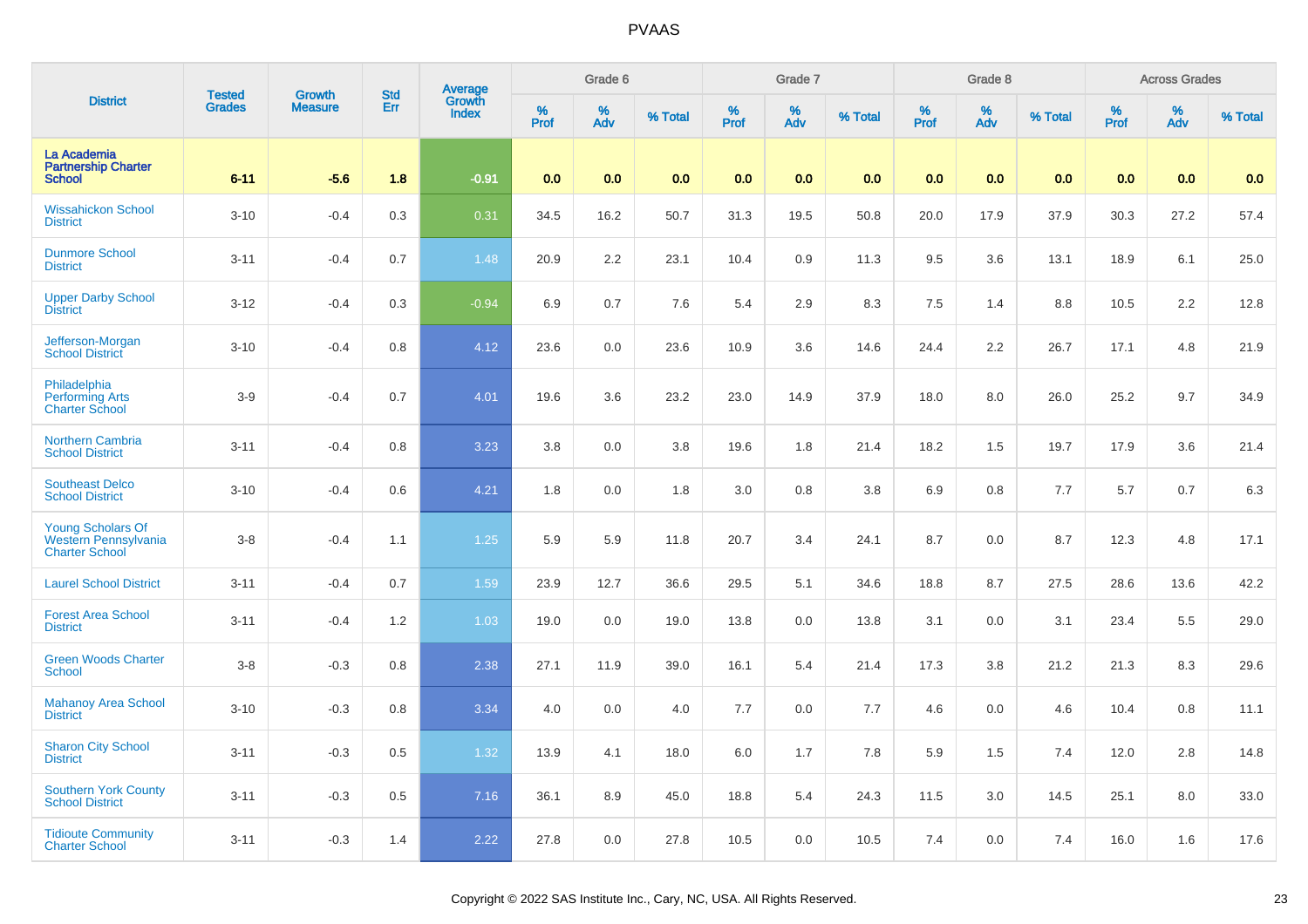| <b>District</b>                                                           | <b>Tested</b> | <b>Growth</b>  | <b>Std</b> | <b>Average</b><br>Growth |          | Grade 6  |         |          | Grade 7  |         |           | Grade 8                 |         |           | <b>Across Grades</b> |         |
|---------------------------------------------------------------------------|---------------|----------------|------------|--------------------------|----------|----------|---------|----------|----------|---------|-----------|-------------------------|---------|-----------|----------------------|---------|
|                                                                           | <b>Grades</b> | <b>Measure</b> | Err        | <b>Index</b>             | $%$ Prof | %<br>Adv | % Total | $%$ Prof | %<br>Adv | % Total | %<br>Prof | $\frac{\%}{\text{Adv}}$ | % Total | %<br>Prof | %<br>Adv             | % Total |
| La Academia<br><b>Partnership Charter</b><br><b>School</b>                | $6 - 11$      | $-5.6$         | 1.8        | $-0.91$                  | 0.0      | 0.0      | 0.0     | 0.0      | 0.0      | 0.0     | 0.0       | 0.0                     | 0.0     | 0.0       | 0.0                  | 0.0     |
| <b>Wissahickon School</b><br><b>District</b>                              | $3 - 10$      | $-0.4$         | 0.3        | 0.31                     | 34.5     | 16.2     | 50.7    | 31.3     | 19.5     | 50.8    | 20.0      | 17.9                    | 37.9    | 30.3      | 27.2                 | 57.4    |
| <b>Dunmore School</b><br><b>District</b>                                  | $3 - 11$      | $-0.4$         | 0.7        | 1.48                     | 20.9     | 2.2      | 23.1    | 10.4     | 0.9      | 11.3    | 9.5       | 3.6                     | 13.1    | 18.9      | 6.1                  | 25.0    |
| <b>Upper Darby School</b><br><b>District</b>                              | $3 - 12$      | $-0.4$         | 0.3        | $-0.94$                  | 6.9      | 0.7      | 7.6     | 5.4      | 2.9      | 8.3     | 7.5       | 1.4                     | 8.8     | 10.5      | 2.2                  | 12.8    |
| Jefferson-Morgan<br><b>School District</b>                                | $3 - 10$      | $-0.4$         | 0.8        | 4.12                     | 23.6     | 0.0      | 23.6    | 10.9     | 3.6      | 14.6    | 24.4      | 2.2                     | 26.7    | 17.1      | 4.8                  | 21.9    |
| Philadelphia<br><b>Performing Arts</b><br><b>Charter School</b>           | $3-9$         | $-0.4$         | 0.7        | 4.01                     | 19.6     | 3.6      | 23.2    | 23.0     | 14.9     | 37.9    | 18.0      | 8.0                     | 26.0    | 25.2      | 9.7                  | 34.9    |
| Northern Cambria<br><b>School District</b>                                | $3 - 11$      | $-0.4$         | 0.8        | 3.23                     | 3.8      | 0.0      | 3.8     | 19.6     | 1.8      | 21.4    | 18.2      | 1.5                     | 19.7    | 17.9      | 3.6                  | 21.4    |
| <b>Southeast Delco</b><br><b>School District</b>                          | $3 - 10$      | $-0.4$         | 0.6        | 4.21                     | 1.8      | 0.0      | 1.8     | 3.0      | 0.8      | 3.8     | 6.9       | 0.8                     | 7.7     | 5.7       | 0.7                  | 6.3     |
| <b>Young Scholars Of</b><br>Western Pennsylvania<br><b>Charter School</b> | $3 - 8$       | $-0.4$         | 1.1        | 1.25                     | 5.9      | 5.9      | 11.8    | 20.7     | 3.4      | 24.1    | 8.7       | 0.0                     | 8.7     | 12.3      | 4.8                  | 17.1    |
| <b>Laurel School District</b>                                             | $3 - 11$      | $-0.4$         | 0.7        | 1.59                     | 23.9     | 12.7     | 36.6    | 29.5     | 5.1      | 34.6    | 18.8      | 8.7                     | 27.5    | 28.6      | 13.6                 | 42.2    |
| <b>Forest Area School</b><br><b>District</b>                              | $3 - 11$      | $-0.4$         | 1.2        | 1.03                     | 19.0     | 0.0      | 19.0    | 13.8     | $0.0\,$  | 13.8    | 3.1       | 0.0                     | 3.1     | 23.4      | $5.5\,$              | 29.0    |
| <b>Green Woods Charter</b><br><b>School</b>                               | $3 - 8$       | $-0.3$         | 0.8        | 2.38                     | 27.1     | 11.9     | 39.0    | 16.1     | 5.4      | 21.4    | 17.3      | 3.8                     | 21.2    | 21.3      | 8.3                  | 29.6    |
| <b>Mahanoy Area School</b><br><b>District</b>                             | $3 - 10$      | $-0.3$         | 0.8        | 3.34                     | 4.0      | 0.0      | 4.0     | 7.7      | 0.0      | 7.7     | 4.6       | 0.0                     | 4.6     | 10.4      | 0.8                  | 11.1    |
| <b>Sharon City School</b><br><b>District</b>                              | $3 - 11$      | $-0.3$         | 0.5        | 1.32                     | 13.9     | 4.1      | 18.0    | 6.0      | 1.7      | 7.8     | 5.9       | 1.5                     | 7.4     | 12.0      | 2.8                  | 14.8    |
| <b>Southern York County</b><br><b>School District</b>                     | $3 - 11$      | $-0.3$         | 0.5        | 7.16                     | 36.1     | 8.9      | 45.0    | 18.8     | 5.4      | 24.3    | 11.5      | 3.0                     | 14.5    | 25.1      | 8.0                  | 33.0    |
| <b>Tidioute Community</b><br><b>Charter School</b>                        | $3 - 11$      | $-0.3$         | 1.4        | 2.22                     | 27.8     | 0.0      | 27.8    | 10.5     | 0.0      | 10.5    | 7.4       | 0.0                     | 7.4     | 16.0      | 1.6                  | 17.6    |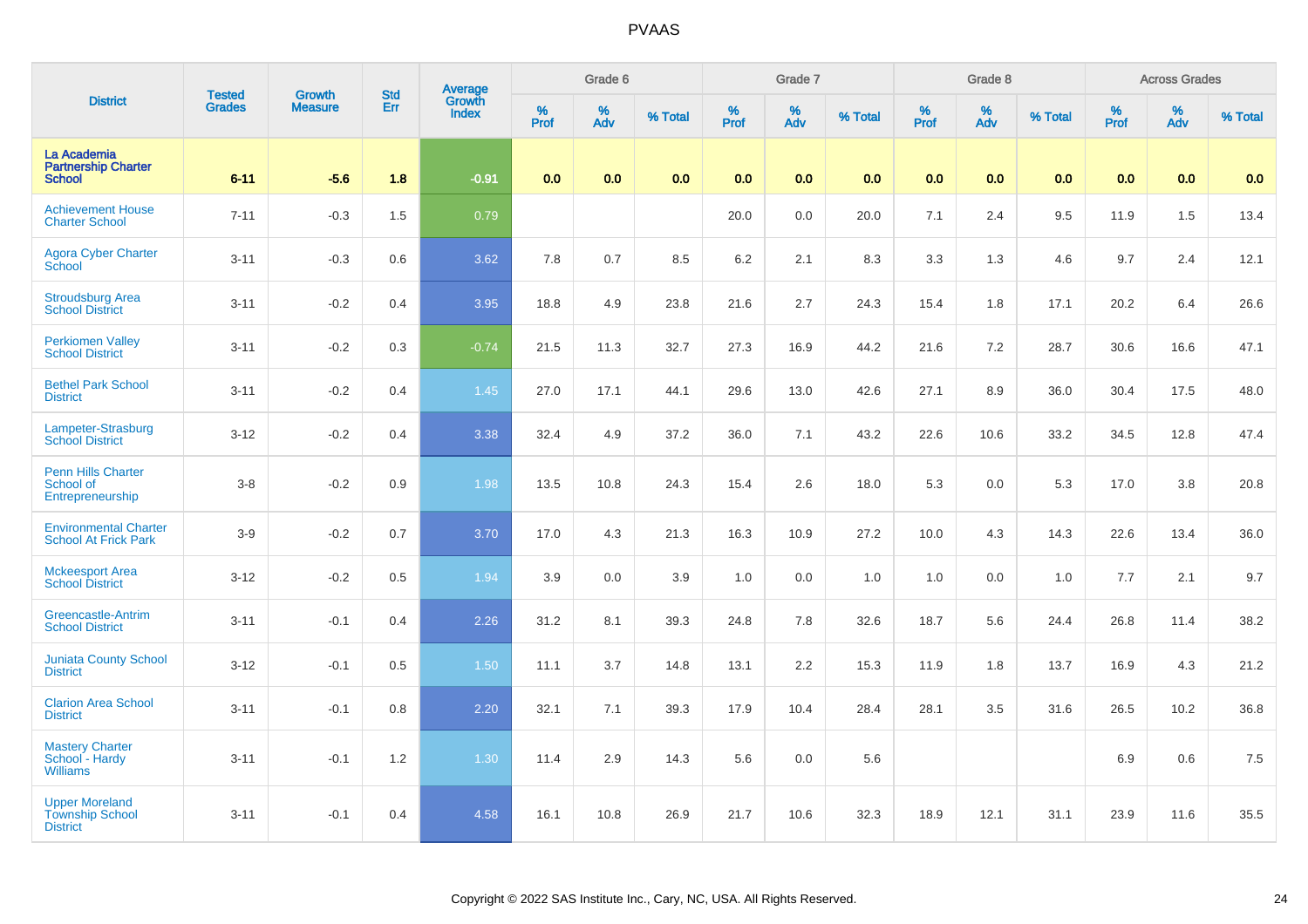|                                                                    | <b>Tested</b> | <b>Growth</b>  | <b>Std</b> | <b>Average</b><br>Growth |              | Grade 6  |         |                     | Grade 7  |         |                     | Grade 8  |         |                  | <b>Across Grades</b> |         |
|--------------------------------------------------------------------|---------------|----------------|------------|--------------------------|--------------|----------|---------|---------------------|----------|---------|---------------------|----------|---------|------------------|----------------------|---------|
| <b>District</b>                                                    | <b>Grades</b> | <b>Measure</b> | Err        | <b>Index</b>             | $\%$<br>Prof | %<br>Adv | % Total | $\%$<br><b>Prof</b> | %<br>Adv | % Total | $\%$<br><b>Prof</b> | %<br>Adv | % Total | %<br><b>Prof</b> | %<br>Adv             | % Total |
| La Academia<br><b>Partnership Charter</b><br><b>School</b>         | $6 - 11$      | $-5.6$         | 1.8        | $-0.91$                  | 0.0          | 0.0      | 0.0     | 0.0                 | 0.0      | 0.0     | 0.0                 | 0.0      | 0.0     | 0.0              | 0.0                  | 0.0     |
| <b>Achievement House</b><br><b>Charter School</b>                  | $7 - 11$      | $-0.3$         | 1.5        | 0.79                     |              |          |         | 20.0                | $0.0\,$  | 20.0    | 7.1                 | 2.4      | 9.5     | 11.9             | 1.5                  | 13.4    |
| <b>Agora Cyber Charter</b><br>School                               | $3 - 11$      | $-0.3$         | 0.6        | 3.62                     | 7.8          | 0.7      | 8.5     | 6.2                 | 2.1      | 8.3     | 3.3                 | 1.3      | 4.6     | 9.7              | 2.4                  | 12.1    |
| <b>Stroudsburg Area</b><br><b>School District</b>                  | $3 - 11$      | $-0.2$         | 0.4        | 3.95                     | 18.8         | 4.9      | 23.8    | 21.6                | 2.7      | 24.3    | 15.4                | 1.8      | 17.1    | 20.2             | 6.4                  | 26.6    |
| <b>Perkiomen Valley</b><br><b>School District</b>                  | $3 - 11$      | $-0.2$         | 0.3        | $-0.74$                  | 21.5         | 11.3     | 32.7    | 27.3                | 16.9     | 44.2    | 21.6                | 7.2      | 28.7    | 30.6             | 16.6                 | 47.1    |
| <b>Bethel Park School</b><br><b>District</b>                       | $3 - 11$      | $-0.2$         | 0.4        | 1.45                     | 27.0         | 17.1     | 44.1    | 29.6                | 13.0     | 42.6    | 27.1                | 8.9      | 36.0    | 30.4             | 17.5                 | 48.0    |
| Lampeter-Strasburg<br><b>School District</b>                       | $3 - 12$      | $-0.2$         | 0.4        | 3.38                     | 32.4         | 4.9      | 37.2    | 36.0                | 7.1      | 43.2    | 22.6                | 10.6     | 33.2    | 34.5             | 12.8                 | 47.4    |
| Penn Hills Charter<br>School of<br>Entrepreneurship                | $3 - 8$       | $-0.2$         | 0.9        | 1.98                     | 13.5         | 10.8     | 24.3    | 15.4                | 2.6      | 18.0    | 5.3                 | 0.0      | 5.3     | 17.0             | 3.8                  | 20.8    |
| <b>Environmental Charter</b><br><b>School At Frick Park</b>        | $3-9$         | $-0.2$         | 0.7        | 3.70                     | 17.0         | 4.3      | 21.3    | 16.3                | 10.9     | 27.2    | 10.0                | 4.3      | 14.3    | 22.6             | 13.4                 | 36.0    |
| <b>Mckeesport Area</b><br><b>School District</b>                   | $3 - 12$      | $-0.2$         | 0.5        | 1.94                     | 3.9          | 0.0      | 3.9     | 1.0                 | 0.0      | 1.0     | 1.0                 | 0.0      | 1.0     | 7.7              | 2.1                  | 9.7     |
| <b>Greencastle-Antrim</b><br><b>School District</b>                | $3 - 11$      | $-0.1$         | 0.4        | 2.26                     | 31.2         | 8.1      | 39.3    | 24.8                | 7.8      | 32.6    | 18.7                | 5.6      | 24.4    | 26.8             | 11.4                 | 38.2    |
| <b>Juniata County School</b><br><b>District</b>                    | $3 - 12$      | $-0.1$         | 0.5        | 1.50                     | 11.1         | 3.7      | 14.8    | 13.1                | 2.2      | 15.3    | 11.9                | 1.8      | 13.7    | 16.9             | 4.3                  | 21.2    |
| <b>Clarion Area School</b><br><b>District</b>                      | $3 - 11$      | $-0.1$         | 0.8        | 2.20                     | 32.1         | 7.1      | 39.3    | 17.9                | 10.4     | 28.4    | 28.1                | 3.5      | 31.6    | 26.5             | 10.2                 | 36.8    |
| <b>Mastery Charter</b><br>School - Hardy<br><b>Williams</b>        | $3 - 11$      | $-0.1$         | 1.2        | 1.30                     | 11.4         | 2.9      | 14.3    | 5.6                 | 0.0      | 5.6     |                     |          |         | 6.9              | 0.6                  | 7.5     |
| <b>Upper Moreland</b><br><b>Township School</b><br><b>District</b> | $3 - 11$      | $-0.1$         | 0.4        | 4.58                     | 16.1         | 10.8     | 26.9    | 21.7                | 10.6     | 32.3    | 18.9                | 12.1     | 31.1    | 23.9             | 11.6                 | 35.5    |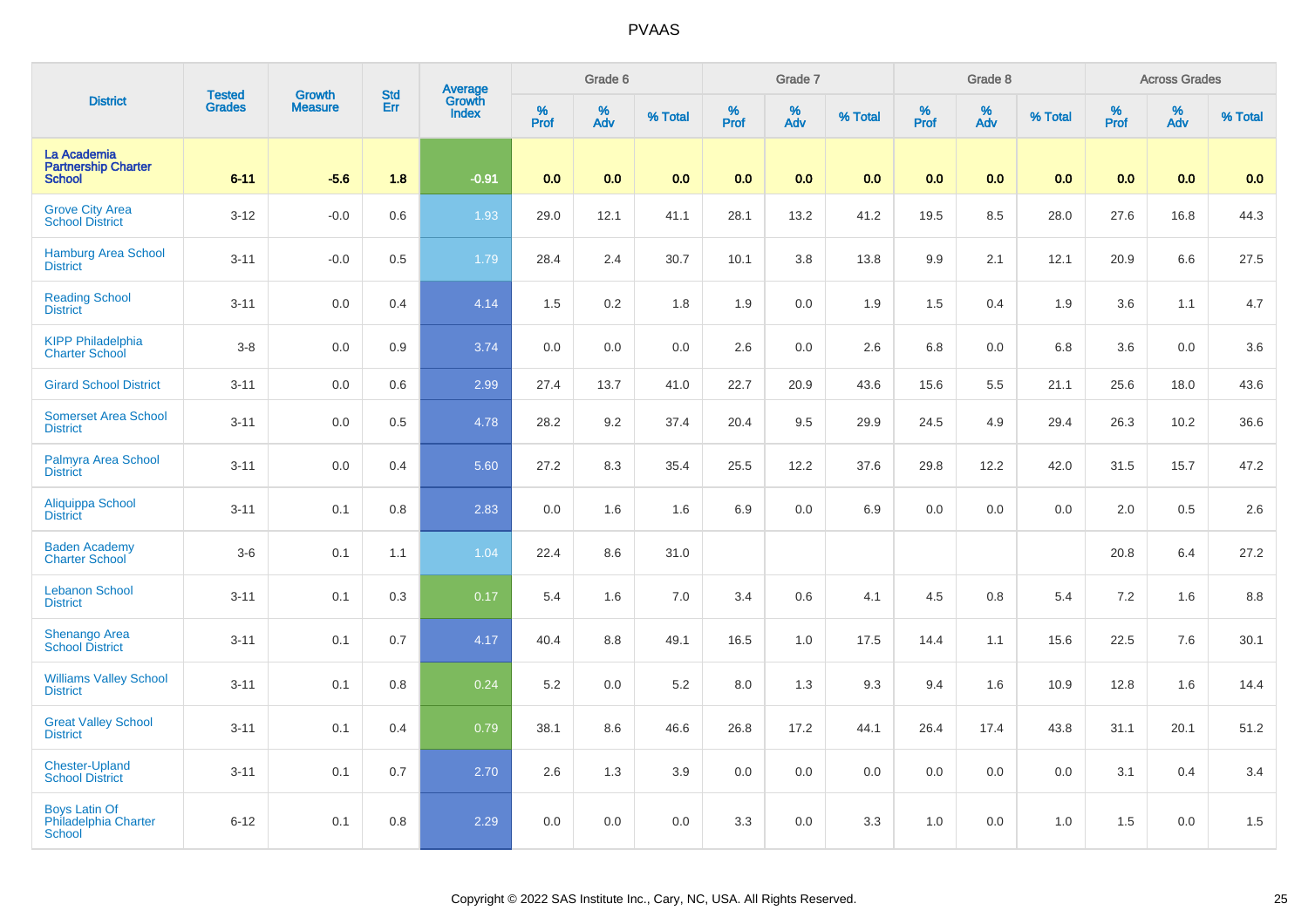| <b>District</b><br>La Academia                         | <b>Tested</b> | <b>Growth</b>  | <b>Std</b> | <b>Average</b><br>Growth |                  | Grade 6  |         |                  | Grade 7  |         |              | Grade 8  |         |           | <b>Across Grades</b> |         |
|--------------------------------------------------------|---------------|----------------|------------|--------------------------|------------------|----------|---------|------------------|----------|---------|--------------|----------|---------|-----------|----------------------|---------|
|                                                        | <b>Grades</b> | <b>Measure</b> | Err        | <b>Index</b>             | %<br><b>Prof</b> | %<br>Adv | % Total | %<br><b>Prof</b> | %<br>Adv | % Total | $\%$<br>Prof | %<br>Adv | % Total | %<br>Prof | %<br>Adv             | % Total |
| <b>Partnership Charter</b><br><b>School</b>            | $6 - 11$      | $-5.6$         | 1.8        | $-0.91$                  | 0.0              | 0.0      | 0.0     | 0.0              | 0.0      | 0.0     | 0.0          | 0.0      | 0.0     | 0.0       | 0.0                  | 0.0     |
| <b>Grove City Area</b><br><b>School District</b>       | $3 - 12$      | $-0.0$         | 0.6        | 1.93                     | 29.0             | 12.1     | 41.1    | 28.1             | 13.2     | 41.2    | 19.5         | 8.5      | 28.0    | 27.6      | 16.8                 | 44.3    |
| <b>Hamburg Area School</b><br><b>District</b>          | $3 - 11$      | $-0.0$         | 0.5        | 1.79                     | 28.4             | 2.4      | 30.7    | 10.1             | 3.8      | 13.8    | 9.9          | 2.1      | 12.1    | 20.9      | 6.6                  | 27.5    |
| <b>Reading School</b><br><b>District</b>               | $3 - 11$      | 0.0            | 0.4        | 4.14                     | 1.5              | 0.2      | 1.8     | 1.9              | 0.0      | 1.9     | 1.5          | 0.4      | 1.9     | 3.6       | 1.1                  | 4.7     |
| <b>KIPP Philadelphia</b><br><b>Charter School</b>      | $3 - 8$       | 0.0            | 0.9        | 3.74                     | 0.0              | 0.0      | 0.0     | 2.6              | 0.0      | 2.6     | $6.8\,$      | 0.0      | 6.8     | 3.6       | 0.0                  | 3.6     |
| <b>Girard School District</b>                          | $3 - 11$      | 0.0            | 0.6        | 2.99                     | 27.4             | 13.7     | 41.0    | 22.7             | 20.9     | 43.6    | 15.6         | 5.5      | 21.1    | 25.6      | 18.0                 | 43.6    |
| <b>Somerset Area School</b><br><b>District</b>         | $3 - 11$      | $0.0\,$        | 0.5        | 4.78                     | 28.2             | 9.2      | 37.4    | 20.4             | $9.5\,$  | 29.9    | 24.5         | 4.9      | 29.4    | 26.3      | 10.2                 | 36.6    |
| Palmyra Area School<br><b>District</b>                 | $3 - 11$      | 0.0            | 0.4        | 5.60                     | 27.2             | 8.3      | 35.4    | 25.5             | 12.2     | 37.6    | 29.8         | 12.2     | 42.0    | 31.5      | 15.7                 | 47.2    |
| Aliquippa School<br><b>District</b>                    | $3 - 11$      | 0.1            | 0.8        | 2.83                     | 0.0              | 1.6      | 1.6     | 6.9              | 0.0      | 6.9     | 0.0          | 0.0      | 0.0     | 2.0       | 0.5                  | 2.6     |
| <b>Baden Academy</b><br><b>Charter School</b>          | $3-6$         | 0.1            | 1.1        | 1.04                     | 22.4             | 8.6      | 31.0    |                  |          |         |              |          |         | 20.8      | 6.4                  | 27.2    |
| <b>Lebanon School</b><br><b>District</b>               | $3 - 11$      | 0.1            | 0.3        | 0.17                     | 5.4              | 1.6      | 7.0     | 3.4              | 0.6      | 4.1     | 4.5          | 0.8      | 5.4     | 7.2       | 1.6                  | 8.8     |
| Shenango Area<br>School District                       | $3 - 11$      | 0.1            | 0.7        | 4.17                     | 40.4             | 8.8      | 49.1    | 16.5             | 1.0      | 17.5    | 14.4         | 1.1      | 15.6    | 22.5      | 7.6                  | 30.1    |
| <b>Williams Valley School</b><br><b>District</b>       | $3 - 11$      | 0.1            | 0.8        | 0.24                     | 5.2              | 0.0      | 5.2     | 8.0              | 1.3      | 9.3     | 9.4          | 1.6      | 10.9    | 12.8      | 1.6                  | 14.4    |
| <b>Great Valley School</b><br><b>District</b>          | $3 - 11$      | 0.1            | 0.4        | 0.79                     | 38.1             | 8.6      | 46.6    | 26.8             | 17.2     | 44.1    | 26.4         | 17.4     | 43.8    | 31.1      | 20.1                 | 51.2    |
| <b>Chester-Upland</b><br><b>School District</b>        | $3 - 11$      | 0.1            | 0.7        | 2.70                     | 2.6              | 1.3      | 3.9     | 0.0              | 0.0      | 0.0     | 0.0          | 0.0      | 0.0     | 3.1       | 0.4                  | 3.4     |
| <b>Boys Latin Of</b><br>Philadelphia Charter<br>School | $6 - 12$      | 0.1            | 0.8        | 2.29                     | 0.0              | 0.0      | 0.0     | 3.3              | 0.0      | 3.3     | 1.0          | 0.0      | 1.0     | 1.5       | 0.0                  | 1.5     |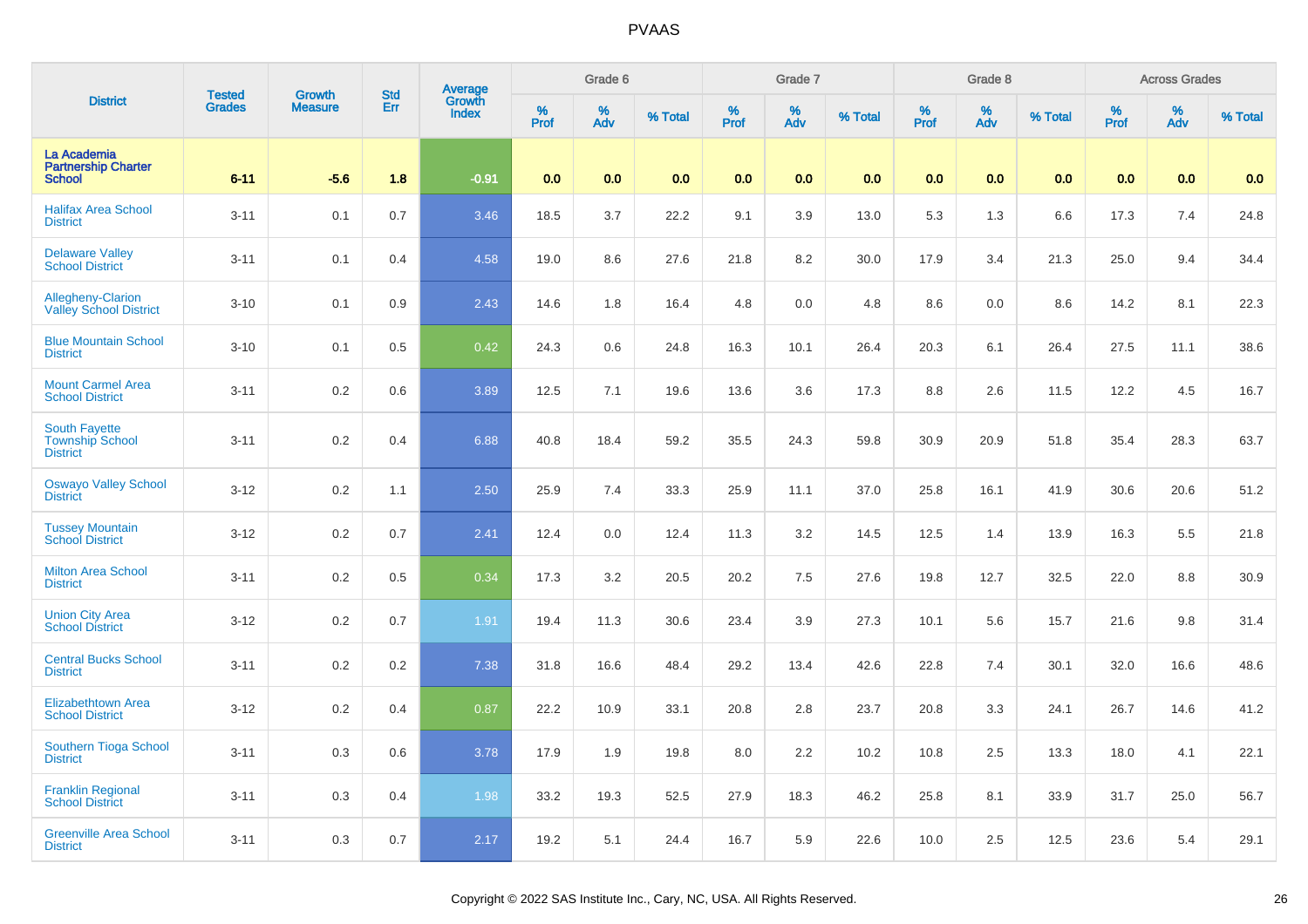| <b>District</b>                                                   | <b>Tested</b> | <b>Growth</b>  | <b>Std</b> | <b>Average</b><br>Growth |          | Grade 6  |         |          | Grade 7  |         |           | Grade 8                 |         |           | <b>Across Grades</b> |         |
|-------------------------------------------------------------------|---------------|----------------|------------|--------------------------|----------|----------|---------|----------|----------|---------|-----------|-------------------------|---------|-----------|----------------------|---------|
|                                                                   | <b>Grades</b> | <b>Measure</b> | Err        | <b>Index</b>             | $%$ Prof | %<br>Adv | % Total | $%$ Prof | %<br>Adv | % Total | %<br>Prof | $\frac{\%}{\text{Adv}}$ | % Total | %<br>Prof | %<br>Adv             | % Total |
| La Academia<br><b>Partnership Charter</b><br><b>School</b>        | $6 - 11$      | $-5.6$         | 1.8        | $-0.91$                  | 0.0      | 0.0      | 0.0     | 0.0      | 0.0      | 0.0     | 0.0       | 0.0                     | 0.0     | 0.0       | 0.0                  | 0.0     |
| <b>Halifax Area School</b><br><b>District</b>                     | $3 - 11$      | 0.1            | 0.7        | 3.46                     | 18.5     | 3.7      | 22.2    | 9.1      | 3.9      | 13.0    | 5.3       | 1.3                     | 6.6     | 17.3      | 7.4                  | 24.8    |
| <b>Delaware Valley</b><br><b>School District</b>                  | $3 - 11$      | 0.1            | 0.4        | 4.58                     | 19.0     | 8.6      | 27.6    | 21.8     | 8.2      | 30.0    | 17.9      | 3.4                     | 21.3    | 25.0      | 9.4                  | 34.4    |
| Allegheny-Clarion<br><b>Valley School District</b>                | $3 - 10$      | 0.1            | 0.9        | 2.43                     | 14.6     | 1.8      | 16.4    | 4.8      | 0.0      | 4.8     | 8.6       | 0.0                     | 8.6     | 14.2      | 8.1                  | 22.3    |
| <b>Blue Mountain School</b><br><b>District</b>                    | $3 - 10$      | 0.1            | 0.5        | 0.42                     | 24.3     | 0.6      | 24.8    | 16.3     | 10.1     | 26.4    | 20.3      | 6.1                     | 26.4    | 27.5      | 11.1                 | 38.6    |
| <b>Mount Carmel Area</b><br><b>School District</b>                | $3 - 11$      | 0.2            | 0.6        | 3.89                     | 12.5     | 7.1      | 19.6    | 13.6     | 3.6      | 17.3    | 8.8       | 2.6                     | 11.5    | 12.2      | 4.5                  | 16.7    |
| <b>South Fayette</b><br><b>Township School</b><br><b>District</b> | $3 - 11$      | 0.2            | 0.4        | 6.88                     | 40.8     | 18.4     | 59.2    | 35.5     | 24.3     | 59.8    | 30.9      | 20.9                    | 51.8    | 35.4      | 28.3                 | 63.7    |
| <b>Oswayo Valley School</b><br><b>District</b>                    | $3 - 12$      | 0.2            | 1.1        | 2.50                     | 25.9     | 7.4      | 33.3    | 25.9     | 11.1     | 37.0    | 25.8      | 16.1                    | 41.9    | 30.6      | 20.6                 | 51.2    |
| <b>Tussey Mountain</b><br><b>School District</b>                  | $3 - 12$      | 0.2            | 0.7        | 2.41                     | 12.4     | 0.0      | 12.4    | 11.3     | 3.2      | 14.5    | 12.5      | 1.4                     | 13.9    | 16.3      | 5.5                  | 21.8    |
| <b>Milton Area School</b><br><b>District</b>                      | $3 - 11$      | 0.2            | 0.5        | 0.34                     | 17.3     | 3.2      | 20.5    | 20.2     | 7.5      | 27.6    | 19.8      | 12.7                    | 32.5    | 22.0      | 8.8                  | 30.9    |
| <b>Union City Area</b><br><b>School District</b>                  | $3 - 12$      | 0.2            | 0.7        | 1.91                     | 19.4     | 11.3     | 30.6    | 23.4     | 3.9      | 27.3    | 10.1      | 5.6                     | 15.7    | 21.6      | 9.8                  | 31.4    |
| <b>Central Bucks School</b><br><b>District</b>                    | $3 - 11$      | 0.2            | 0.2        | 7.38                     | 31.8     | 16.6     | 48.4    | 29.2     | 13.4     | 42.6    | 22.8      | 7.4                     | 30.1    | 32.0      | 16.6                 | 48.6    |
| <b>Elizabethtown Area</b><br><b>School District</b>               | $3 - 12$      | 0.2            | 0.4        | 0.87                     | 22.2     | 10.9     | 33.1    | 20.8     | 2.8      | 23.7    | 20.8      | 3.3                     | 24.1    | 26.7      | 14.6                 | 41.2    |
| Southern Tioga School<br><b>District</b>                          | $3 - 11$      | 0.3            | 0.6        | 3.78                     | 17.9     | 1.9      | 19.8    | 8.0      | 2.2      | 10.2    | 10.8      | 2.5                     | 13.3    | 18.0      | 4.1                  | 22.1    |
| <b>Franklin Regional</b><br><b>School District</b>                | $3 - 11$      | 0.3            | 0.4        | 1.98                     | 33.2     | 19.3     | 52.5    | 27.9     | 18.3     | 46.2    | 25.8      | 8.1                     | 33.9    | 31.7      | 25.0                 | 56.7    |
| <b>Greenville Area School</b><br><b>District</b>                  | $3 - 11$      | 0.3            | 0.7        | 2.17                     | 19.2     | 5.1      | 24.4    | 16.7     | 5.9      | 22.6    | 10.0      | 2.5                     | 12.5    | 23.6      | 5.4                  | 29.1    |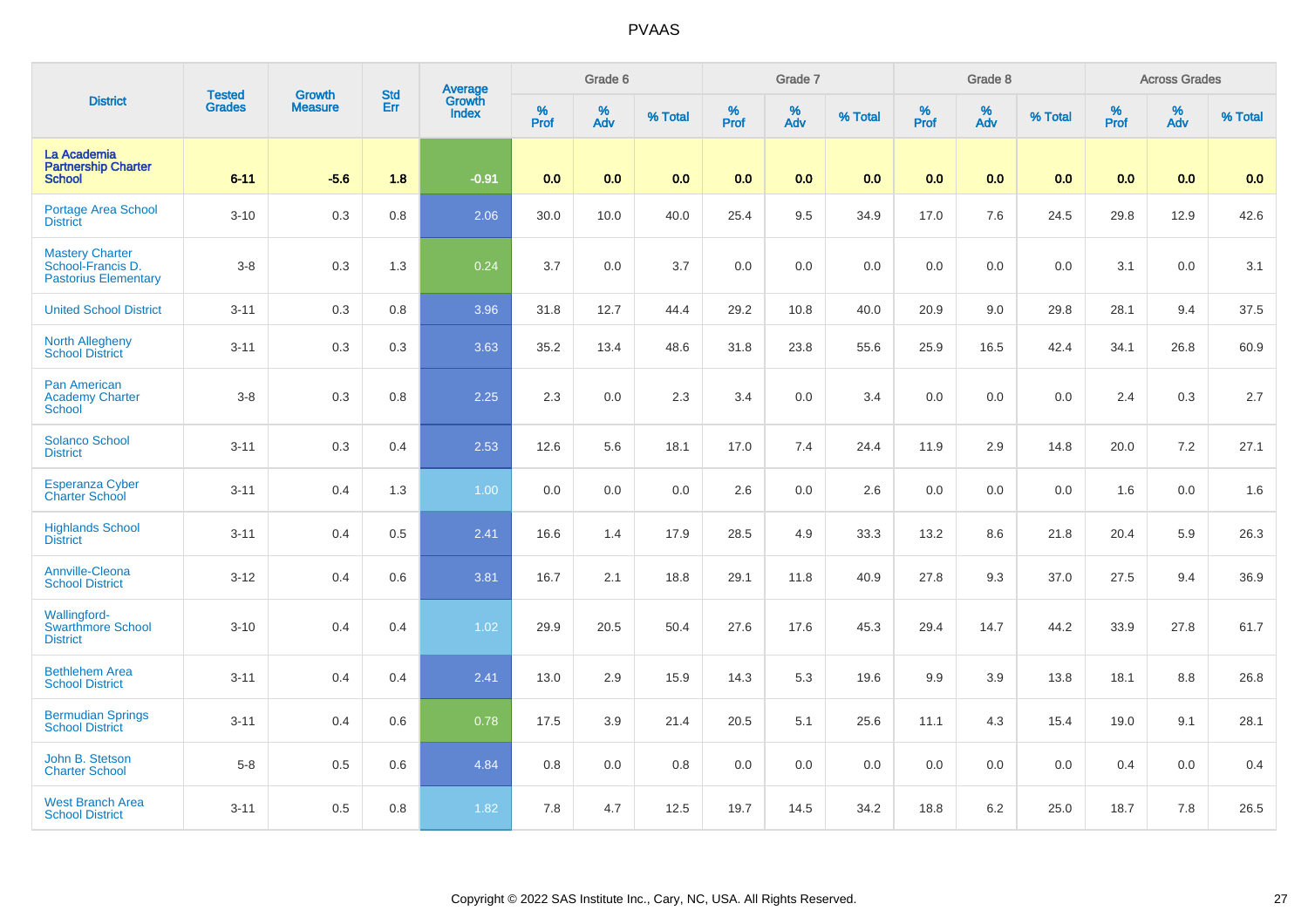| <b>District</b><br>La Academia<br><b>Partnership Charter</b><br><b>School</b> | <b>Tested</b> | <b>Growth</b>  | <b>Std</b> | Average<br>Growth |              | Grade 6  |         |              | Grade 7  |         |           | Grade 8  |         |           | <b>Across Grades</b> |         |
|-------------------------------------------------------------------------------|---------------|----------------|------------|-------------------|--------------|----------|---------|--------------|----------|---------|-----------|----------|---------|-----------|----------------------|---------|
|                                                                               | <b>Grades</b> | <b>Measure</b> | Err        | <b>Index</b>      | $\%$<br>Prof | %<br>Adv | % Total | $\%$<br>Prof | %<br>Adv | % Total | %<br>Prof | %<br>Adv | % Total | %<br>Prof | %<br>Adv             | % Total |
|                                                                               | $6 - 11$      | $-5.6$         | 1.8        | $-0.91$           | 0.0          | 0.0      | 0.0     | 0.0          | 0.0      | 0.0     | 0.0       | 0.0      | 0.0     | 0.0       | 0.0                  | 0.0     |
| Portage Area School<br><b>District</b>                                        | $3 - 10$      | 0.3            | 0.8        | 2.06              | 30.0         | 10.0     | 40.0    | 25.4         | 9.5      | 34.9    | 17.0      | 7.6      | 24.5    | 29.8      | 12.9                 | 42.6    |
| <b>Mastery Charter</b><br>School-Francis D.<br><b>Pastorius Elementary</b>    | $3 - 8$       | 0.3            | 1.3        | 0.24              | 3.7          | 0.0      | 3.7     | 0.0          | 0.0      | 0.0     | 0.0       | 0.0      | 0.0     | 3.1       | 0.0                  | 3.1     |
| <b>United School District</b>                                                 | $3 - 11$      | 0.3            | 0.8        | 3.96              | 31.8         | 12.7     | 44.4    | 29.2         | 10.8     | 40.0    | 20.9      | 9.0      | 29.8    | 28.1      | 9.4                  | 37.5    |
| <b>North Allegheny</b><br><b>School District</b>                              | $3 - 11$      | 0.3            | 0.3        | 3.63              | 35.2         | 13.4     | 48.6    | 31.8         | 23.8     | 55.6    | 25.9      | 16.5     | 42.4    | 34.1      | 26.8                 | 60.9    |
| <b>Pan American</b><br><b>Academy Charter</b><br><b>School</b>                | $3 - 8$       | 0.3            | 0.8        | 2.25              | 2.3          | 0.0      | 2.3     | 3.4          | 0.0      | 3.4     | 0.0       | 0.0      | 0.0     | 2.4       | 0.3                  | 2.7     |
| <b>Solanco School</b><br><b>District</b>                                      | $3 - 11$      | 0.3            | 0.4        | 2.53              | 12.6         | 5.6      | 18.1    | 17.0         | 7.4      | 24.4    | 11.9      | 2.9      | 14.8    | 20.0      | $7.2\,$              | 27.1    |
| <b>Esperanza Cyber</b><br><b>Charter School</b>                               | $3 - 11$      | 0.4            | 1.3        | 1.00              | 0.0          | 0.0      | 0.0     | 2.6          | 0.0      | 2.6     | 0.0       | 0.0      | 0.0     | 1.6       | 0.0                  | 1.6     |
| <b>Highlands School</b><br><b>District</b>                                    | $3 - 11$      | 0.4            | 0.5        | 2.41              | 16.6         | 1.4      | 17.9    | 28.5         | 4.9      | 33.3    | 13.2      | 8.6      | 21.8    | 20.4      | 5.9                  | 26.3    |
| <b>Annville-Cleona</b><br><b>School District</b>                              | $3 - 12$      | 0.4            | 0.6        | 3.81              | 16.7         | 2.1      | 18.8    | 29.1         | 11.8     | 40.9    | 27.8      | 9.3      | 37.0    | 27.5      | 9.4                  | 36.9    |
| Wallingford-<br><b>Swarthmore School</b><br><b>District</b>                   | $3 - 10$      | 0.4            | 0.4        | 1.02              | 29.9         | 20.5     | 50.4    | 27.6         | 17.6     | 45.3    | 29.4      | 14.7     | 44.2    | 33.9      | 27.8                 | 61.7    |
| <b>Bethlehem Area</b><br><b>School District</b>                               | $3 - 11$      | 0.4            | 0.4        | 2.41              | 13.0         | 2.9      | 15.9    | 14.3         | 5.3      | 19.6    | 9.9       | 3.9      | 13.8    | 18.1      | 8.8                  | 26.8    |
| <b>Bermudian Springs</b><br><b>School District</b>                            | $3 - 11$      | 0.4            | 0.6        | 0.78              | 17.5         | 3.9      | 21.4    | 20.5         | 5.1      | 25.6    | 11.1      | 4.3      | 15.4    | 19.0      | 9.1                  | 28.1    |
| John B. Stetson<br><b>Charter School</b>                                      | $5 - 8$       | 0.5            | 0.6        | 4.84              | 0.8          | 0.0      | 0.8     | 0.0          | 0.0      | 0.0     | 0.0       | 0.0      | 0.0     | 0.4       | 0.0                  | 0.4     |
| <b>West Branch Area</b><br><b>School District</b>                             | $3 - 11$      | 0.5            | 0.8        | 1.82              | 7.8          | 4.7      | 12.5    | 19.7         | 14.5     | 34.2    | 18.8      | 6.2      | 25.0    | 18.7      | 7.8                  | 26.5    |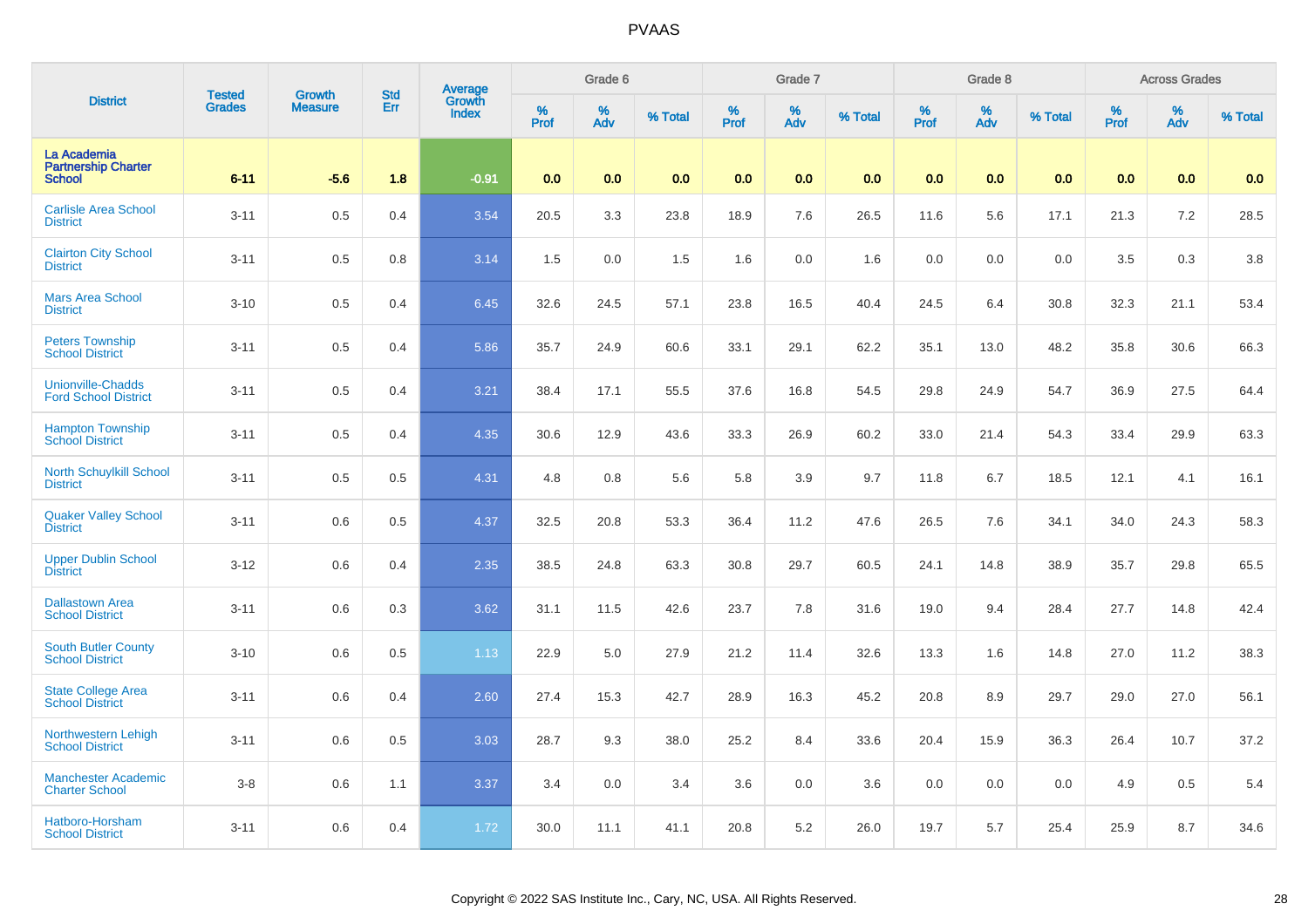| <b>District</b><br>La Academia                          | <b>Tested</b> | <b>Growth</b>  | <b>Std</b> |                                          |           | Grade 6  |         |              | Grade 7  |         |           | Grade 8  |         |           | <b>Across Grades</b> |         |
|---------------------------------------------------------|---------------|----------------|------------|------------------------------------------|-----------|----------|---------|--------------|----------|---------|-----------|----------|---------|-----------|----------------------|---------|
|                                                         | <b>Grades</b> | <b>Measure</b> | Err        | <b>Average</b><br>Growth<br><b>Index</b> | %<br>Prof | %<br>Adv | % Total | $\%$<br>Prof | %<br>Adv | % Total | %<br>Prof | %<br>Adv | % Total | %<br>Prof | %<br>Adv             | % Total |
| <b>Partnership Charter</b><br><b>School</b>             | $6 - 11$      | $-5.6$         | 1.8        | $-0.91$                                  | 0.0       | 0.0      | 0.0     | 0.0          | 0.0      | 0.0     | 0.0       | 0.0      | 0.0     | 0.0       | 0.0                  | 0.0     |
| <b>Carlisle Area School</b><br><b>District</b>          | $3 - 11$      | 0.5            | 0.4        | 3.54                                     | 20.5      | 3.3      | 23.8    | 18.9         | 7.6      | 26.5    | 11.6      | 5.6      | 17.1    | 21.3      | 7.2                  | 28.5    |
| <b>Clairton City School</b><br><b>District</b>          | $3 - 11$      | 0.5            | $0.8\,$    | 3.14                                     | 1.5       | 0.0      | 1.5     | 1.6          | $0.0\,$  | 1.6     | 0.0       | 0.0      | 0.0     | 3.5       | 0.3                  | 3.8     |
| <b>Mars Area School</b><br><b>District</b>              | $3 - 10$      | 0.5            | 0.4        | 6.45                                     | 32.6      | 24.5     | 57.1    | 23.8         | 16.5     | 40.4    | 24.5      | 6.4      | 30.8    | 32.3      | 21.1                 | 53.4    |
| <b>Peters Township</b><br><b>School District</b>        | $3 - 11$      | 0.5            | 0.4        | 5.86                                     | 35.7      | 24.9     | 60.6    | 33.1         | 29.1     | 62.2    | 35.1      | 13.0     | 48.2    | 35.8      | 30.6                 | 66.3    |
| <b>Unionville-Chadds</b><br><b>Ford School District</b> | $3 - 11$      | 0.5            | 0.4        | 3.21                                     | 38.4      | 17.1     | 55.5    | 37.6         | 16.8     | 54.5    | 29.8      | 24.9     | 54.7    | 36.9      | 27.5                 | 64.4    |
| <b>Hampton Township</b><br><b>School District</b>       | $3 - 11$      | 0.5            | 0.4        | 4.35                                     | 30.6      | 12.9     | 43.6    | 33.3         | 26.9     | 60.2    | 33.0      | 21.4     | 54.3    | 33.4      | 29.9                 | 63.3    |
| <b>North Schuylkill School</b><br><b>District</b>       | $3 - 11$      | 0.5            | 0.5        | 4.31                                     | 4.8       | 0.8      | 5.6     | 5.8          | 3.9      | 9.7     | 11.8      | 6.7      | 18.5    | 12.1      | 4.1                  | 16.1    |
| <b>Quaker Valley School</b><br><b>District</b>          | $3 - 11$      | 0.6            | 0.5        | 4.37                                     | 32.5      | 20.8     | 53.3    | 36.4         | 11.2     | 47.6    | 26.5      | 7.6      | 34.1    | 34.0      | 24.3                 | 58.3    |
| <b>Upper Dublin School</b><br><b>District</b>           | $3 - 12$      | 0.6            | 0.4        | 2.35                                     | 38.5      | 24.8     | 63.3    | 30.8         | 29.7     | 60.5    | 24.1      | 14.8     | 38.9    | 35.7      | 29.8                 | 65.5    |
| <b>Dallastown Area</b><br><b>School District</b>        | $3 - 11$      | 0.6            | 0.3        | 3.62                                     | 31.1      | 11.5     | 42.6    | 23.7         | 7.8      | 31.6    | 19.0      | 9.4      | 28.4    | 27.7      | 14.8                 | 42.4    |
| <b>South Butler County</b><br><b>School District</b>    | $3 - 10$      | 0.6            | 0.5        | 1.13                                     | 22.9      | 5.0      | 27.9    | 21.2         | 11.4     | 32.6    | 13.3      | 1.6      | 14.8    | 27.0      | 11.2                 | 38.3    |
| <b>State College Area</b><br><b>School District</b>     | $3 - 11$      | 0.6            | 0.4        | 2.60                                     | 27.4      | 15.3     | 42.7    | 28.9         | 16.3     | 45.2    | 20.8      | 8.9      | 29.7    | 29.0      | 27.0                 | 56.1    |
| Northwestern Lehigh<br><b>School District</b>           | $3 - 11$      | 0.6            | 0.5        | 3.03                                     | 28.7      | 9.3      | 38.0    | 25.2         | 8.4      | 33.6    | 20.4      | 15.9     | 36.3    | 26.4      | 10.7                 | 37.2    |
| <b>Manchester Academic</b><br><b>Charter School</b>     | $3 - 8$       | 0.6            | 1.1        | 3.37                                     | 3.4       | 0.0      | 3.4     | 3.6          | 0.0      | 3.6     | 0.0       | 0.0      | 0.0     | 4.9       | 0.5                  | 5.4     |
| Hatboro-Horsham<br><b>School District</b>               | $3 - 11$      | 0.6            | 0.4        | 1.72                                     | 30.0      | 11.1     | 41.1    | 20.8         | 5.2      | 26.0    | 19.7      | 5.7      | 25.4    | 25.9      | 8.7                  | 34.6    |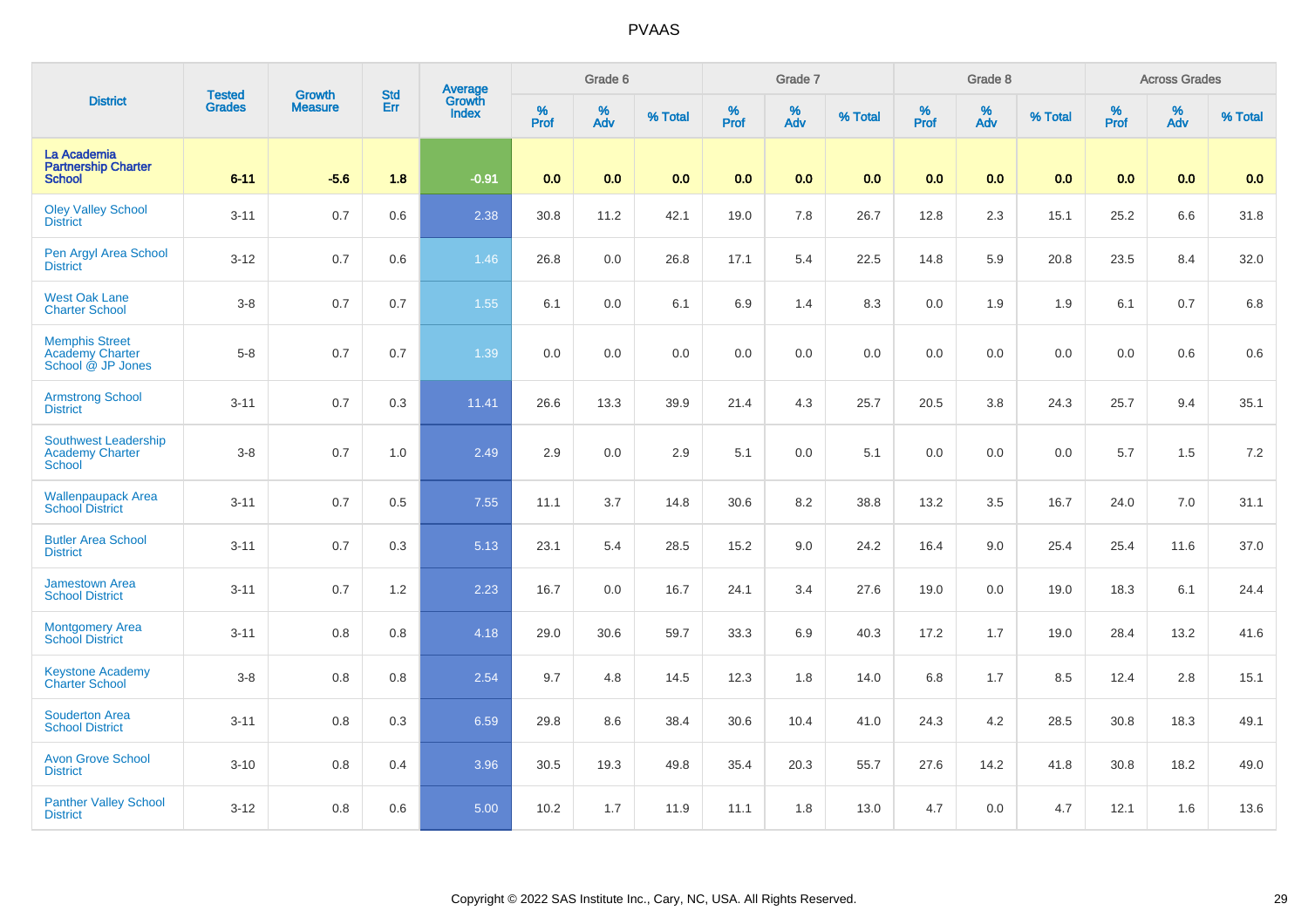|                                                                      | <b>Tested</b> | <b>Growth</b>  | <b>Std</b> | Average<br>Growth |           | Grade 6  |         |                  | Grade 7  |         |           | Grade 8  |         |           | <b>Across Grades</b> |         |
|----------------------------------------------------------------------|---------------|----------------|------------|-------------------|-----------|----------|---------|------------------|----------|---------|-----------|----------|---------|-----------|----------------------|---------|
| <b>District</b>                                                      | <b>Grades</b> | <b>Measure</b> | Err        | <b>Index</b>      | %<br>Prof | %<br>Adv | % Total | %<br><b>Prof</b> | %<br>Adv | % Total | %<br>Prof | %<br>Adv | % Total | %<br>Prof | %<br>Adv             | % Total |
| La Academia<br><b>Partnership Charter</b><br><b>School</b>           | $6 - 11$      | $-5.6$         | 1.8        | $-0.91$           | 0.0       | 0.0      | 0.0     | 0.0              | 0.0      | 0.0     | 0.0       | 0.0      | 0.0     | 0.0       | 0.0                  | 0.0     |
| <b>Oley Valley School</b><br><b>District</b>                         | $3 - 11$      | 0.7            | 0.6        | 2.38              | 30.8      | 11.2     | 42.1    | 19.0             | 7.8      | 26.7    | 12.8      | 2.3      | 15.1    | 25.2      | 6.6                  | 31.8    |
| Pen Argyl Area School<br><b>District</b>                             | $3 - 12$      | 0.7            | 0.6        | 1.46              | 26.8      | 0.0      | 26.8    | 17.1             | 5.4      | 22.5    | 14.8      | 5.9      | 20.8    | 23.5      | 8.4                  | 32.0    |
| <b>West Oak Lane</b><br><b>Charter School</b>                        | $3 - 8$       | 0.7            | 0.7        | $1.55$            | 6.1       | 0.0      | 6.1     | 6.9              | 1.4      | 8.3     | 0.0       | 1.9      | 1.9     | 6.1       | 0.7                  | 6.8     |
| <b>Memphis Street</b><br><b>Academy Charter</b><br>School @ JP Jones | $5 - 8$       | 0.7            | 0.7        | 1.39              | 0.0       | 0.0      | 0.0     | 0.0              | 0.0      | 0.0     | 0.0       | 0.0      | 0.0     | 0.0       | 0.6                  | 0.6     |
| <b>Armstrong School</b><br><b>District</b>                           | $3 - 11$      | 0.7            | 0.3        | 11.41             | 26.6      | 13.3     | 39.9    | 21.4             | 4.3      | 25.7    | 20.5      | 3.8      | 24.3    | 25.7      | 9.4                  | 35.1    |
| <b>Southwest Leadership</b><br><b>Academy Charter</b><br>School      | $3 - 8$       | 0.7            | 1.0        | 2.49              | 2.9       | 0.0      | 2.9     | 5.1              | 0.0      | 5.1     | 0.0       | 0.0      | 0.0     | 5.7       | 1.5                  | 7.2     |
| <b>Wallenpaupack Area</b><br><b>School District</b>                  | $3 - 11$      | 0.7            | 0.5        | 7.55              | 11.1      | 3.7      | 14.8    | 30.6             | 8.2      | 38.8    | 13.2      | 3.5      | 16.7    | 24.0      | $7.0\,$              | 31.1    |
| <b>Butler Area School</b><br><b>District</b>                         | $3 - 11$      | 0.7            | 0.3        | 5.13              | 23.1      | 5.4      | 28.5    | 15.2             | 9.0      | 24.2    | 16.4      | 9.0      | 25.4    | 25.4      | 11.6                 | 37.0    |
| <b>Jamestown Area</b><br><b>School District</b>                      | $3 - 11$      | 0.7            | 1.2        | 2.23              | 16.7      | 0.0      | 16.7    | 24.1             | 3.4      | 27.6    | 19.0      | 0.0      | 19.0    | 18.3      | 6.1                  | 24.4    |
| <b>Montgomery Area</b><br><b>School District</b>                     | $3 - 11$      | 0.8            | 0.8        | 4.18              | 29.0      | 30.6     | 59.7    | 33.3             | 6.9      | 40.3    | 17.2      | 1.7      | 19.0    | 28.4      | 13.2                 | 41.6    |
| <b>Keystone Academy</b><br><b>Charter School</b>                     | $3 - 8$       | $0.8\,$        | 0.8        | 2.54              | 9.7       | 4.8      | 14.5    | 12.3             | 1.8      | 14.0    | 6.8       | 1.7      | 8.5     | 12.4      | 2.8                  | 15.1    |
| <b>Souderton Area</b><br><b>School District</b>                      | $3 - 11$      | 0.8            | 0.3        | 6.59              | 29.8      | 8.6      | 38.4    | 30.6             | 10.4     | 41.0    | 24.3      | $4.2\,$  | 28.5    | 30.8      | 18.3                 | 49.1    |
| <b>Avon Grove School</b><br><b>District</b>                          | $3 - 10$      | 0.8            | 0.4        | 3.96              | 30.5      | 19.3     | 49.8    | 35.4             | 20.3     | 55.7    | 27.6      | 14.2     | 41.8    | 30.8      | 18.2                 | 49.0    |
| <b>Panther Valley School</b><br><b>District</b>                      | $3 - 12$      | 0.8            | 0.6        | 5.00              | 10.2      | 1.7      | 11.9    | 11.1             | 1.8      | 13.0    | 4.7       | 0.0      | 4.7     | 12.1      | 1.6                  | 13.6    |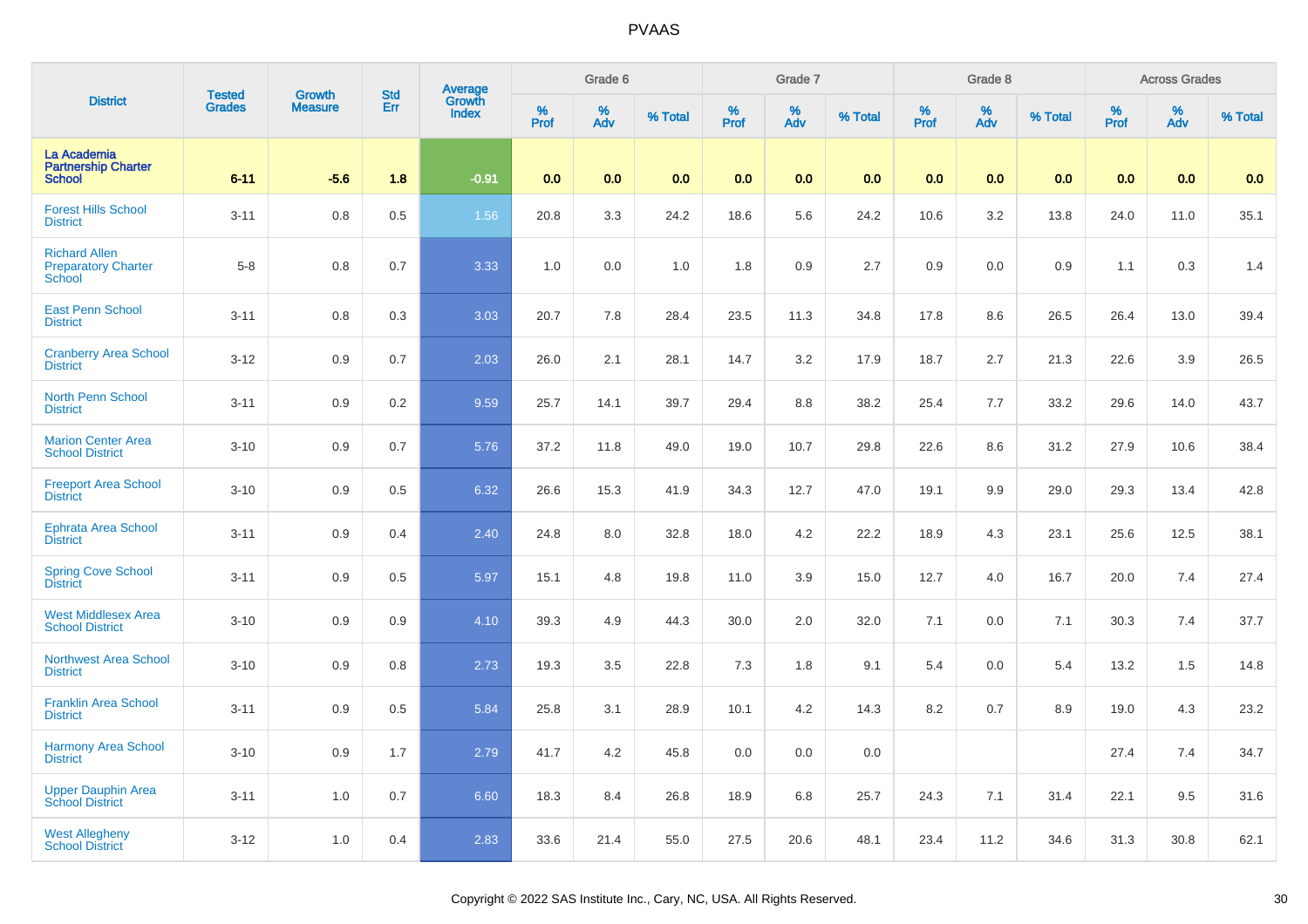| <b>District</b>                                              | <b>Tested</b> | <b>Growth</b>  | <b>Std</b> |                                          |           | Grade 6  |         |                     | Grade 7  |         |                     | Grade 8  |         |           | <b>Across Grades</b> |         |
|--------------------------------------------------------------|---------------|----------------|------------|------------------------------------------|-----------|----------|---------|---------------------|----------|---------|---------------------|----------|---------|-----------|----------------------|---------|
|                                                              | <b>Grades</b> | <b>Measure</b> | Err        | <b>Average</b><br>Growth<br><b>Index</b> | %<br>Prof | %<br>Adv | % Total | $\%$<br><b>Prof</b> | %<br>Adv | % Total | $\%$<br><b>Prof</b> | %<br>Adv | % Total | %<br>Prof | %<br>Adv             | % Total |
| La Academia<br><b>Partnership Charter</b><br><b>School</b>   | $6 - 11$      | $-5.6$         | 1.8        | $-0.91$                                  | 0.0       | 0.0      | 0.0     | 0.0                 | 0.0      | 0.0     | 0.0                 | 0.0      | 0.0     | 0.0       | 0.0                  | 0.0     |
| <b>Forest Hills School</b><br><b>District</b>                | $3 - 11$      | 0.8            | 0.5        | 1.56                                     | 20.8      | 3.3      | 24.2    | 18.6                | 5.6      | 24.2    | 10.6                | 3.2      | 13.8    | 24.0      | 11.0                 | 35.1    |
| <b>Richard Allen</b><br><b>Preparatory Charter</b><br>School | $5 - 8$       | 0.8            | 0.7        | 3.33                                     | 1.0       | 0.0      | 1.0     | 1.8                 | 0.9      | 2.7     | 0.9                 | 0.0      | 0.9     | 1.1       | 0.3                  | 1.4     |
| <b>East Penn School</b><br><b>District</b>                   | $3 - 11$      | 0.8            | 0.3        | 3.03                                     | 20.7      | 7.8      | 28.4    | 23.5                | 11.3     | 34.8    | 17.8                | 8.6      | 26.5    | 26.4      | 13.0                 | 39.4    |
| <b>Cranberry Area School</b><br><b>District</b>              | $3 - 12$      | 0.9            | 0.7        | 2.03                                     | 26.0      | 2.1      | 28.1    | 14.7                | 3.2      | 17.9    | 18.7                | 2.7      | 21.3    | 22.6      | 3.9                  | 26.5    |
| <b>North Penn School</b><br><b>District</b>                  | $3 - 11$      | 0.9            | 0.2        | 9.59                                     | 25.7      | 14.1     | 39.7    | 29.4                | 8.8      | 38.2    | 25.4                | 7.7      | 33.2    | 29.6      | 14.0                 | 43.7    |
| <b>Marion Center Area</b><br><b>School District</b>          | $3 - 10$      | 0.9            | 0.7        | 5.76                                     | 37.2      | 11.8     | 49.0    | 19.0                | 10.7     | 29.8    | 22.6                | 8.6      | 31.2    | 27.9      | 10.6                 | 38.4    |
| <b>Freeport Area School</b><br><b>District</b>               | $3 - 10$      | 0.9            | 0.5        | 6.32                                     | 26.6      | 15.3     | 41.9    | 34.3                | 12.7     | 47.0    | 19.1                | 9.9      | 29.0    | 29.3      | 13.4                 | 42.8    |
| <b>Ephrata Area School</b><br><b>District</b>                | $3 - 11$      | 0.9            | 0.4        | 2.40                                     | 24.8      | 8.0      | 32.8    | 18.0                | 4.2      | 22.2    | 18.9                | 4.3      | 23.1    | 25.6      | 12.5                 | 38.1    |
| <b>Spring Cove School</b><br><b>District</b>                 | $3 - 11$      | 0.9            | 0.5        | 5.97                                     | 15.1      | 4.8      | 19.8    | 11.0                | 3.9      | 15.0    | 12.7                | 4.0      | 16.7    | 20.0      | 7.4                  | 27.4    |
| <b>West Middlesex Area</b><br><b>School District</b>         | $3 - 10$      | 0.9            | 0.9        | 4.10                                     | 39.3      | 4.9      | 44.3    | 30.0                | 2.0      | 32.0    | 7.1                 | 0.0      | 7.1     | 30.3      | 7.4                  | 37.7    |
| <b>Northwest Area School</b><br><b>District</b>              | $3 - 10$      | 0.9            | 0.8        | 2.73                                     | 19.3      | 3.5      | 22.8    | 7.3                 | 1.8      | 9.1     | 5.4                 | 0.0      | 5.4     | 13.2      | 1.5                  | 14.8    |
| <b>Franklin Area School</b><br><b>District</b>               | $3 - 11$      | 0.9            | 0.5        | 5.84                                     | 25.8      | 3.1      | 28.9    | 10.1                | 4.2      | 14.3    | 8.2                 | 0.7      | 8.9     | 19.0      | 4.3                  | 23.2    |
| <b>Harmony Area School</b><br><b>District</b>                | $3 - 10$      | 0.9            | 1.7        | 2.79                                     | 41.7      | 4.2      | 45.8    | 0.0                 | 0.0      | 0.0     |                     |          |         | 27.4      | 7.4                  | 34.7    |
| <b>Upper Dauphin Area</b><br><b>School District</b>          | $3 - 11$      | 1.0            | 0.7        | 6.60                                     | 18.3      | 8.4      | 26.8    | 18.9                | 6.8      | 25.7    | 24.3                | 7.1      | 31.4    | 22.1      | 9.5                  | 31.6    |
| <b>West Allegheny</b><br><b>School District</b>              | $3 - 12$      | $1.0$          | 0.4        | 2.83                                     | 33.6      | 21.4     | 55.0    | 27.5                | 20.6     | 48.1    | 23.4                | 11.2     | 34.6    | 31.3      | 30.8                 | 62.1    |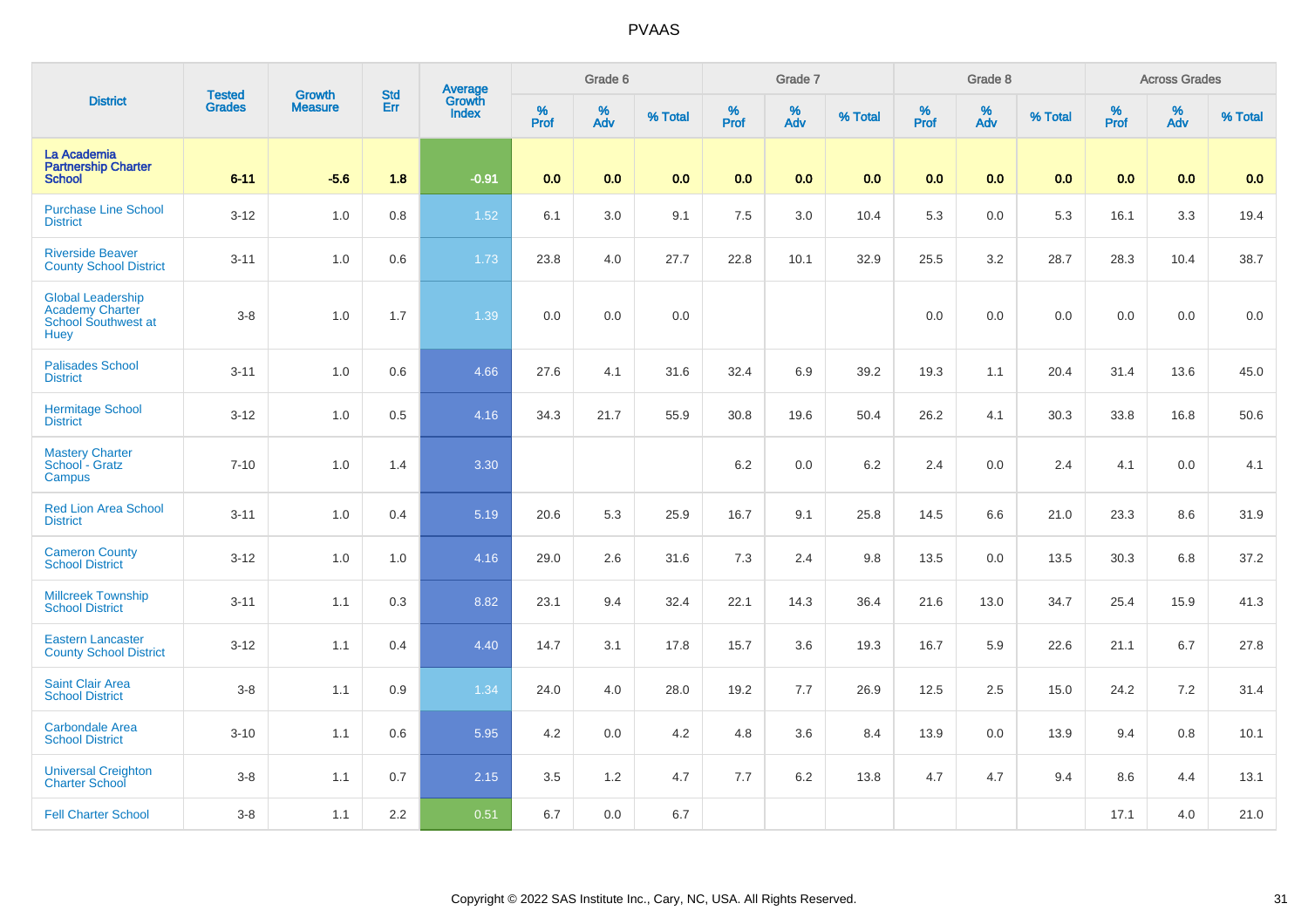|                                                                                   | <b>Tested</b> | <b>Growth</b>  | <b>Std</b> |                                   |           | Grade 6  |         |                  | Grade 7  |         |           | Grade 8  |         |           | <b>Across Grades</b> |         |
|-----------------------------------------------------------------------------------|---------------|----------------|------------|-----------------------------------|-----------|----------|---------|------------------|----------|---------|-----------|----------|---------|-----------|----------------------|---------|
| <b>District</b>                                                                   | <b>Grades</b> | <b>Measure</b> | Err        | Average<br>Growth<br><b>Index</b> | %<br>Prof | %<br>Adv | % Total | %<br><b>Prof</b> | %<br>Adv | % Total | %<br>Prof | %<br>Adv | % Total | %<br>Prof | %<br>Adv             | % Total |
| La Academia<br><b>Partnership Charter</b><br><b>School</b>                        | $6 - 11$      | $-5.6$         | 1.8        | $-0.91$                           | 0.0       | 0.0      | 0.0     | 0.0              | 0.0      | 0.0     | 0.0       | 0.0      | 0.0     | 0.0       | 0.0                  | 0.0     |
| <b>Purchase Line School</b><br><b>District</b>                                    | $3 - 12$      | 1.0            | 0.8        | 1.52                              | 6.1       | 3.0      | 9.1     | 7.5              | 3.0      | 10.4    | 5.3       | 0.0      | 5.3     | 16.1      | 3.3                  | 19.4    |
| <b>Riverside Beaver</b><br><b>County School District</b>                          | $3 - 11$      | 1.0            | 0.6        | 1.73                              | 23.8      | 4.0      | 27.7    | 22.8             | 10.1     | 32.9    | 25.5      | 3.2      | 28.7    | 28.3      | 10.4                 | 38.7    |
| <b>Global Leadership</b><br><b>Academy Charter</b><br>School Southwest at<br>Huey | $3 - 8$       | 1.0            | 1.7        | 1.39                              | 0.0       | 0.0      | 0.0     |                  |          |         | $0.0\,$   | 0.0      | 0.0     | 0.0       | $0.0\,$              | $0.0\,$ |
| <b>Palisades School</b><br><b>District</b>                                        | $3 - 11$      | 1.0            | 0.6        | 4.66                              | 27.6      | 4.1      | 31.6    | 32.4             | 6.9      | 39.2    | 19.3      | 1.1      | 20.4    | 31.4      | 13.6                 | 45.0    |
| <b>Hermitage School</b><br><b>District</b>                                        | $3 - 12$      | 1.0            | 0.5        | 4.16                              | 34.3      | 21.7     | 55.9    | 30.8             | 19.6     | 50.4    | 26.2      | 4.1      | 30.3    | 33.8      | 16.8                 | 50.6    |
| <b>Mastery Charter</b><br>School - Gratz<br>Campus                                | $7 - 10$      | 1.0            | 1.4        | 3.30                              |           |          |         | 6.2              | 0.0      | $6.2\,$ | 2.4       | 0.0      | 2.4     | 4.1       | 0.0                  | 4.1     |
| <b>Red Lion Area School</b><br><b>District</b>                                    | $3 - 11$      | 1.0            | 0.4        | 5.19                              | 20.6      | 5.3      | 25.9    | 16.7             | 9.1      | 25.8    | 14.5      | 6.6      | 21.0    | 23.3      | 8.6                  | 31.9    |
| <b>Cameron County</b><br><b>School District</b>                                   | $3 - 12$      | 1.0            | 1.0        | 4.16                              | 29.0      | 2.6      | 31.6    | 7.3              | 2.4      | 9.8     | 13.5      | 0.0      | 13.5    | 30.3      | 6.8                  | 37.2    |
| <b>Millcreek Township</b><br><b>School District</b>                               | $3 - 11$      | 1.1            | 0.3        | 8.82                              | 23.1      | 9.4      | 32.4    | 22.1             | 14.3     | 36.4    | 21.6      | 13.0     | 34.7    | 25.4      | 15.9                 | 41.3    |
| <b>Eastern Lancaster</b><br><b>County School District</b>                         | $3 - 12$      | 1.1            | 0.4        | 4.40                              | 14.7      | 3.1      | 17.8    | 15.7             | 3.6      | 19.3    | 16.7      | 5.9      | 22.6    | 21.1      | 6.7                  | 27.8    |
| <b>Saint Clair Area</b><br><b>School District</b>                                 | $3-8$         | 1.1            | 0.9        | 1.34                              | 24.0      | 4.0      | 28.0    | 19.2             | 7.7      | 26.9    | 12.5      | 2.5      | 15.0    | 24.2      | 7.2                  | 31.4    |
| <b>Carbondale Area</b><br><b>School District</b>                                  | $3 - 10$      | 1.1            | 0.6        | 5.95                              | 4.2       | 0.0      | 4.2     | 4.8              | 3.6      | 8.4     | 13.9      | 0.0      | 13.9    | 9.4       | 0.8                  | 10.1    |
| <b>Universal Creighton</b><br><b>Charter School</b>                               | $3-8$         | 1.1            | 0.7        | 2.15                              | 3.5       | 1.2      | 4.7     | 7.7              | 6.2      | 13.8    | 4.7       | 4.7      | 9.4     | 8.6       | 4.4                  | 13.1    |
| <b>Fell Charter School</b>                                                        | $3-8$         | 1.1            | 2.2        | 0.51                              | 6.7       | 0.0      | 6.7     |                  |          |         |           |          |         | 17.1      | 4.0                  | 21.0    |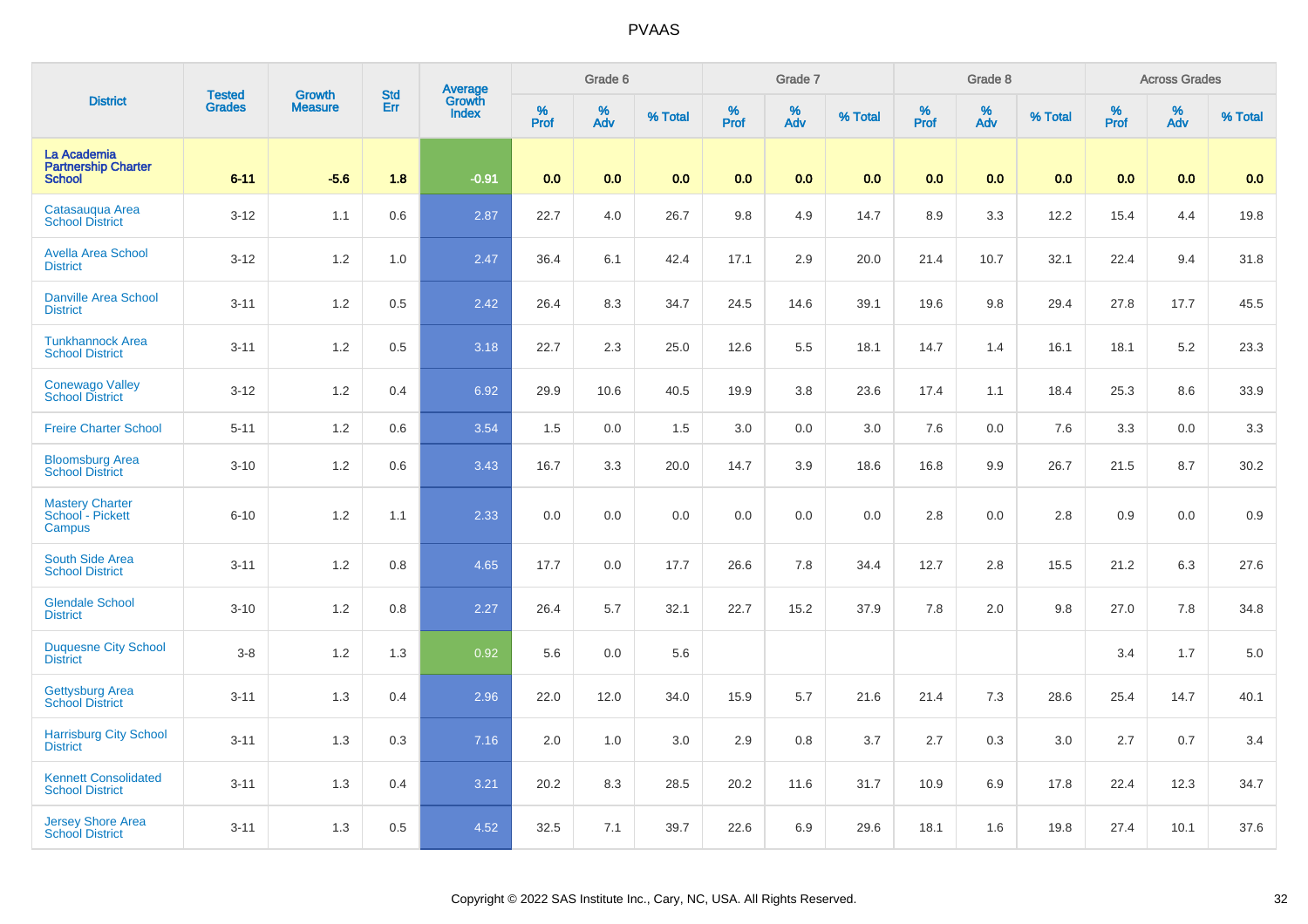| <b>District</b>                                            | <b>Tested</b> | <b>Growth</b>  | <b>Std</b> |                                          |           | Grade 6  |         |              | Grade 7  |         |              | Grade 8  |         |           | <b>Across Grades</b> |         |
|------------------------------------------------------------|---------------|----------------|------------|------------------------------------------|-----------|----------|---------|--------------|----------|---------|--------------|----------|---------|-----------|----------------------|---------|
|                                                            | <b>Grades</b> | <b>Measure</b> | Err        | <b>Average</b><br>Growth<br><b>Index</b> | %<br>Prof | %<br>Adv | % Total | $\%$<br>Prof | %<br>Adv | % Total | $\%$<br>Prof | %<br>Adv | % Total | %<br>Prof | %<br>Adv             | % Total |
| La Academia<br><b>Partnership Charter</b><br><b>School</b> | $6 - 11$      | $-5.6$         | 1.8        | $-0.91$                                  | 0.0       | 0.0      | 0.0     | 0.0          | 0.0      | 0.0     | 0.0          | 0.0      | 0.0     | 0.0       | 0.0                  | 0.0     |
| Catasaugua Area<br><b>School District</b>                  | $3 - 12$      | 1.1            | 0.6        | 2.87                                     | 22.7      | 4.0      | 26.7    | 9.8          | 4.9      | 14.7    | 8.9          | 3.3      | 12.2    | 15.4      | 4.4                  | 19.8    |
| <b>Avella Area School</b><br><b>District</b>               | $3 - 12$      | $1.2$          | 1.0        | 2.47                                     | 36.4      | 6.1      | 42.4    | 17.1         | 2.9      | 20.0    | 21.4         | 10.7     | 32.1    | 22.4      | 9.4                  | 31.8    |
| <b>Danville Area School</b><br><b>District</b>             | $3 - 11$      | 1.2            | 0.5        | 2.42                                     | 26.4      | 8.3      | 34.7    | 24.5         | 14.6     | 39.1    | 19.6         | 9.8      | 29.4    | 27.8      | 17.7                 | 45.5    |
| <b>Tunkhannock Area</b><br><b>School District</b>          | $3 - 11$      | 1.2            | 0.5        | 3.18                                     | 22.7      | 2.3      | 25.0    | 12.6         | 5.5      | 18.1    | 14.7         | 1.4      | 16.1    | 18.1      | 5.2                  | 23.3    |
| <b>Conewago Valley</b><br><b>School District</b>           | $3 - 12$      | 1.2            | 0.4        | 6.92                                     | 29.9      | 10.6     | 40.5    | 19.9         | 3.8      | 23.6    | 17.4         | 1.1      | 18.4    | 25.3      | 8.6                  | 33.9    |
| <b>Freire Charter School</b>                               | $5 - 11$      | 1.2            | 0.6        | 3.54                                     | 1.5       | 0.0      | 1.5     | 3.0          | 0.0      | 3.0     | 7.6          | 0.0      | 7.6     | 3.3       | 0.0                  | 3.3     |
| <b>Bloomsburg Area</b><br><b>School District</b>           | $3 - 10$      | 1.2            | 0.6        | 3.43                                     | 16.7      | 3.3      | 20.0    | 14.7         | 3.9      | 18.6    | 16.8         | 9.9      | 26.7    | 21.5      | 8.7                  | 30.2    |
| <b>Mastery Charter</b><br>School - Pickett<br>Campus       | $6 - 10$      | 1.2            | 1.1        | 2.33                                     | 0.0       | 0.0      | 0.0     | 0.0          | 0.0      | 0.0     | 2.8          | 0.0      | 2.8     | 0.9       | 0.0                  | 0.9     |
| South Side Area<br><b>School District</b>                  | $3 - 11$      | 1.2            | 0.8        | 4.65                                     | 17.7      | 0.0      | 17.7    | 26.6         | 7.8      | 34.4    | 12.7         | 2.8      | 15.5    | 21.2      | 6.3                  | 27.6    |
| <b>Glendale School</b><br><b>District</b>                  | $3 - 10$      | 1.2            | 0.8        | 2.27                                     | 26.4      | 5.7      | 32.1    | 22.7         | 15.2     | 37.9    | 7.8          | 2.0      | 9.8     | 27.0      | 7.8                  | 34.8    |
| <b>Duquesne City School</b><br><b>District</b>             | $3-8$         | 1.2            | 1.3        | 0.92                                     | 5.6       | 0.0      | 5.6     |              |          |         |              |          |         | 3.4       | 1.7                  | 5.0     |
| <b>Gettysburg Area</b><br><b>School District</b>           | $3 - 11$      | 1.3            | 0.4        | 2.96                                     | 22.0      | 12.0     | 34.0    | 15.9         | 5.7      | 21.6    | 21.4         | 7.3      | 28.6    | 25.4      | 14.7                 | 40.1    |
| <b>Harrisburg City School</b><br><b>District</b>           | $3 - 11$      | 1.3            | 0.3        | 7.16                                     | 2.0       | 1.0      | 3.0     | 2.9          | 0.8      | 3.7     | 2.7          | 0.3      | 3.0     | 2.7       | 0.7                  | 3.4     |
| <b>Kennett Consolidated</b><br><b>School District</b>      | $3 - 11$      | 1.3            | 0.4        | 3.21                                     | 20.2      | 8.3      | 28.5    | 20.2         | 11.6     | 31.7    | 10.9         | 6.9      | 17.8    | 22.4      | 12.3                 | 34.7    |
| <b>Jersey Shore Area</b><br><b>School District</b>         | $3 - 11$      | 1.3            | 0.5        | 4.52                                     | 32.5      | 7.1      | 39.7    | 22.6         | 6.9      | 29.6    | 18.1         | 1.6      | 19.8    | 27.4      | 10.1                 | 37.6    |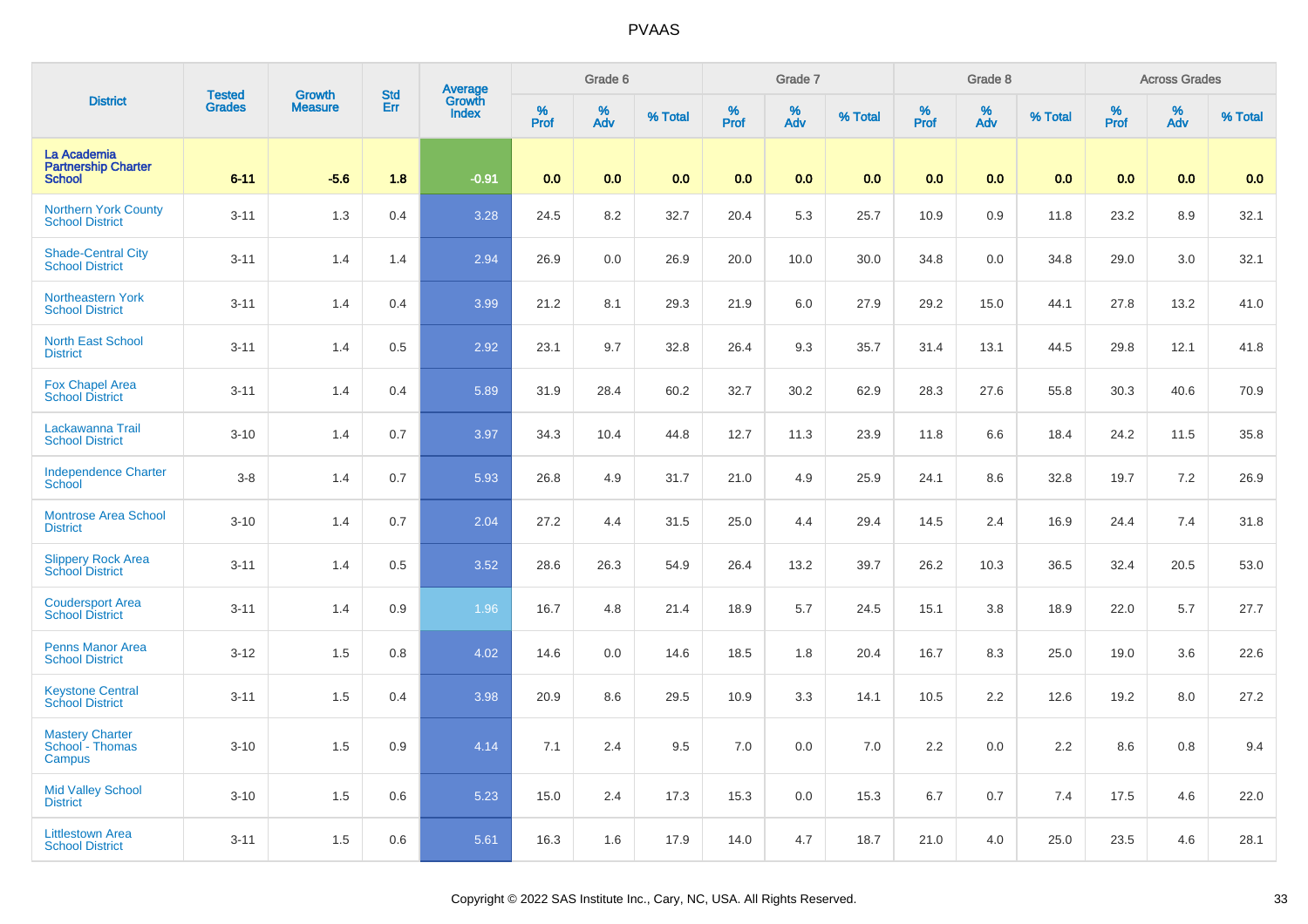| <b>District</b>                                            | <b>Tested</b> | <b>Growth</b>  | <b>Std</b> |                                          |           | Grade 6  |         |           | Grade 7  |         |           | Grade 8  |         |           | <b>Across Grades</b> |         |
|------------------------------------------------------------|---------------|----------------|------------|------------------------------------------|-----------|----------|---------|-----------|----------|---------|-----------|----------|---------|-----------|----------------------|---------|
|                                                            | <b>Grades</b> | <b>Measure</b> | Err        | <b>Average</b><br>Growth<br><b>Index</b> | %<br>Prof | %<br>Adv | % Total | %<br>Prof | %<br>Adv | % Total | %<br>Prof | %<br>Adv | % Total | %<br>Prof | %<br>Adv             | % Total |
| La Academia<br><b>Partnership Charter</b><br><b>School</b> | $6 - 11$      | $-5.6$         | 1.8        | $-0.91$                                  | 0.0       | 0.0      | 0.0     | 0.0       | 0.0      | 0.0     | 0.0       | 0.0      | 0.0     | 0.0       | 0.0                  | 0.0     |
| <b>Northern York County</b><br><b>School District</b>      | $3 - 11$      | 1.3            | 0.4        | 3.28                                     | 24.5      | 8.2      | 32.7    | 20.4      | 5.3      | 25.7    | 10.9      | 0.9      | 11.8    | 23.2      | 8.9                  | 32.1    |
| <b>Shade-Central City</b><br><b>School District</b>        | $3 - 11$      | 1.4            | 1.4        | 2.94                                     | 26.9      | 0.0      | 26.9    | 20.0      | 10.0     | 30.0    | 34.8      | 0.0      | 34.8    | 29.0      | 3.0                  | 32.1    |
| Northeastern York<br><b>School District</b>                | $3 - 11$      | 1.4            | 0.4        | 3.99                                     | 21.2      | 8.1      | 29.3    | 21.9      | 6.0      | 27.9    | 29.2      | 15.0     | 44.1    | 27.8      | 13.2                 | 41.0    |
| <b>North East School</b><br><b>District</b>                | $3 - 11$      | 1.4            | 0.5        | 2.92                                     | 23.1      | 9.7      | 32.8    | 26.4      | 9.3      | 35.7    | 31.4      | 13.1     | 44.5    | 29.8      | 12.1                 | 41.8    |
| <b>Fox Chapel Area</b><br><b>School District</b>           | $3 - 11$      | 1.4            | 0.4        | 5.89                                     | 31.9      | 28.4     | 60.2    | 32.7      | $30.2\,$ | 62.9    | 28.3      | 27.6     | 55.8    | 30.3      | 40.6                 | 70.9    |
| Lackawanna Trail<br><b>School District</b>                 | $3 - 10$      | 1.4            | 0.7        | 3.97                                     | 34.3      | 10.4     | 44.8    | 12.7      | 11.3     | 23.9    | 11.8      | 6.6      | 18.4    | 24.2      | 11.5                 | 35.8    |
| <b>Independence Charter</b><br><b>School</b>               | $3 - 8$       | 1.4            | 0.7        | 5.93                                     | 26.8      | 4.9      | 31.7    | 21.0      | 4.9      | 25.9    | 24.1      | 8.6      | 32.8    | 19.7      | 7.2                  | 26.9    |
| <b>Montrose Area School</b><br><b>District</b>             | $3 - 10$      | 1.4            | 0.7        | 2.04                                     | 27.2      | 4.4      | 31.5    | 25.0      | 4.4      | 29.4    | 14.5      | 2.4      | 16.9    | 24.4      | 7.4                  | 31.8    |
| <b>Slippery Rock Area</b><br><b>School District</b>        | $3 - 11$      | 1.4            | 0.5        | 3.52                                     | 28.6      | 26.3     | 54.9    | 26.4      | 13.2     | 39.7    | 26.2      | 10.3     | 36.5    | 32.4      | 20.5                 | 53.0    |
| <b>Coudersport Area</b><br><b>School District</b>          | $3 - 11$      | 1.4            | 0.9        | 1.96                                     | 16.7      | 4.8      | 21.4    | 18.9      | 5.7      | 24.5    | 15.1      | 3.8      | 18.9    | 22.0      | 5.7                  | 27.7    |
| <b>Penns Manor Area</b><br><b>School District</b>          | $3 - 12$      | 1.5            | 0.8        | 4.02                                     | 14.6      | 0.0      | 14.6    | 18.5      | 1.8      | 20.4    | 16.7      | 8.3      | 25.0    | 19.0      | 3.6                  | 22.6    |
| <b>Keystone Central</b><br><b>School District</b>          | $3 - 11$      | 1.5            | 0.4        | 3.98                                     | 20.9      | 8.6      | 29.5    | 10.9      | 3.3      | 14.1    | 10.5      | 2.2      | 12.6    | 19.2      | 8.0                  | 27.2    |
| <b>Mastery Charter</b><br>School - Thomas<br>Campus        | $3 - 10$      | 1.5            | 0.9        | 4.14                                     | 7.1       | 2.4      | 9.5     | 7.0       | 0.0      | 7.0     | 2.2       | 0.0      | 2.2     | 8.6       | 0.8                  | 9.4     |
| <b>Mid Valley School</b><br><b>District</b>                | $3 - 10$      | 1.5            | 0.6        | 5.23                                     | 15.0      | 2.4      | 17.3    | 15.3      | 0.0      | 15.3    | 6.7       | 0.7      | 7.4     | 17.5      | 4.6                  | 22.0    |
| <b>Littlestown Area</b><br><b>School District</b>          | $3 - 11$      | 1.5            | 0.6        | 5.61                                     | 16.3      | 1.6      | 17.9    | 14.0      | 4.7      | 18.7    | 21.0      | 4.0      | 25.0    | 23.5      | 4.6                  | 28.1    |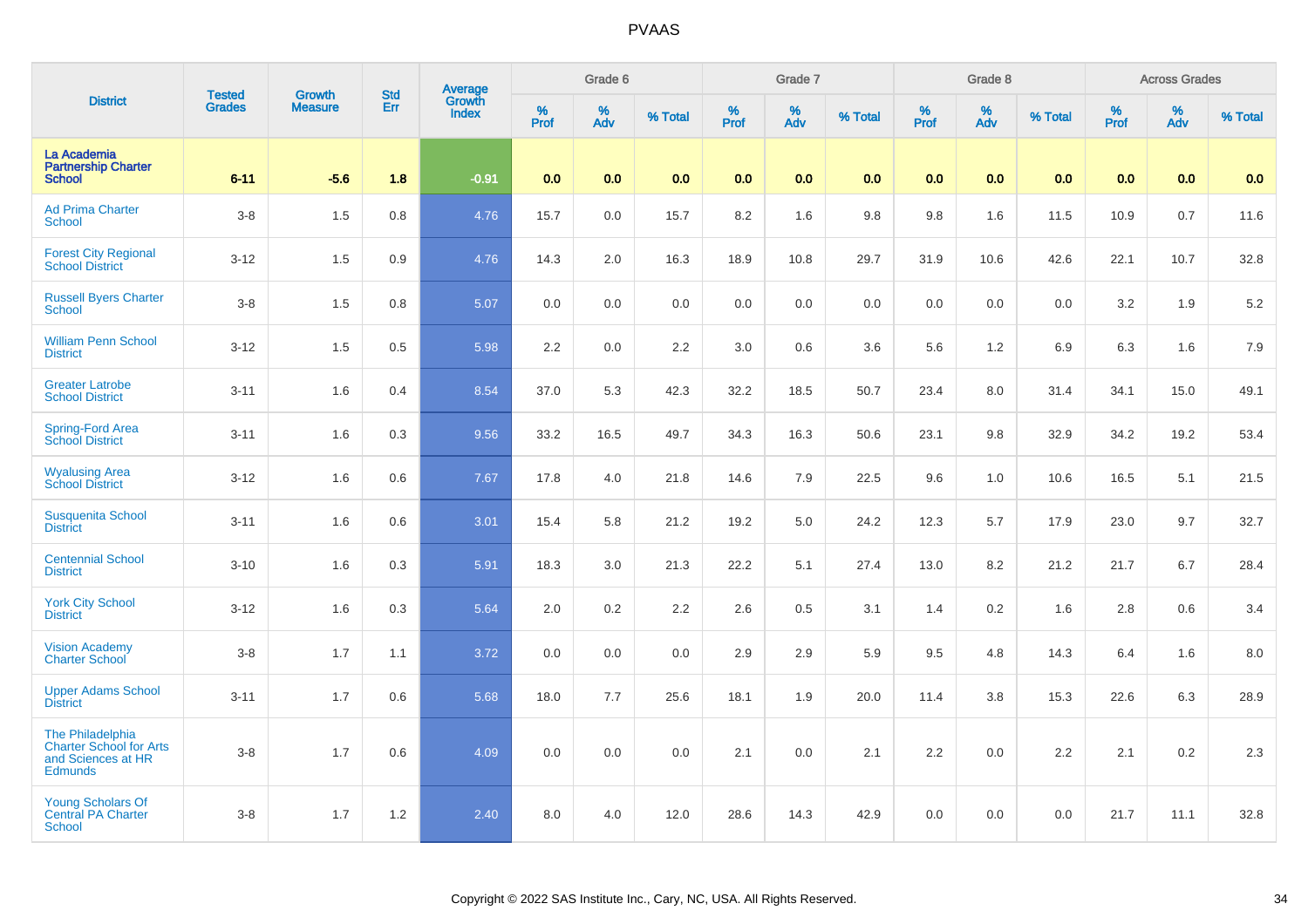| <b>District</b>                                                                            | <b>Tested</b> | <b>Growth</b>  | <b>Std</b> |                                          |              | Grade 6     |         |           | Grade 7  |         |              | Grade 8  |         |                     | <b>Across Grades</b> |         |
|--------------------------------------------------------------------------------------------|---------------|----------------|------------|------------------------------------------|--------------|-------------|---------|-----------|----------|---------|--------------|----------|---------|---------------------|----------------------|---------|
|                                                                                            | <b>Grades</b> | <b>Measure</b> | Err        | <b>Average</b><br>Growth<br><b>Index</b> | $\%$<br>Prof | $\%$<br>Adv | % Total | %<br>Prof | %<br>Adv | % Total | $\%$<br>Prof | %<br>Adv | % Total | $\%$<br><b>Prof</b> | %<br>Adv             | % Total |
| La Academia<br><b>Partnership Charter</b><br><b>School</b>                                 | $6 - 11$      | $-5.6$         | 1.8        | $-0.91$                                  | 0.0          | 0.0         | 0.0     | 0.0       | 0.0      | 0.0     | 0.0          | 0.0      | 0.0     | 0.0                 | 0.0                  | 0.0     |
| <b>Ad Prima Charter</b><br><b>School</b>                                                   | $3 - 8$       | 1.5            | 0.8        | 4.76                                     | 15.7         | 0.0         | 15.7    | 8.2       | 1.6      | 9.8     | 9.8          | 1.6      | 11.5    | 10.9                | 0.7                  | 11.6    |
| <b>Forest City Regional</b><br><b>School District</b>                                      | $3 - 12$      | 1.5            | 0.9        | 4.76                                     | 14.3         | 2.0         | 16.3    | 18.9      | 10.8     | 29.7    | 31.9         | 10.6     | 42.6    | 22.1                | 10.7                 | 32.8    |
| <b>Russell Byers Charter</b><br><b>School</b>                                              | $3 - 8$       | 1.5            | 0.8        | 5.07                                     | 0.0          | 0.0         | 0.0     | 0.0       | 0.0      | 0.0     | 0.0          | 0.0      | 0.0     | 3.2                 | 1.9                  | 5.2     |
| <b>William Penn School</b><br><b>District</b>                                              | $3 - 12$      | 1.5            | 0.5        | 5.98                                     | 2.2          | 0.0         | 2.2     | 3.0       | 0.6      | 3.6     | 5.6          | 1.2      | 6.9     | 6.3                 | 1.6                  | 7.9     |
| <b>Greater Latrobe</b><br><b>School District</b>                                           | $3 - 11$      | 1.6            | 0.4        | 8.54                                     | 37.0         | 5.3         | 42.3    | 32.2      | 18.5     | 50.7    | 23.4         | 8.0      | 31.4    | 34.1                | 15.0                 | 49.1    |
| Spring-Ford Area<br>School District                                                        | $3 - 11$      | 1.6            | 0.3        | 9.56                                     | 33.2         | 16.5        | 49.7    | 34.3      | 16.3     | 50.6    | 23.1         | 9.8      | 32.9    | 34.2                | 19.2                 | 53.4    |
| <b>Wyalusing Area</b><br><b>School District</b>                                            | $3 - 12$      | 1.6            | 0.6        | 7.67                                     | 17.8         | 4.0         | 21.8    | 14.6      | 7.9      | 22.5    | 9.6          | 1.0      | 10.6    | 16.5                | 5.1                  | 21.5    |
| <b>Susquenita School</b><br><b>District</b>                                                | $3 - 11$      | 1.6            | 0.6        | 3.01                                     | 15.4         | 5.8         | 21.2    | 19.2      | 5.0      | 24.2    | 12.3         | 5.7      | 17.9    | 23.0                | 9.7                  | 32.7    |
| <b>Centennial School</b><br><b>District</b>                                                | $3 - 10$      | 1.6            | 0.3        | 5.91                                     | 18.3         | 3.0         | 21.3    | 22.2      | 5.1      | 27.4    | 13.0         | 8.2      | 21.2    | 21.7                | 6.7                  | 28.4    |
| <b>York City School</b><br><b>District</b>                                                 | $3 - 12$      | 1.6            | 0.3        | 5.64                                     | 2.0          | 0.2         | 2.2     | 2.6       | 0.5      | 3.1     | 1.4          | 0.2      | 1.6     | 2.8                 | 0.6                  | 3.4     |
| <b>Vision Academy</b><br><b>Charter School</b>                                             | $3 - 8$       | 1.7            | 1.1        | 3.72                                     | 0.0          | 0.0         | 0.0     | 2.9       | 2.9      | 5.9     | 9.5          | 4.8      | 14.3    | 6.4                 | 1.6                  | 8.0     |
| <b>Upper Adams School</b><br><b>District</b>                                               | $3 - 11$      | 1.7            | 0.6        | 5.68                                     | 18.0         | 7.7         | 25.6    | 18.1      | 1.9      | 20.0    | 11.4         | 3.8      | 15.3    | 22.6                | 6.3                  | 28.9    |
| The Philadelphia<br><b>Charter School for Arts</b><br>and Sciences at HR<br><b>Edmunds</b> | $3 - 8$       | 1.7            | 0.6        | 4.09                                     | 0.0          | 0.0         | 0.0     | 2.1       | 0.0      | 2.1     | 2.2          | 0.0      | 2.2     | 2.1                 | 0.2                  | 2.3     |
| Young Scholars Of<br>Central PA Charter<br><b>School</b>                                   | $3 - 8$       | 1.7            | 1.2        | 2.40                                     | 8.0          | 4.0         | 12.0    | 28.6      | 14.3     | 42.9    | 0.0          | 0.0      | 0.0     | 21.7                | 11.1                 | 32.8    |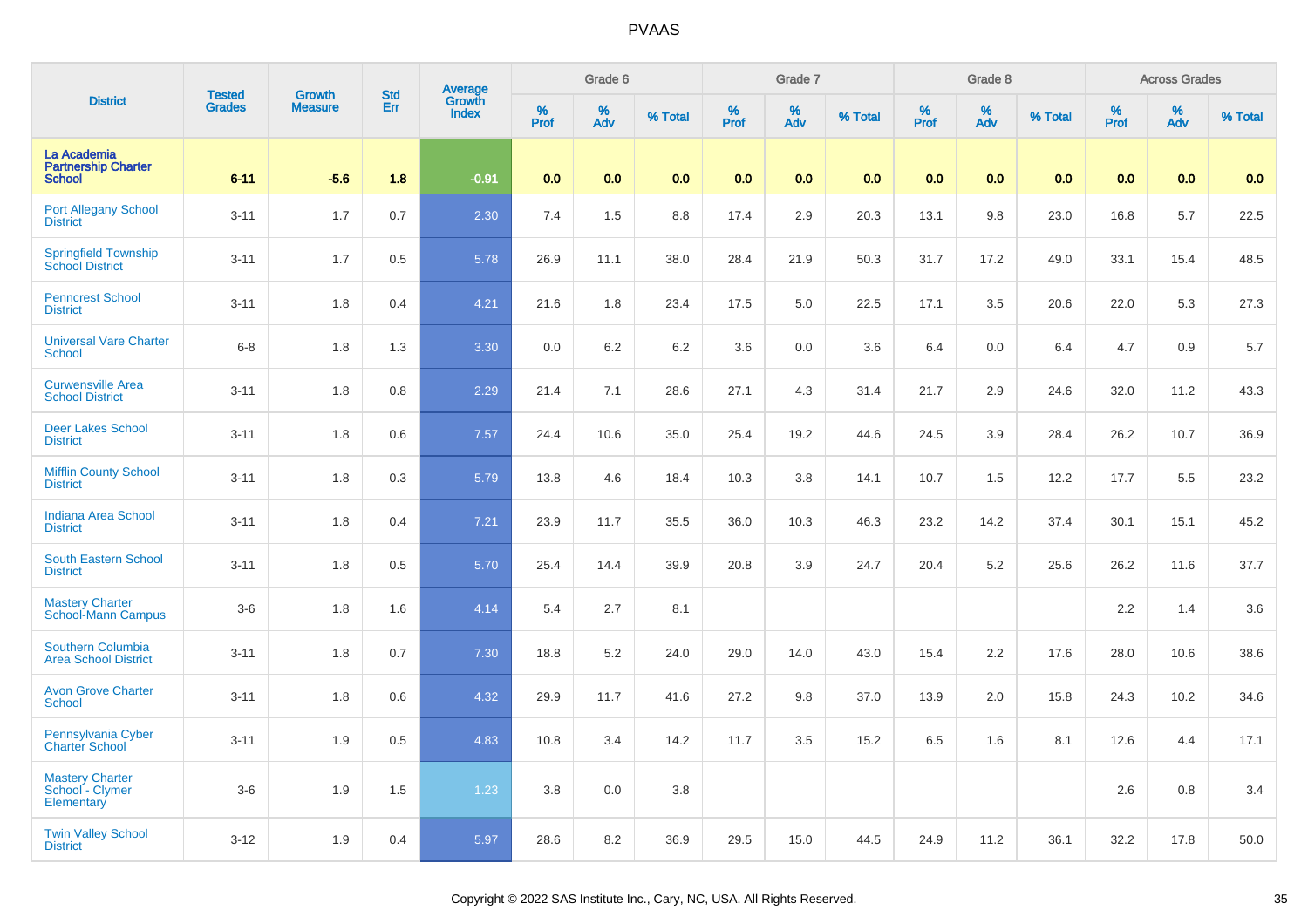| <b>District</b>                                            | <b>Tested</b> | <b>Growth</b>  | <b>Std</b> | <b>Average</b><br>Growth |          | Grade 6  |         |          | Grade 7  |         |           | Grade 8  |         |           | <b>Across Grades</b> |         |
|------------------------------------------------------------|---------------|----------------|------------|--------------------------|----------|----------|---------|----------|----------|---------|-----------|----------|---------|-----------|----------------------|---------|
|                                                            | <b>Grades</b> | <b>Measure</b> | Err        | <b>Index</b>             | $%$ Prof | %<br>Adv | % Total | $%$ Prof | %<br>Adv | % Total | %<br>Prof | %<br>Adv | % Total | %<br>Prof | %<br>Adv             | % Total |
| La Academia<br><b>Partnership Charter</b><br><b>School</b> | $6 - 11$      | $-5.6$         | 1.8        | $-0.91$                  | 0.0      | 0.0      | 0.0     | 0.0      | 0.0      | 0.0     | 0.0       | 0.0      | 0.0     | 0.0       | 0.0                  | 0.0     |
| <b>Port Allegany School</b><br><b>District</b>             | $3 - 11$      | 1.7            | 0.7        | 2.30                     | 7.4      | 1.5      | 8.8     | 17.4     | 2.9      | 20.3    | 13.1      | 9.8      | 23.0    | 16.8      | 5.7                  | 22.5    |
| <b>Springfield Township</b><br><b>School District</b>      | $3 - 11$      | 1.7            | 0.5        | 5.78                     | 26.9     | 11.1     | 38.0    | 28.4     | 21.9     | 50.3    | 31.7      | 17.2     | 49.0    | 33.1      | 15.4                 | 48.5    |
| <b>Penncrest School</b><br><b>District</b>                 | $3 - 11$      | 1.8            | 0.4        | 4.21                     | 21.6     | 1.8      | 23.4    | 17.5     | 5.0      | 22.5    | 17.1      | 3.5      | 20.6    | 22.0      | 5.3                  | 27.3    |
| <b>Universal Vare Charter</b><br>School                    | $6 - 8$       | 1.8            | 1.3        | 3.30                     | 0.0      | 6.2      | 6.2     | 3.6      | 0.0      | 3.6     | 6.4       | 0.0      | 6.4     | 4.7       | 0.9                  | 5.7     |
| <b>Curwensville Area</b><br><b>School District</b>         | $3 - 11$      | 1.8            | 0.8        | 2.29                     | 21.4     | 7.1      | 28.6    | 27.1     | 4.3      | 31.4    | 21.7      | 2.9      | 24.6    | 32.0      | 11.2                 | 43.3    |
| <b>Deer Lakes School</b><br><b>District</b>                | $3 - 11$      | 1.8            | 0.6        | 7.57                     | 24.4     | 10.6     | 35.0    | 25.4     | 19.2     | 44.6    | 24.5      | 3.9      | 28.4    | 26.2      | 10.7                 | 36.9    |
| <b>Mifflin County School</b><br><b>District</b>            | $3 - 11$      | 1.8            | 0.3        | 5.79                     | 13.8     | 4.6      | 18.4    | 10.3     | 3.8      | 14.1    | 10.7      | 1.5      | 12.2    | 17.7      | 5.5                  | 23.2    |
| <b>Indiana Area School</b><br><b>District</b>              | $3 - 11$      | 1.8            | 0.4        | 7.21                     | 23.9     | 11.7     | 35.5    | 36.0     | 10.3     | 46.3    | 23.2      | 14.2     | 37.4    | 30.1      | 15.1                 | 45.2    |
| <b>South Eastern School</b><br><b>District</b>             | $3 - 11$      | 1.8            | 0.5        | 5.70                     | 25.4     | 14.4     | 39.9    | 20.8     | 3.9      | 24.7    | 20.4      | 5.2      | 25.6    | 26.2      | 11.6                 | 37.7    |
| <b>Mastery Charter</b><br><b>School-Mann Campus</b>        | $3-6$         | 1.8            | 1.6        | 4.14                     | 5.4      | 2.7      | 8.1     |          |          |         |           |          |         | 2.2       | 1.4                  | 3.6     |
| Southern Columbia<br><b>Area School District</b>           | $3 - 11$      | 1.8            | 0.7        | 7.30                     | 18.8     | 5.2      | 24.0    | 29.0     | 14.0     | 43.0    | 15.4      | 2.2      | 17.6    | 28.0      | 10.6                 | 38.6    |
| <b>Avon Grove Charter</b><br>School                        | $3 - 11$      | 1.8            | 0.6        | 4.32                     | 29.9     | 11.7     | 41.6    | 27.2     | 9.8      | 37.0    | 13.9      | 2.0      | 15.8    | 24.3      | 10.2                 | 34.6    |
| Pennsylvania Cyber<br><b>Charter School</b>                | $3 - 11$      | 1.9            | 0.5        | 4.83                     | 10.8     | 3.4      | 14.2    | 11.7     | 3.5      | 15.2    | 6.5       | 1.6      | 8.1     | 12.6      | 4.4                  | 17.1    |
| Mastery Charter<br>School - Clymer<br>Elementary           | $3-6$         | 1.9            | 1.5        | 1.23                     | $3.8\,$  | 0.0      | 3.8     |          |          |         |           |          |         | 2.6       | 0.8                  | 3.4     |
| <b>Twin Valley School</b><br><b>District</b>               | $3 - 12$      | 1.9            | 0.4        | 5.97                     | 28.6     | 8.2      | 36.9    | 29.5     | 15.0     | 44.5    | 24.9      | 11.2     | 36.1    | 32.2      | 17.8                 | 50.0    |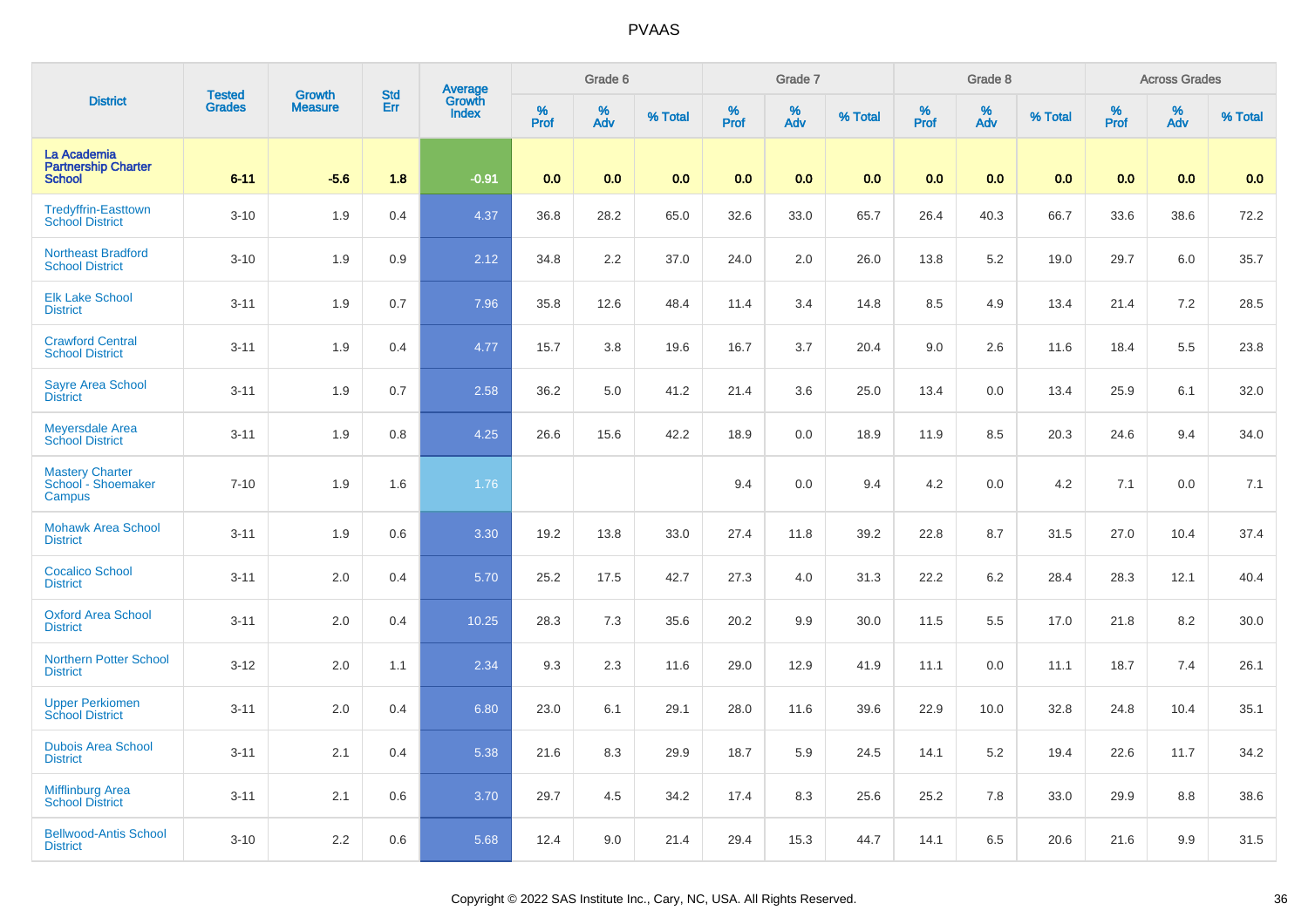| <b>District</b>                                            | <b>Tested</b> | Growth         | <b>Std</b> |                                          |           | Grade 6  |         |           | Grade 7  |         |           | Grade 8  |         |           | <b>Across Grades</b> |         |
|------------------------------------------------------------|---------------|----------------|------------|------------------------------------------|-----------|----------|---------|-----------|----------|---------|-----------|----------|---------|-----------|----------------------|---------|
|                                                            | <b>Grades</b> | <b>Measure</b> | Err        | <b>Average</b><br>Growth<br><b>Index</b> | %<br>Prof | %<br>Adv | % Total | %<br>Prof | %<br>Adv | % Total | %<br>Prof | %<br>Adv | % Total | %<br>Prof | %<br>Adv             | % Total |
| La Academia<br><b>Partnership Charter</b><br><b>School</b> | $6 - 11$      | $-5.6$         | 1.8        | $-0.91$                                  | 0.0       | 0.0      | 0.0     | 0.0       | 0.0      | 0.0     | 0.0       | 0.0      | 0.0     | 0.0       | 0.0                  | 0.0     |
| <b>Tredyffrin-Easttown</b><br><b>School District</b>       | $3 - 10$      | 1.9            | 0.4        | 4.37                                     | 36.8      | 28.2     | 65.0    | 32.6      | 33.0     | 65.7    | 26.4      | 40.3     | 66.7    | 33.6      | 38.6                 | 72.2    |
| <b>Northeast Bradford</b><br><b>School District</b>        | $3 - 10$      | 1.9            | 0.9        | 2.12                                     | 34.8      | 2.2      | 37.0    | 24.0      | 2.0      | 26.0    | 13.8      | 5.2      | 19.0    | 29.7      | 6.0                  | 35.7    |
| <b>Elk Lake School</b><br><b>District</b>                  | $3 - 11$      | 1.9            | 0.7        | 7.96                                     | 35.8      | 12.6     | 48.4    | 11.4      | 3.4      | 14.8    | 8.5       | 4.9      | 13.4    | 21.4      | 7.2                  | 28.5    |
| <b>Crawford Central</b><br><b>School District</b>          | $3 - 11$      | 1.9            | 0.4        | 4.77                                     | 15.7      | 3.8      | 19.6    | 16.7      | 3.7      | 20.4    | 9.0       | 2.6      | 11.6    | 18.4      | 5.5                  | 23.8    |
| <b>Sayre Area School</b><br><b>District</b>                | $3 - 11$      | 1.9            | 0.7        | 2.58                                     | 36.2      | 5.0      | 41.2    | 21.4      | 3.6      | 25.0    | 13.4      | 0.0      | 13.4    | 25.9      | 6.1                  | 32.0    |
| <b>Meyersdale Area</b><br><b>School District</b>           | $3 - 11$      | 1.9            | 0.8        | 4.25                                     | 26.6      | 15.6     | 42.2    | 18.9      | 0.0      | 18.9    | 11.9      | 8.5      | 20.3    | 24.6      | 9.4                  | 34.0    |
| Mastery Charter<br>School - Shoemaker<br>Campus            | $7 - 10$      | 1.9            | 1.6        | 1.76                                     |           |          |         | 9.4       | $0.0\,$  | 9.4     | 4.2       | 0.0      | 4.2     | 7.1       | $0.0\,$              | 7.1     |
| <b>Mohawk Area School</b><br><b>District</b>               | $3 - 11$      | 1.9            | 0.6        | 3.30                                     | 19.2      | 13.8     | 33.0    | 27.4      | 11.8     | 39.2    | 22.8      | 8.7      | 31.5    | 27.0      | 10.4                 | 37.4    |
| <b>Cocalico School</b><br><b>District</b>                  | $3 - 11$      | 2.0            | 0.4        | 5.70                                     | 25.2      | 17.5     | 42.7    | 27.3      | 4.0      | 31.3    | 22.2      | 6.2      | 28.4    | 28.3      | 12.1                 | 40.4    |
| <b>Oxford Area School</b><br><b>District</b>               | $3 - 11$      | 2.0            | 0.4        | 10.25                                    | 28.3      | 7.3      | 35.6    | 20.2      | 9.9      | 30.0    | 11.5      | 5.5      | 17.0    | 21.8      | 8.2                  | 30.0    |
| <b>Northern Potter School</b><br><b>District</b>           | $3 - 12$      | 2.0            | 1.1        | 2.34                                     | 9.3       | 2.3      | 11.6    | 29.0      | 12.9     | 41.9    | 11.1      | 0.0      | 11.1    | 18.7      | 7.4                  | 26.1    |
| Upper Perkiomen<br>School District                         | $3 - 11$      | 2.0            | 0.4        | 6.80                                     | 23.0      | 6.1      | 29.1    | 28.0      | 11.6     | 39.6    | 22.9      | 10.0     | 32.8    | 24.8      | 10.4                 | 35.1    |
| <b>Dubois Area School</b><br><b>District</b>               | $3 - 11$      | 2.1            | 0.4        | 5.38                                     | 21.6      | 8.3      | 29.9    | 18.7      | 5.9      | 24.5    | 14.1      | 5.2      | 19.4    | 22.6      | 11.7                 | 34.2    |
| <b>Mifflinburg Area</b><br><b>School District</b>          | $3 - 11$      | 2.1            | 0.6        | 3.70                                     | 29.7      | 4.5      | 34.2    | 17.4      | 8.3      | 25.6    | 25.2      | 7.8      | 33.0    | 29.9      | 8.8                  | 38.6    |
| <b>Bellwood-Antis School</b><br><b>District</b>            | $3 - 10$      | 2.2            | 0.6        | 5.68                                     | 12.4      | 9.0      | 21.4    | 29.4      | 15.3     | 44.7    | 14.1      | 6.5      | 20.6    | 21.6      | 9.9                  | 31.5    |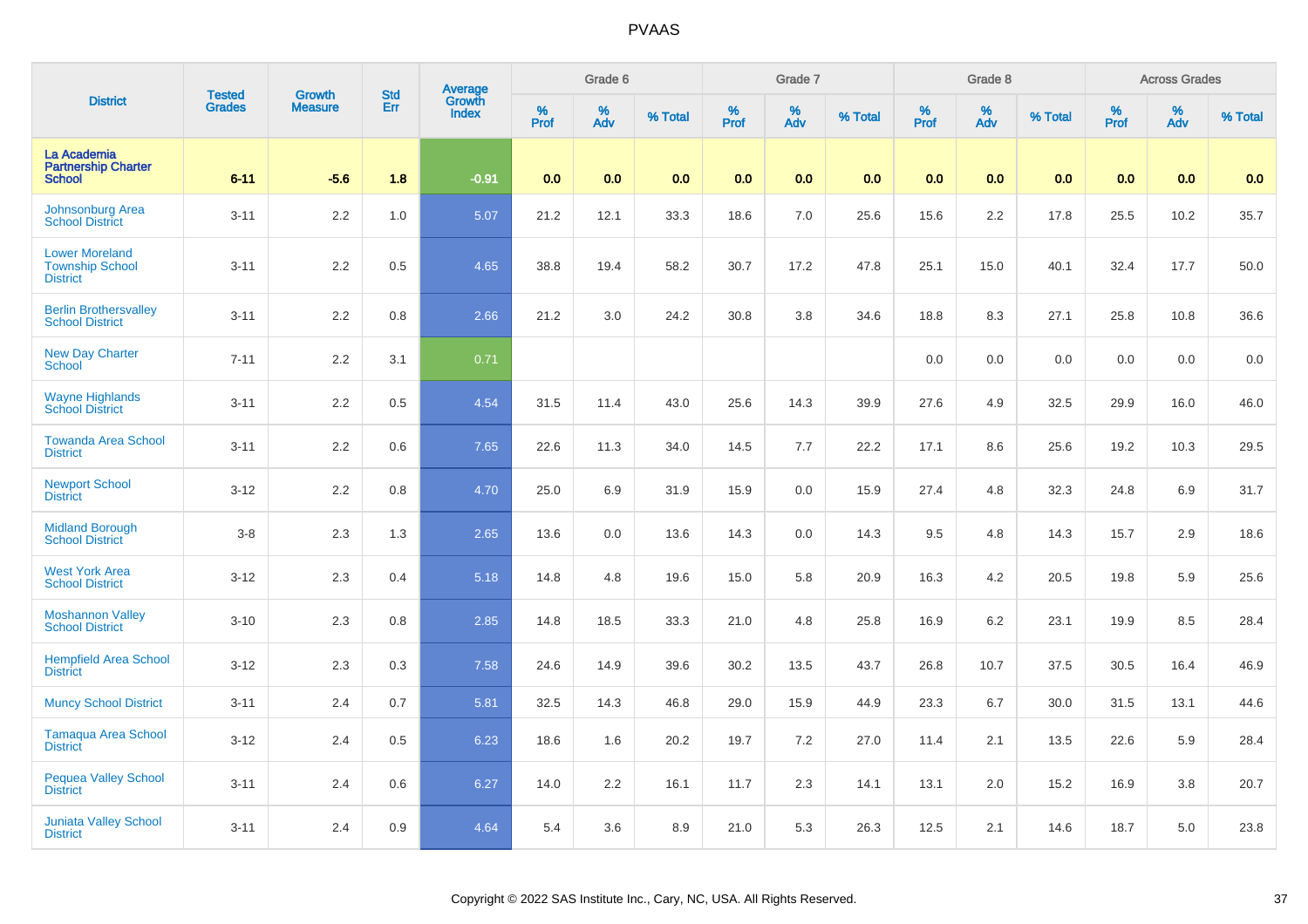|                                                                    |                                |                                 | <b>Std</b> |                                   |              | Grade 6     |         |                     | Grade 7  |         |                  | Grade 8  |         |                  | <b>Across Grades</b> |         |
|--------------------------------------------------------------------|--------------------------------|---------------------------------|------------|-----------------------------------|--------------|-------------|---------|---------------------|----------|---------|------------------|----------|---------|------------------|----------------------|---------|
| <b>District</b>                                                    | <b>Tested</b><br><b>Grades</b> | <b>Growth</b><br><b>Measure</b> | Err        | Average<br>Growth<br><b>Index</b> | $\%$<br>Prof | $\%$<br>Adv | % Total | $\%$<br><b>Prof</b> | %<br>Adv | % Total | %<br><b>Prof</b> | %<br>Adv | % Total | %<br><b>Prof</b> | $\%$<br>Adv          | % Total |
| La Academia<br><b>Partnership Charter</b><br><b>School</b>         | $6 - 11$                       | $-5.6$                          | 1.8        | $-0.91$                           | 0.0          | 0.0         | 0.0     | 0.0                 | 0.0      | 0.0     | 0.0              | 0.0      | 0.0     | 0.0              | 0.0                  | 0.0     |
| <b>Johnsonburg Area</b><br><b>School District</b>                  | $3 - 11$                       | $2.2\,$                         | 1.0        | 5.07                              | 21.2         | 12.1        | 33.3    | 18.6                | 7.0      | 25.6    | 15.6             | 2.2      | 17.8    | 25.5             | 10.2                 | 35.7    |
| <b>Lower Moreland</b><br><b>Township School</b><br><b>District</b> | $3 - 11$                       | 2.2                             | 0.5        | 4.65                              | 38.8         | 19.4        | 58.2    | 30.7                | 17.2     | 47.8    | 25.1             | 15.0     | 40.1    | 32.4             | 17.7                 | 50.0    |
| <b>Berlin Brothersvalley</b><br><b>School District</b>             | $3 - 11$                       | 2.2                             | 0.8        | 2.66                              | 21.2         | 3.0         | 24.2    | 30.8                | 3.8      | 34.6    | 18.8             | 8.3      | 27.1    | 25.8             | 10.8                 | 36.6    |
| New Day Charter<br>School                                          | $7 - 11$                       | 2.2                             | 3.1        | 0.71                              |              |             |         |                     |          |         | 0.0              | 0.0      | 0.0     | 0.0              | 0.0                  | 0.0     |
| <b>Wayne Highlands</b><br><b>School District</b>                   | $3 - 11$                       | 2.2                             | 0.5        | 4.54                              | 31.5         | 11.4        | 43.0    | 25.6                | 14.3     | 39.9    | 27.6             | 4.9      | 32.5    | 29.9             | 16.0                 | 46.0    |
| <b>Towanda Area School</b><br><b>District</b>                      | $3 - 11$                       | $2.2\,$                         | 0.6        | 7.65                              | 22.6         | 11.3        | 34.0    | 14.5                | 7.7      | 22.2    | 17.1             | 8.6      | 25.6    | 19.2             | 10.3                 | 29.5    |
| <b>Newport School</b><br><b>District</b>                           | $3 - 12$                       | 2.2                             | 0.8        | 4.70                              | 25.0         | 6.9         | 31.9    | 15.9                | 0.0      | 15.9    | 27.4             | 4.8      | 32.3    | 24.8             | 6.9                  | 31.7    |
| <b>Midland Borough</b><br><b>School District</b>                   | $3 - 8$                        | 2.3                             | 1.3        | 2.65                              | 13.6         | 0.0         | 13.6    | 14.3                | 0.0      | 14.3    | 9.5              | 4.8      | 14.3    | 15.7             | 2.9                  | 18.6    |
| <b>West York Area</b><br><b>School District</b>                    | $3 - 12$                       | 2.3                             | 0.4        | 5.18                              | 14.8         | 4.8         | 19.6    | 15.0                | 5.8      | 20.9    | 16.3             | 4.2      | 20.5    | 19.8             | 5.9                  | 25.6    |
| <b>Moshannon Valley</b><br><b>School District</b>                  | $3 - 10$                       | 2.3                             | 0.8        | 2.85                              | 14.8         | 18.5        | 33.3    | 21.0                | 4.8      | 25.8    | 16.9             | 6.2      | 23.1    | 19.9             | 8.5                  | 28.4    |
| <b>Hempfield Area School</b><br><b>District</b>                    | $3 - 12$                       | 2.3                             | 0.3        | 7.58                              | 24.6         | 14.9        | 39.6    | 30.2                | 13.5     | 43.7    | 26.8             | 10.7     | 37.5    | 30.5             | 16.4                 | 46.9    |
| <b>Muncy School District</b>                                       | $3 - 11$                       | 2.4                             | 0.7        | 5.81                              | 32.5         | 14.3        | 46.8    | 29.0                | 15.9     | 44.9    | 23.3             | 6.7      | 30.0    | 31.5             | 13.1                 | 44.6    |
| <b>Tamaqua Area School</b><br><b>District</b>                      | $3 - 12$                       | 2.4                             | 0.5        | 6.23                              | 18.6         | 1.6         | 20.2    | 19.7                | 7.2      | 27.0    | 11.4             | 2.1      | 13.5    | 22.6             | 5.9                  | 28.4    |
| <b>Pequea Valley School</b><br><b>District</b>                     | $3 - 11$                       | 2.4                             | 0.6        | 6.27                              | 14.0         | 2.2         | 16.1    | 11.7                | 2.3      | 14.1    | 13.1             | 2.0      | 15.2    | 16.9             | 3.8                  | 20.7    |
| <b>Juniata Valley School</b><br><b>District</b>                    | $3 - 11$                       | 2.4                             | 0.9        | 4.64                              | 5.4          | 3.6         | 8.9     | 21.0                | 5.3      | 26.3    | 12.5             | 2.1      | 14.6    | 18.7             | 5.0                  | 23.8    |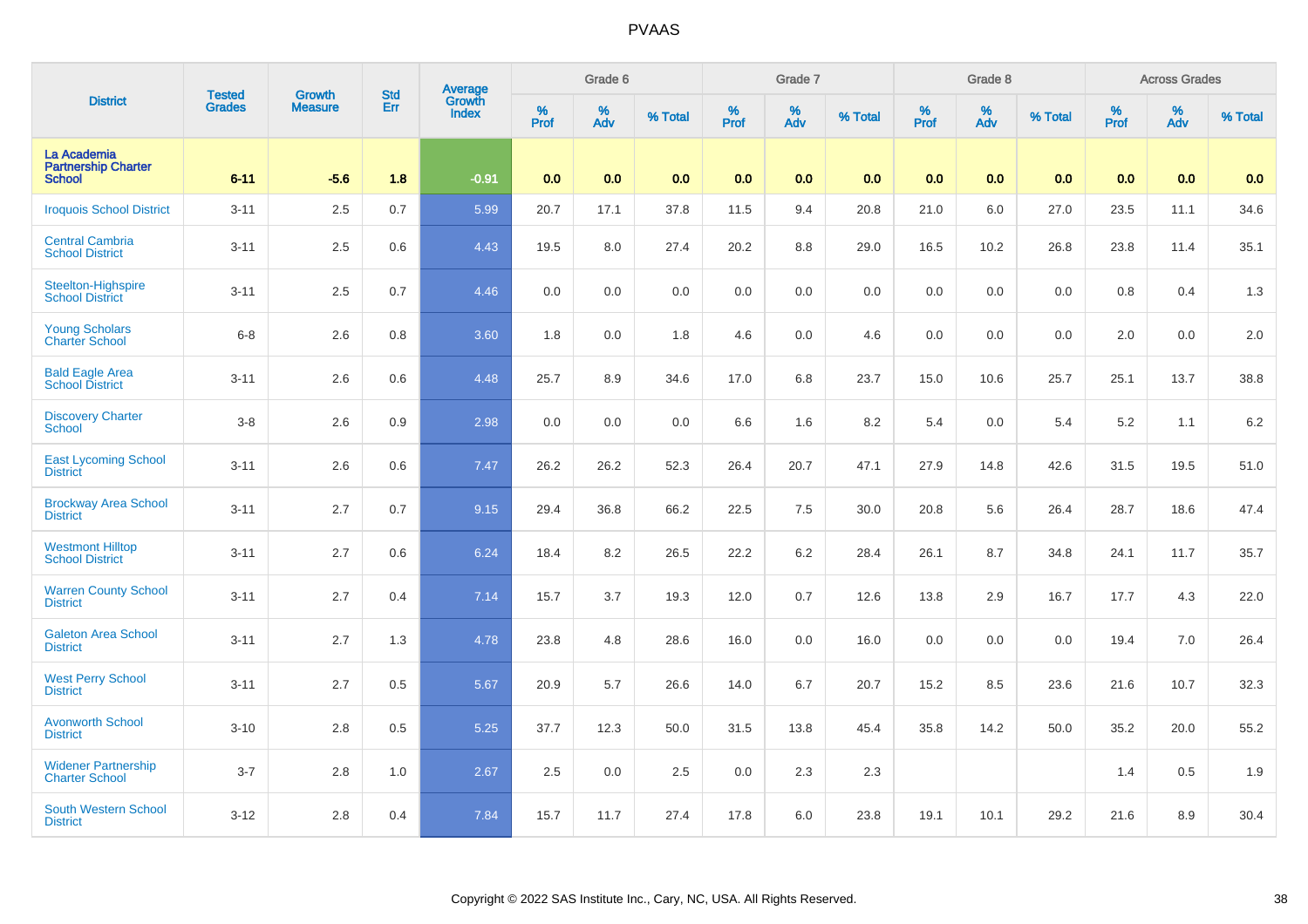| <b>District</b>                                            | <b>Tested</b> | <b>Growth</b>  | <b>Std</b> | <b>Average</b><br>Growth |              | Grade 6  |         |                     | Grade 7  |         |                     | Grade 8  |         |                     | <b>Across Grades</b> |         |
|------------------------------------------------------------|---------------|----------------|------------|--------------------------|--------------|----------|---------|---------------------|----------|---------|---------------------|----------|---------|---------------------|----------------------|---------|
|                                                            | <b>Grades</b> | <b>Measure</b> | Err        | <b>Index</b>             | $\%$<br>Prof | %<br>Adv | % Total | $\%$<br><b>Prof</b> | %<br>Adv | % Total | $\%$<br><b>Prof</b> | %<br>Adv | % Total | $\%$<br><b>Prof</b> | $\%$<br>Adv          | % Total |
| La Academia<br><b>Partnership Charter</b><br><b>School</b> | $6 - 11$      | $-5.6$         | 1.8        | $-0.91$                  | 0.0          | 0.0      | 0.0     | 0.0                 | 0.0      | 0.0     | 0.0                 | 0.0      | 0.0     | 0.0                 | 0.0                  | 0.0     |
| <b>Iroquois School District</b>                            | $3 - 11$      | 2.5            | 0.7        | 5.99                     | 20.7         | 17.1     | 37.8    | 11.5                | 9.4      | 20.8    | 21.0                | 6.0      | 27.0    | 23.5                | 11.1                 | 34.6    |
| <b>Central Cambria</b><br><b>School District</b>           | $3 - 11$      | 2.5            | 0.6        | 4.43                     | 19.5         | 8.0      | 27.4    | 20.2                | $8.8\,$  | 29.0    | 16.5                | 10.2     | 26.8    | 23.8                | 11.4                 | 35.1    |
| Steelton-Highspire<br><b>School District</b>               | $3 - 11$      | 2.5            | 0.7        | 4.46                     | 0.0          | 0.0      | 0.0     | 0.0                 | 0.0      | 0.0     | 0.0                 | 0.0      | 0.0     | 0.8                 | 0.4                  | 1.3     |
| <b>Young Scholars</b><br><b>Charter School</b>             | $6 - 8$       | 2.6            | 0.8        | 3.60                     | 1.8          | 0.0      | 1.8     | 4.6                 | $0.0\,$  | 4.6     | 0.0                 | 0.0      | 0.0     | 2.0                 | 0.0                  | 2.0     |
| <b>Bald Eagle Area</b><br><b>School District</b>           | $3 - 11$      | 2.6            | 0.6        | 4.48                     | 25.7         | 8.9      | 34.6    | 17.0                | 6.8      | 23.7    | 15.0                | 10.6     | 25.7    | 25.1                | 13.7                 | 38.8    |
| <b>Discovery Charter</b><br><b>School</b>                  | $3 - 8$       | 2.6            | 0.9        | 2.98                     | 0.0          | 0.0      | 0.0     | 6.6                 | 1.6      | 8.2     | 5.4                 | 0.0      | 5.4     | 5.2                 | 1.1                  | 6.2     |
| <b>East Lycoming School</b><br><b>District</b>             | $3 - 11$      | 2.6            | 0.6        | 7.47                     | 26.2         | 26.2     | 52.3    | 26.4                | 20.7     | 47.1    | 27.9                | 14.8     | 42.6    | 31.5                | 19.5                 | 51.0    |
| <b>Brockway Area School</b><br><b>District</b>             | $3 - 11$      | 2.7            | 0.7        | 9.15                     | 29.4         | 36.8     | 66.2    | 22.5                | 7.5      | 30.0    | 20.8                | 5.6      | 26.4    | 28.7                | 18.6                 | 47.4    |
| <b>Westmont Hilltop</b><br><b>School District</b>          | $3 - 11$      | 2.7            | 0.6        | 6.24                     | 18.4         | 8.2      | 26.5    | 22.2                | 6.2      | 28.4    | 26.1                | 8.7      | 34.8    | 24.1                | 11.7                 | 35.7    |
| <b>Warren County School</b><br><b>District</b>             | $3 - 11$      | 2.7            | 0.4        | 7.14                     | 15.7         | 3.7      | 19.3    | 12.0                | 0.7      | 12.6    | 13.8                | 2.9      | 16.7    | 17.7                | 4.3                  | 22.0    |
| <b>Galeton Area School</b><br><b>District</b>              | $3 - 11$      | 2.7            | 1.3        | 4.78                     | 23.8         | 4.8      | 28.6    | 16.0                | $0.0\,$  | 16.0    | 0.0                 | 0.0      | 0.0     | 19.4                | 7.0                  | 26.4    |
| <b>West Perry School</b><br><b>District</b>                | $3 - 11$      | 2.7            | 0.5        | 5.67                     | 20.9         | 5.7      | 26.6    | 14.0                | 6.7      | 20.7    | 15.2                | 8.5      | 23.6    | 21.6                | 10.7                 | 32.3    |
| <b>Avonworth School</b><br><b>District</b>                 | $3 - 10$      | 2.8            | 0.5        | 5.25                     | 37.7         | 12.3     | 50.0    | 31.5                | 13.8     | 45.4    | 35.8                | 14.2     | 50.0    | 35.2                | 20.0                 | 55.2    |
| <b>Widener Partnership</b><br><b>Charter School</b>        | $3 - 7$       | 2.8            | 1.0        | 2.67                     | 2.5          | 0.0      | 2.5     | 0.0                 | 2.3      | 2.3     |                     |          |         | 1.4                 | 0.5                  | 1.9     |
| <b>South Western School</b><br><b>District</b>             | $3 - 12$      | 2.8            | 0.4        | 7.84                     | 15.7         | 11.7     | 27.4    | 17.8                | 6.0      | 23.8    | 19.1                | 10.1     | 29.2    | 21.6                | 8.9                  | 30.4    |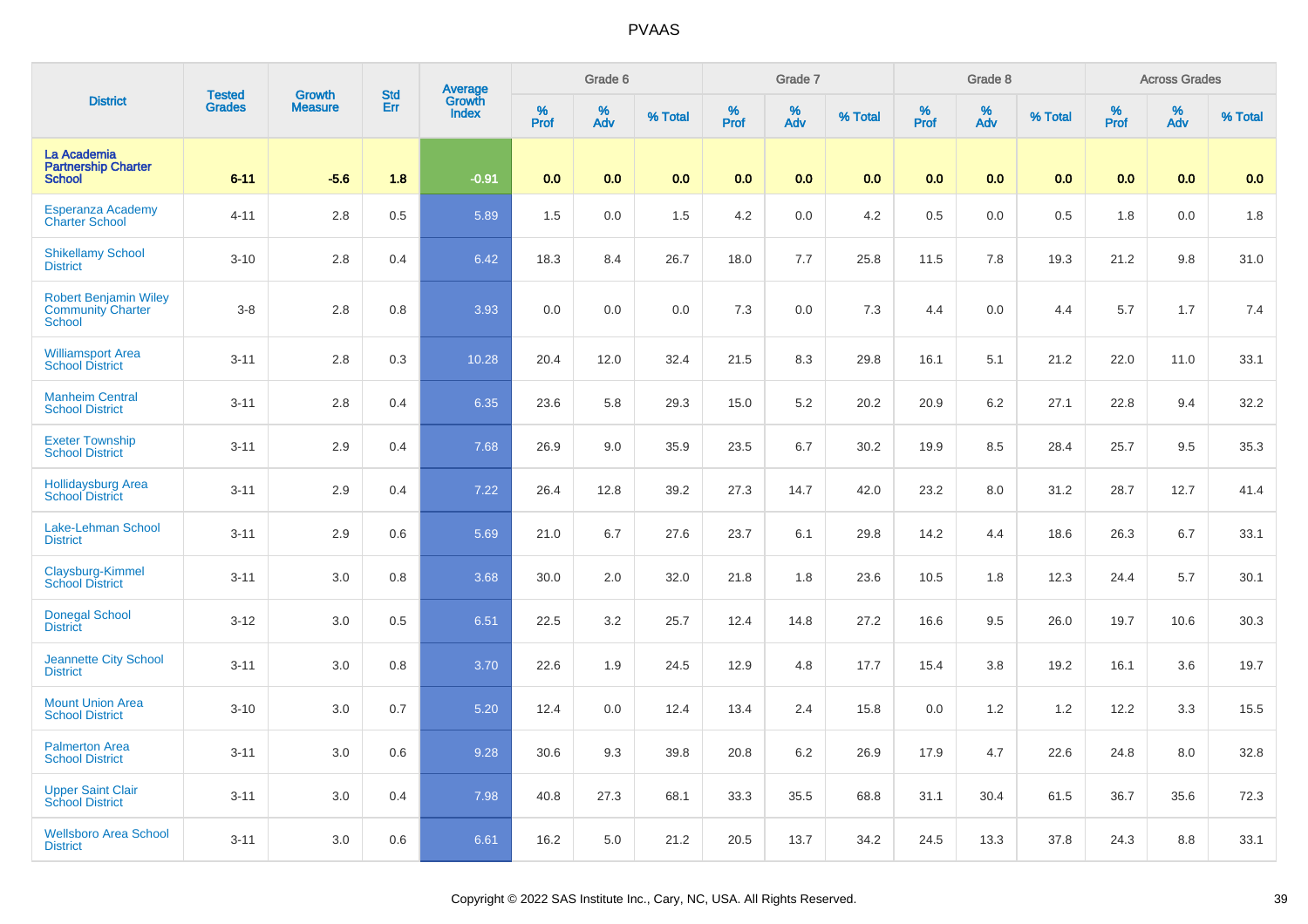| <b>District</b>                                                    | <b>Tested</b> | <b>Growth</b>  | <b>Std</b> | Average<br>Growth |          | Grade 6  |         |          | Grade 7  |         |           | Grade 8  |         |           | <b>Across Grades</b> |         |
|--------------------------------------------------------------------|---------------|----------------|------------|-------------------|----------|----------|---------|----------|----------|---------|-----------|----------|---------|-----------|----------------------|---------|
|                                                                    | <b>Grades</b> | <b>Measure</b> | Err        | <b>Index</b>      | $%$ Prof | %<br>Adv | % Total | $%$ Prof | %<br>Adv | % Total | %<br>Prof | %<br>Adv | % Total | %<br>Prof | %<br>Adv             | % Total |
| La Academia<br><b>Partnership Charter</b><br><b>School</b>         | $6 - 11$      | $-5.6$         | 1.8        | $-0.91$           | 0.0      | 0.0      | 0.0     | 0.0      | 0.0      | 0.0     | 0.0       | 0.0      | 0.0     | 0.0       | 0.0                  | 0.0     |
| <b>Esperanza Academy</b><br><b>Charter School</b>                  | $4 - 11$      | 2.8            | 0.5        | 5.89              | 1.5      | 0.0      | 1.5     | 4.2      | 0.0      | 4.2     | 0.5       | 0.0      | 0.5     | 1.8       | 0.0                  | 1.8     |
| <b>Shikellamy School</b><br><b>District</b>                        | $3 - 10$      | 2.8            | 0.4        | 6.42              | 18.3     | 8.4      | 26.7    | 18.0     | 7.7      | 25.8    | 11.5      | 7.8      | 19.3    | 21.2      | 9.8                  | 31.0    |
| <b>Robert Benjamin Wiley</b><br><b>Community Charter</b><br>School | $3 - 8$       | 2.8            | 0.8        | 3.93              | 0.0      | 0.0      | 0.0     | 7.3      | 0.0      | 7.3     | 4.4       | 0.0      | 4.4     | 5.7       | 1.7                  | 7.4     |
| <b>Williamsport Area</b><br><b>School District</b>                 | $3 - 11$      | 2.8            | 0.3        | 10.28             | 20.4     | 12.0     | 32.4    | 21.5     | 8.3      | 29.8    | 16.1      | 5.1      | 21.2    | 22.0      | 11.0                 | 33.1    |
| <b>Manheim Central</b><br><b>School District</b>                   | $3 - 11$      | 2.8            | 0.4        | 6.35              | 23.6     | 5.8      | 29.3    | 15.0     | 5.2      | 20.2    | 20.9      | 6.2      | 27.1    | 22.8      | 9.4                  | 32.2    |
| <b>Exeter Township</b><br><b>School District</b>                   | $3 - 11$      | 2.9            | 0.4        | 7.68              | 26.9     | 9.0      | 35.9    | 23.5     | 6.7      | 30.2    | 19.9      | 8.5      | 28.4    | 25.7      | 9.5                  | 35.3    |
| <b>Hollidaysburg Area</b><br><b>School District</b>                | $3 - 11$      | 2.9            | 0.4        | 7.22              | 26.4     | 12.8     | 39.2    | 27.3     | 14.7     | 42.0    | 23.2      | 8.0      | 31.2    | 28.7      | 12.7                 | 41.4    |
| Lake-Lehman School<br><b>District</b>                              | $3 - 11$      | 2.9            | 0.6        | 5.69              | 21.0     | 6.7      | 27.6    | 23.7     | 6.1      | 29.8    | 14.2      | 4.4      | 18.6    | 26.3      | 6.7                  | 33.1    |
| Claysburg-Kimmel<br><b>School District</b>                         | $3 - 11$      | 3.0            | 0.8        | 3.68              | 30.0     | 2.0      | 32.0    | 21.8     | 1.8      | 23.6    | 10.5      | 1.8      | 12.3    | 24.4      | 5.7                  | 30.1    |
| <b>Donegal School</b><br><b>District</b>                           | $3 - 12$      | 3.0            | 0.5        | 6.51              | 22.5     | 3.2      | 25.7    | 12.4     | 14.8     | 27.2    | 16.6      | 9.5      | 26.0    | 19.7      | 10.6                 | 30.3    |
| Jeannette City School<br><b>District</b>                           | $3 - 11$      | 3.0            | 0.8        | 3.70              | 22.6     | 1.9      | 24.5    | 12.9     | 4.8      | 17.7    | 15.4      | 3.8      | 19.2    | 16.1      | 3.6                  | 19.7    |
| <b>Mount Union Area</b><br><b>School District</b>                  | $3 - 10$      | 3.0            | 0.7        | 5.20              | 12.4     | 0.0      | 12.4    | 13.4     | 2.4      | 15.8    | 0.0       | 1.2      | 1.2     | 12.2      | 3.3                  | 15.5    |
| <b>Palmerton Area</b><br><b>School District</b>                    | $3 - 11$      | 3.0            | 0.6        | 9.28              | 30.6     | 9.3      | 39.8    | 20.8     | 6.2      | 26.9    | 17.9      | 4.7      | 22.6    | 24.8      | 8.0                  | 32.8    |
| <b>Upper Saint Clair</b><br><b>School District</b>                 | $3 - 11$      | 3.0            | 0.4        | 7.98              | 40.8     | 27.3     | 68.1    | 33.3     | 35.5     | 68.8    | 31.1      | 30.4     | 61.5    | 36.7      | 35.6                 | 72.3    |
| <b>Wellsboro Area School</b><br><b>District</b>                    | $3 - 11$      | 3.0            | 0.6        | 6.61              | 16.2     | 5.0      | 21.2    | 20.5     | 13.7     | 34.2    | 24.5      | 13.3     | 37.8    | 24.3      | 8.8                  | 33.1    |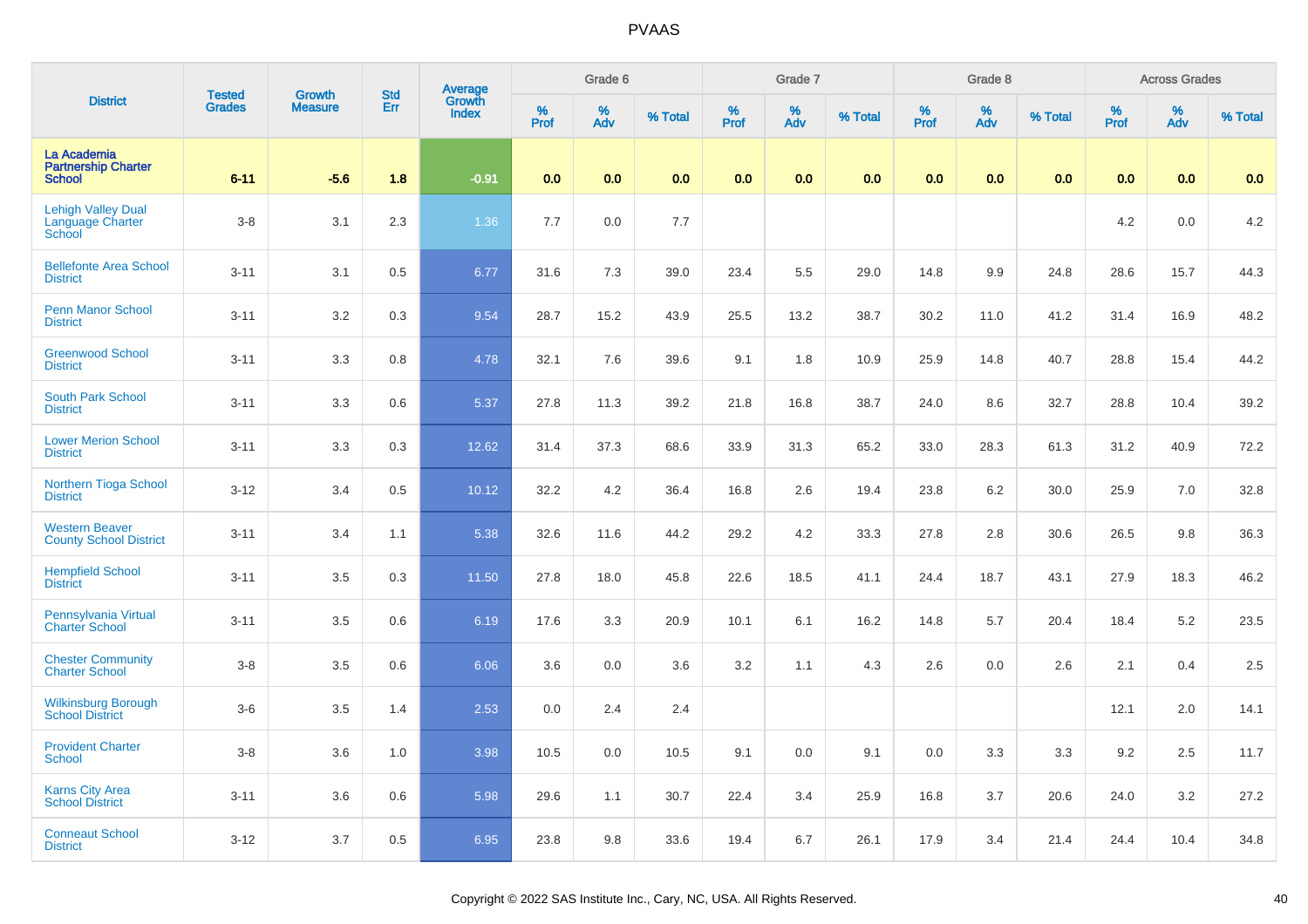|                                                                |                                |                                 |                   |                                          |              | Grade 6     |         |                     | Grade 7     |         |                     | Grade 8  |         |                     | <b>Across Grades</b> |         |
|----------------------------------------------------------------|--------------------------------|---------------------------------|-------------------|------------------------------------------|--------------|-------------|---------|---------------------|-------------|---------|---------------------|----------|---------|---------------------|----------------------|---------|
| <b>District</b>                                                | <b>Tested</b><br><b>Grades</b> | <b>Growth</b><br><b>Measure</b> | <b>Std</b><br>Err | <b>Average</b><br>Growth<br><b>Index</b> | $\%$<br>Prof | $\%$<br>Adv | % Total | $\%$<br><b>Prof</b> | $\%$<br>Adv | % Total | $\%$<br><b>Prof</b> | %<br>Adv | % Total | $\%$<br><b>Prof</b> | %<br>Adv             | % Total |
| La Academia<br><b>Partnership Charter</b><br><b>School</b>     | $6 - 11$                       | $-5.6$                          | 1.8               | $-0.91$                                  | 0.0          | 0.0         | 0.0     | 0.0                 | 0.0         | 0.0     | 0.0                 | 0.0      | 0.0     | 0.0                 | 0.0                  | 0.0     |
| <b>Lehigh Valley Dual</b><br><b>Language Charter</b><br>School | $3 - 8$                        | 3.1                             | 2.3               | 1.36                                     | 7.7          | 0.0         | 7.7     |                     |             |         |                     |          |         | 4.2                 | 0.0                  | 4.2     |
| <b>Bellefonte Area School</b><br><b>District</b>               | $3 - 11$                       | 3.1                             | 0.5               | 6.77                                     | 31.6         | 7.3         | 39.0    | 23.4                | 5.5         | 29.0    | 14.8                | 9.9      | 24.8    | 28.6                | 15.7                 | 44.3    |
| <b>Penn Manor School</b><br><b>District</b>                    | $3 - 11$                       | 3.2                             | 0.3               | 9.54                                     | 28.7         | 15.2        | 43.9    | 25.5                | 13.2        | 38.7    | 30.2                | 11.0     | 41.2    | 31.4                | 16.9                 | 48.2    |
| <b>Greenwood School</b><br><b>District</b>                     | $3 - 11$                       | 3.3                             | 0.8               | 4.78                                     | 32.1         | 7.6         | 39.6    | 9.1                 | 1.8         | 10.9    | 25.9                | 14.8     | 40.7    | 28.8                | 15.4                 | 44.2    |
| South Park School<br><b>District</b>                           | $3 - 11$                       | 3.3                             | 0.6               | 5.37                                     | 27.8         | 11.3        | 39.2    | 21.8                | 16.8        | 38.7    | 24.0                | 8.6      | 32.7    | 28.8                | 10.4                 | 39.2    |
| <b>Lower Merion School</b><br><b>District</b>                  | $3 - 11$                       | 3.3                             | 0.3               | 12.62                                    | 31.4         | 37.3        | 68.6    | 33.9                | 31.3        | 65.2    | 33.0                | 28.3     | 61.3    | 31.2                | 40.9                 | 72.2    |
| Northern Tioga School<br><b>District</b>                       | $3 - 12$                       | 3.4                             | 0.5               | 10.12                                    | 32.2         | 4.2         | 36.4    | 16.8                | 2.6         | 19.4    | 23.8                | 6.2      | 30.0    | 25.9                | 7.0                  | 32.8    |
| <b>Western Beaver</b><br><b>County School District</b>         | $3 - 11$                       | 3.4                             | 1.1               | 5.38                                     | 32.6         | 11.6        | 44.2    | 29.2                | 4.2         | 33.3    | 27.8                | 2.8      | 30.6    | 26.5                | 9.8                  | 36.3    |
| <b>Hempfield School</b><br><b>District</b>                     | $3 - 11$                       | 3.5                             | 0.3               | 11.50                                    | 27.8         | 18.0        | 45.8    | 22.6                | 18.5        | 41.1    | 24.4                | 18.7     | 43.1    | 27.9                | 18.3                 | 46.2    |
| Pennsylvania Virtual<br><b>Charter School</b>                  | $3 - 11$                       | 3.5                             | 0.6               | 6.19                                     | 17.6         | 3.3         | 20.9    | 10.1                | 6.1         | 16.2    | 14.8                | 5.7      | 20.4    | 18.4                | 5.2                  | 23.5    |
| <b>Chester Community</b><br><b>Charter School</b>              | $3 - 8$                        | 3.5                             | 0.6               | 6.06                                     | 3.6          | 0.0         | 3.6     | 3.2                 | 1.1         | 4.3     | 2.6                 | 0.0      | 2.6     | 2.1                 | 0.4                  | 2.5     |
| <b>Wilkinsburg Borough</b><br><b>School District</b>           | $3-6$                          | 3.5                             | 1.4               | 2.53                                     | 0.0          | 2.4         | 2.4     |                     |             |         |                     |          |         | 12.1                | 2.0                  | 14.1    |
| <b>Provident Charter</b><br><b>School</b>                      | $3 - 8$                        | 3.6                             | 1.0               | 3.98                                     | 10.5         | 0.0         | 10.5    | 9.1                 | 0.0         | 9.1     | 0.0                 | 3.3      | 3.3     | 9.2                 | 2.5                  | 11.7    |
| <b>Karns City Area</b><br><b>School District</b>               | $3 - 11$                       | 3.6                             | 0.6               | 5.98                                     | 29.6         | 1.1         | 30.7    | 22.4                | 3.4         | 25.9    | 16.8                | 3.7      | 20.6    | 24.0                | 3.2                  | 27.2    |
| <b>Conneaut School</b><br><b>District</b>                      | $3 - 12$                       | 3.7                             | 0.5               | 6.95                                     | 23.8         | 9.8         | 33.6    | 19.4                | 6.7         | 26.1    | 17.9                | 3.4      | 21.4    | 24.4                | 10.4                 | 34.8    |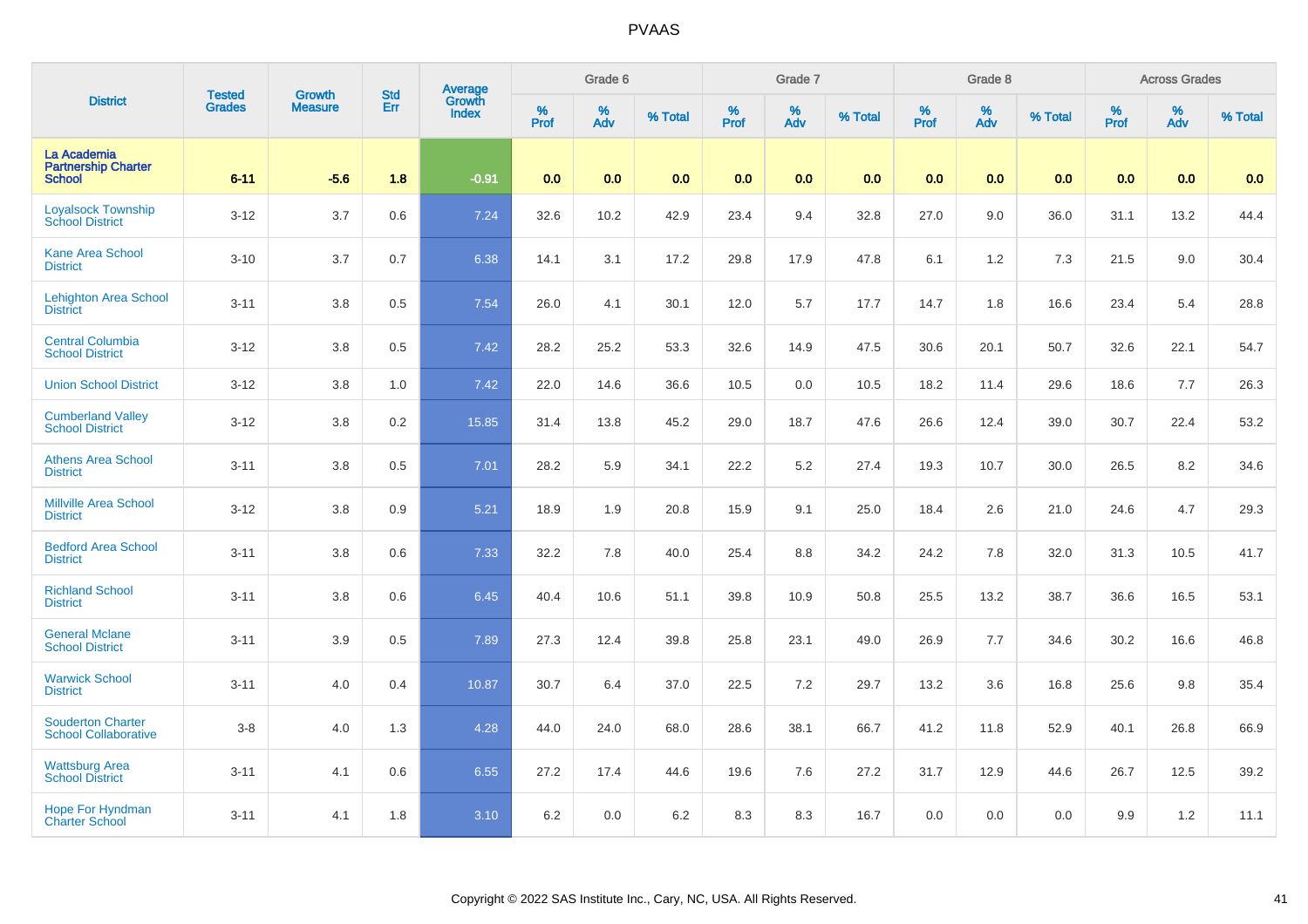| <b>District</b>                                            | <b>Tested</b> | <b>Growth</b>  | <b>Std</b> | <b>Average</b><br>Growth |                     | Grade 6  |         |                     | Grade 7  |         |                     | Grade 8                 |         |                     | <b>Across Grades</b> |         |
|------------------------------------------------------------|---------------|----------------|------------|--------------------------|---------------------|----------|---------|---------------------|----------|---------|---------------------|-------------------------|---------|---------------------|----------------------|---------|
|                                                            | <b>Grades</b> | <b>Measure</b> | Err        | <b>Index</b>             | $\%$<br><b>Prof</b> | %<br>Adv | % Total | $\%$<br><b>Prof</b> | %<br>Adv | % Total | $\%$<br><b>Prof</b> | $\frac{\%}{\text{Adv}}$ | % Total | $\%$<br><b>Prof</b> | $\%$<br><b>Adv</b>   | % Total |
| La Academia<br><b>Partnership Charter</b><br><b>School</b> | $6 - 11$      | $-5.6$         | 1.8        | $-0.91$                  | 0.0                 | 0.0      | 0.0     | 0.0                 | 0.0      | 0.0     | 0.0                 | 0.0                     | 0.0     | 0.0                 | 0.0                  | 0.0     |
| <b>Loyalsock Township</b><br><b>School District</b>        | $3 - 12$      | 3.7            | 0.6        | 7.24                     | 32.6                | 10.2     | 42.9    | 23.4                | 9.4      | 32.8    | 27.0                | 9.0                     | 36.0    | 31.1                | 13.2                 | 44.4    |
| <b>Kane Area School</b><br><b>District</b>                 | $3 - 10$      | 3.7            | 0.7        | 6.38                     | 14.1                | 3.1      | 17.2    | 29.8                | 17.9     | 47.8    | 6.1                 | 1.2                     | 7.3     | 21.5                | 9.0                  | 30.4    |
| <b>Lehighton Area School</b><br><b>District</b>            | $3 - 11$      | 3.8            | 0.5        | 7.54                     | 26.0                | 4.1      | 30.1    | 12.0                | 5.7      | 17.7    | 14.7                | 1.8                     | 16.6    | 23.4                | 5.4                  | 28.8    |
| <b>Central Columbia</b><br><b>School District</b>          | $3 - 12$      | 3.8            | 0.5        | 7.42                     | 28.2                | 25.2     | 53.3    | 32.6                | 14.9     | 47.5    | 30.6                | 20.1                    | 50.7    | 32.6                | 22.1                 | 54.7    |
| <b>Union School District</b>                               | $3 - 12$      | 3.8            | 1.0        | 7.42                     | 22.0                | 14.6     | 36.6    | 10.5                | 0.0      | 10.5    | 18.2                | 11.4                    | 29.6    | 18.6                | 7.7                  | 26.3    |
| <b>Cumberland Valley</b><br><b>School District</b>         | $3 - 12$      | 3.8            | 0.2        | 15.85                    | 31.4                | 13.8     | 45.2    | 29.0                | 18.7     | 47.6    | 26.6                | 12.4                    | 39.0    | 30.7                | 22.4                 | 53.2    |
| <b>Athens Area School</b><br><b>District</b>               | $3 - 11$      | 3.8            | 0.5        | 7.01                     | 28.2                | 5.9      | 34.1    | 22.2                | 5.2      | 27.4    | 19.3                | 10.7                    | 30.0    | 26.5                | 8.2                  | 34.6    |
| <b>Millville Area School</b><br><b>District</b>            | $3 - 12$      | 3.8            | 0.9        | 5.21                     | 18.9                | 1.9      | 20.8    | 15.9                | 9.1      | 25.0    | 18.4                | 2.6                     | 21.0    | 24.6                | 4.7                  | 29.3    |
| <b>Bedford Area School</b><br><b>District</b>              | $3 - 11$      | 3.8            | 0.6        | 7.33                     | 32.2                | 7.8      | 40.0    | 25.4                | 8.8      | 34.2    | 24.2                | 7.8                     | 32.0    | 31.3                | 10.5                 | 41.7    |
| <b>Richland School</b><br><b>District</b>                  | $3 - 11$      | $3.8\,$        | 0.6        | 6.45                     | 40.4                | 10.6     | 51.1    | 39.8                | 10.9     | 50.8    | 25.5                | 13.2                    | 38.7    | 36.6                | 16.5                 | 53.1    |
| <b>General Mclane</b><br><b>School District</b>            | $3 - 11$      | 3.9            | 0.5        | 7.89                     | 27.3                | 12.4     | 39.8    | 25.8                | 23.1     | 49.0    | 26.9                | 7.7                     | 34.6    | 30.2                | 16.6                 | 46.8    |
| <b>Warwick School</b><br><b>District</b>                   | $3 - 11$      | 4.0            | 0.4        | 10.87                    | 30.7                | 6.4      | 37.0    | 22.5                | 7.2      | 29.7    | 13.2                | 3.6                     | 16.8    | 25.6                | 9.8                  | 35.4    |
| <b>Souderton Charter</b><br><b>School Collaborative</b>    | $3-8$         | 4.0            | 1.3        | 4.28                     | 44.0                | 24.0     | 68.0    | 28.6                | 38.1     | 66.7    | 41.2                | 11.8                    | 52.9    | 40.1                | 26.8                 | 66.9    |
| <b>Wattsburg Area</b><br><b>School District</b>            | $3 - 11$      | 4.1            | 0.6        | 6.55                     | 27.2                | 17.4     | 44.6    | 19.6                | 7.6      | 27.2    | 31.7                | 12.9                    | 44.6    | 26.7                | 12.5                 | 39.2    |
| <b>Hope For Hyndman</b><br><b>Charter School</b>           | $3 - 11$      | 4.1            | 1.8        | 3.10                     | 6.2                 | 0.0      | 6.2     | 8.3                 | 8.3      | 16.7    | 0.0                 | 0.0                     | 0.0     | 9.9                 | 1.2                  | 11.1    |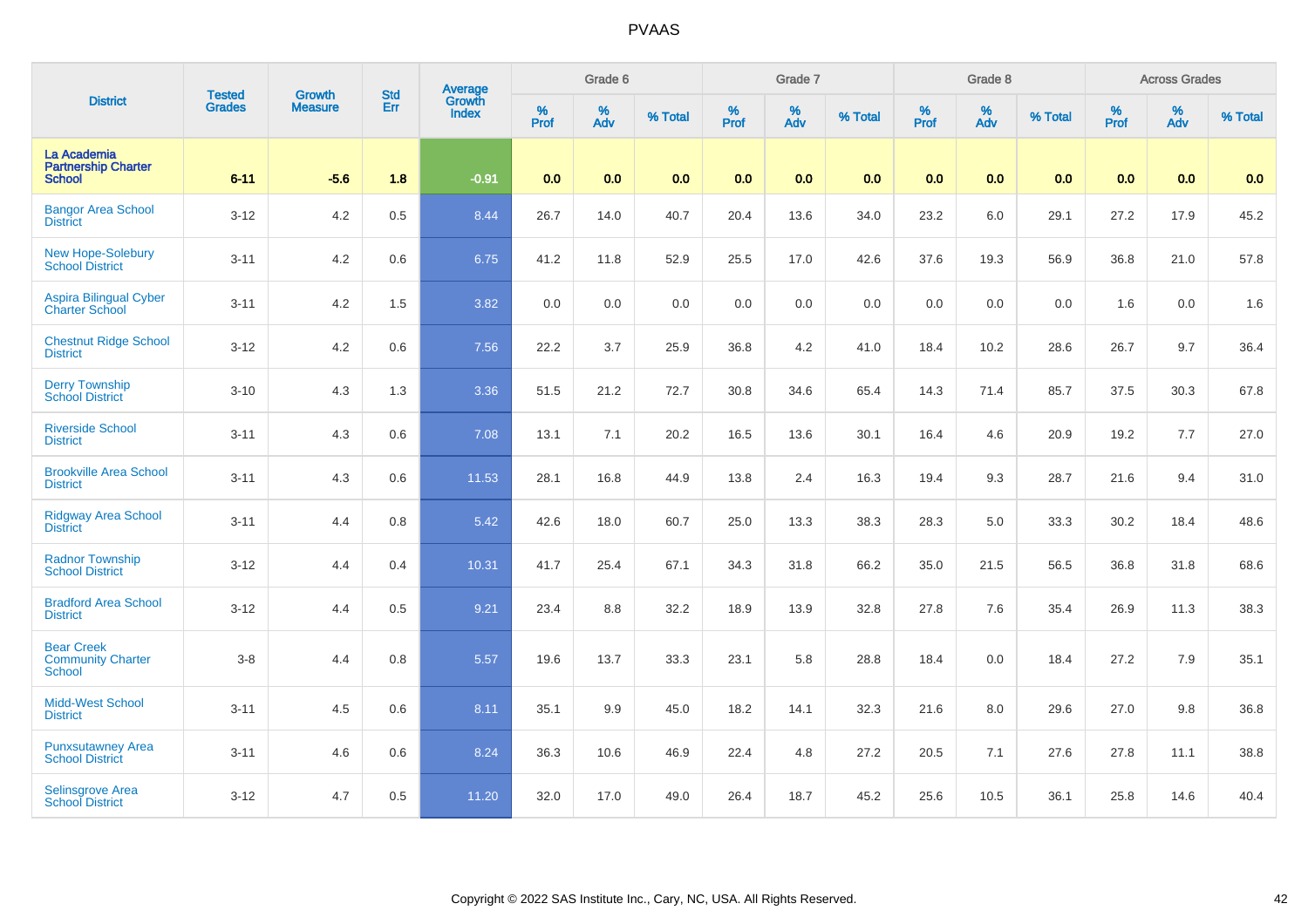| <b>District</b>                                            | <b>Tested</b> | <b>Growth</b>  | <b>Std</b> |                                   |              | Grade 6  |         |           | Grade 7  |         |                  | Grade 8         |         |           | <b>Across Grades</b> |         |
|------------------------------------------------------------|---------------|----------------|------------|-----------------------------------|--------------|----------|---------|-----------|----------|---------|------------------|-----------------|---------|-----------|----------------------|---------|
|                                                            | <b>Grades</b> | <b>Measure</b> | Err        | Average<br>Growth<br><b>Index</b> | $\%$<br>Prof | %<br>Adv | % Total | %<br>Prof | %<br>Adv | % Total | %<br><b>Prof</b> | $\frac{\%}{\%}$ | % Total | %<br>Prof | %<br>Adv             | % Total |
| La Academia<br><b>Partnership Charter</b><br><b>School</b> | $6 - 11$      | $-5.6$         | 1.8        | $-0.91$                           | 0.0          | 0.0      | 0.0     | 0.0       | 0.0      | 0.0     | 0.0              | 0.0             | 0.0     | 0.0       | 0.0                  | 0.0     |
| <b>Bangor Area School</b><br><b>District</b>               | $3 - 12$      | 4.2            | 0.5        | 8.44                              | 26.7         | 14.0     | 40.7    | 20.4      | 13.6     | 34.0    | 23.2             | 6.0             | 29.1    | 27.2      | 17.9                 | 45.2    |
| <b>New Hope-Solebury</b><br><b>School District</b>         | $3 - 11$      | 4.2            | 0.6        | 6.75                              | 41.2         | 11.8     | 52.9    | 25.5      | 17.0     | 42.6    | 37.6             | 19.3            | 56.9    | 36.8      | 21.0                 | 57.8    |
| <b>Aspira Bilingual Cyber</b><br><b>Charter School</b>     | $3 - 11$      | 4.2            | 1.5        | 3.82                              | 0.0          | 0.0      | 0.0     | 0.0       | $0.0\,$  | $0.0\,$ | $0.0\,$          | 0.0             | 0.0     | 1.6       | 0.0                  | 1.6     |
| <b>Chestnut Ridge School</b><br><b>District</b>            | $3 - 12$      | 4.2            | 0.6        | 7.56                              | 22.2         | 3.7      | 25.9    | 36.8      | 4.2      | 41.0    | 18.4             | 10.2            | 28.6    | 26.7      | 9.7                  | 36.4    |
| <b>Derry Township</b><br><b>School District</b>            | $3 - 10$      | 4.3            | 1.3        | 3.36                              | 51.5         | 21.2     | 72.7    | 30.8      | 34.6     | 65.4    | 14.3             | 71.4            | 85.7    | 37.5      | 30.3                 | 67.8    |
| <b>Riverside School</b><br><b>District</b>                 | $3 - 11$      | 4.3            | 0.6        | 7.08                              | 13.1         | 7.1      | 20.2    | 16.5      | 13.6     | 30.1    | 16.4             | 4.6             | 20.9    | 19.2      | 7.7                  | 27.0    |
| <b>Brookville Area School</b><br><b>District</b>           | $3 - 11$      | 4.3            | 0.6        | 11.53                             | 28.1         | 16.8     | 44.9    | 13.8      | 2.4      | 16.3    | 19.4             | 9.3             | 28.7    | 21.6      | 9.4                  | 31.0    |
| <b>Ridgway Area School</b><br><b>District</b>              | $3 - 11$      | 4.4            | 0.8        | 5.42                              | 42.6         | 18.0     | 60.7    | 25.0      | 13.3     | 38.3    | 28.3             | 5.0             | 33.3    | 30.2      | 18.4                 | 48.6    |
| <b>Radnor Township</b><br><b>School District</b>           | $3 - 12$      | 4.4            | 0.4        | 10.31                             | 41.7         | 25.4     | 67.1    | 34.3      | 31.8     | 66.2    | 35.0             | 21.5            | 56.5    | 36.8      | 31.8                 | 68.6    |
| <b>Bradford Area School</b><br><b>District</b>             | $3 - 12$      | 4.4            | 0.5        | 9.21                              | 23.4         | 8.8      | 32.2    | 18.9      | 13.9     | 32.8    | 27.8             | 7.6             | 35.4    | 26.9      | 11.3                 | 38.3    |
| <b>Bear Creek</b><br><b>Community Charter</b><br>School    | $3 - 8$       | 4.4            | 0.8        | 5.57                              | 19.6         | 13.7     | 33.3    | 23.1      | 5.8      | 28.8    | 18.4             | 0.0             | 18.4    | 27.2      | 7.9                  | 35.1    |
| <b>Midd-West School</b><br><b>District</b>                 | $3 - 11$      | 4.5            | 0.6        | 8.11                              | 35.1         | 9.9      | 45.0    | 18.2      | 14.1     | 32.3    | 21.6             | 8.0             | 29.6    | 27.0      | 9.8                  | 36.8    |
| <b>Punxsutawney Area</b><br><b>School District</b>         | $3 - 11$      | 4.6            | 0.6        | 8.24                              | 36.3         | 10.6     | 46.9    | 22.4      | 4.8      | 27.2    | 20.5             | 7.1             | 27.6    | 27.8      | 11.1                 | 38.8    |
| Selinsgrove Area<br><b>School District</b>                 | $3 - 12$      | 4.7            | 0.5        | 11.20                             | 32.0         | 17.0     | 49.0    | 26.4      | 18.7     | 45.2    | 25.6             | 10.5            | 36.1    | 25.8      | 14.6                 | 40.4    |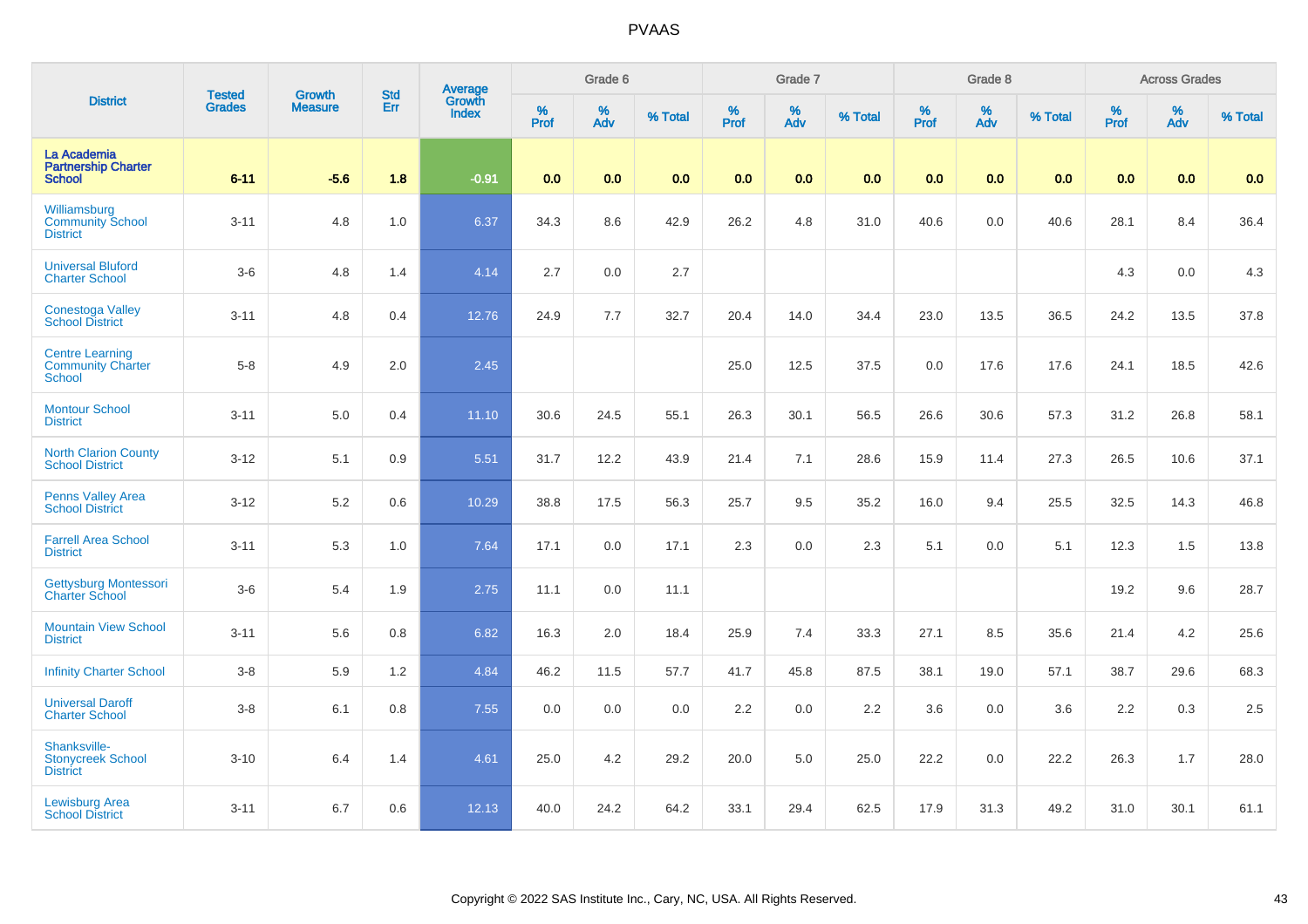| <b>District</b>                                                     | <b>Tested</b> | <b>Growth</b>  | <b>Std</b> |                                   |                     | Grade 6  |         |                  | Grade 7  |         |           | Grade 8         |         |                  | <b>Across Grades</b> |         |
|---------------------------------------------------------------------|---------------|----------------|------------|-----------------------------------|---------------------|----------|---------|------------------|----------|---------|-----------|-----------------|---------|------------------|----------------------|---------|
|                                                                     | <b>Grades</b> | <b>Measure</b> | Err        | Average<br>Growth<br><b>Index</b> | $\%$<br><b>Prof</b> | %<br>Adv | % Total | %<br><b>Prof</b> | %<br>Adv | % Total | %<br>Prof | $\frac{\%}{\%}$ | % Total | %<br><b>Prof</b> | %<br>Adv             | % Total |
| La Academia<br><b>Partnership Charter</b><br><b>School</b>          | $6 - 11$      | $-5.6$         | 1.8        | $-0.91$                           | 0.0                 | 0.0      | 0.0     | 0.0              | 0.0      | 0.0     | 0.0       | 0.0             | 0.0     | 0.0              | 0.0                  | 0.0     |
| Williamsburg<br><b>Community School</b><br><b>District</b>          | $3 - 11$      | 4.8            | 1.0        | 6.37                              | 34.3                | 8.6      | 42.9    | 26.2             | 4.8      | 31.0    | 40.6      | 0.0             | 40.6    | 28.1             | 8.4                  | 36.4    |
| <b>Universal Bluford</b><br><b>Charter School</b>                   | $3-6$         | 4.8            | 1.4        | 4.14                              | 2.7                 | 0.0      | 2.7     |                  |          |         |           |                 |         | 4.3              | 0.0                  | 4.3     |
| <b>Conestoga Valley</b><br><b>School District</b>                   | $3 - 11$      | 4.8            | 0.4        | 12.76                             | 24.9                | 7.7      | 32.7    | 20.4             | 14.0     | 34.4    | 23.0      | 13.5            | 36.5    | 24.2             | 13.5                 | 37.8    |
| <b>Centre Learning</b><br><b>Community Charter</b><br><b>School</b> | $5 - 8$       | 4.9            | 2.0        | 2.45                              |                     |          |         | 25.0             | 12.5     | 37.5    | $0.0\,$   | 17.6            | 17.6    | 24.1             | 18.5                 | 42.6    |
| <b>Montour School</b><br><b>District</b>                            | $3 - 11$      | 5.0            | 0.4        | 11.10                             | 30.6                | 24.5     | 55.1    | 26.3             | 30.1     | 56.5    | 26.6      | 30.6            | 57.3    | 31.2             | 26.8                 | 58.1    |
| <b>North Clarion County</b><br><b>School District</b>               | $3 - 12$      | 5.1            | 0.9        | 5.51                              | 31.7                | 12.2     | 43.9    | 21.4             | 7.1      | 28.6    | 15.9      | 11.4            | 27.3    | 26.5             | 10.6                 | 37.1    |
| <b>Penns Valley Area</b><br><b>School District</b>                  | $3 - 12$      | 5.2            | 0.6        | 10.29                             | 38.8                | 17.5     | 56.3    | 25.7             | 9.5      | 35.2    | 16.0      | 9.4             | 25.5    | 32.5             | 14.3                 | 46.8    |
| <b>Farrell Area School</b><br><b>District</b>                       | $3 - 11$      | 5.3            | 1.0        | 7.64                              | 17.1                | 0.0      | 17.1    | 2.3              | 0.0      | 2.3     | 5.1       | 0.0             | 5.1     | 12.3             | 1.5                  | 13.8    |
| Gettysburg Montessori<br><b>Charter School</b>                      | $3-6$         | 5.4            | 1.9        | 2.75                              | 11.1                | 0.0      | 11.1    |                  |          |         |           |                 |         | 19.2             | 9.6                  | 28.7    |
| <b>Mountain View School</b><br><b>District</b>                      | $3 - 11$      | 5.6            | 0.8        | 6.82                              | 16.3                | 2.0      | 18.4    | 25.9             | 7.4      | 33.3    | 27.1      | 8.5             | 35.6    | 21.4             | 4.2                  | 25.6    |
| <b>Infinity Charter School</b>                                      | $3-8$         | 5.9            | 1.2        | 4.84                              | 46.2                | 11.5     | 57.7    | 41.7             | 45.8     | 87.5    | 38.1      | 19.0            | 57.1    | 38.7             | 29.6                 | 68.3    |
| <b>Universal Daroff</b><br><b>Charter School</b>                    | $3-8$         | 6.1            | 0.8        | 7.55                              | 0.0                 | 0.0      | 0.0     | 2.2              | 0.0      | 2.2     | 3.6       | 0.0             | 3.6     | 2.2              | 0.3                  | 2.5     |
| Shanksville-<br><b>Stonycreek School</b><br><b>District</b>         | $3 - 10$      | 6.4            | 1.4        | 4.61                              | 25.0                | 4.2      | 29.2    | 20.0             | 5.0      | 25.0    | 22.2      | 0.0             | 22.2    | 26.3             | 1.7                  | 28.0    |
| <b>Lewisburg Area</b><br><b>School District</b>                     | $3 - 11$      | 6.7            | 0.6        | 12.13                             | 40.0                | 24.2     | 64.2    | 33.1             | 29.4     | 62.5    | 17.9      | 31.3            | 49.2    | 31.0             | 30.1                 | 61.1    |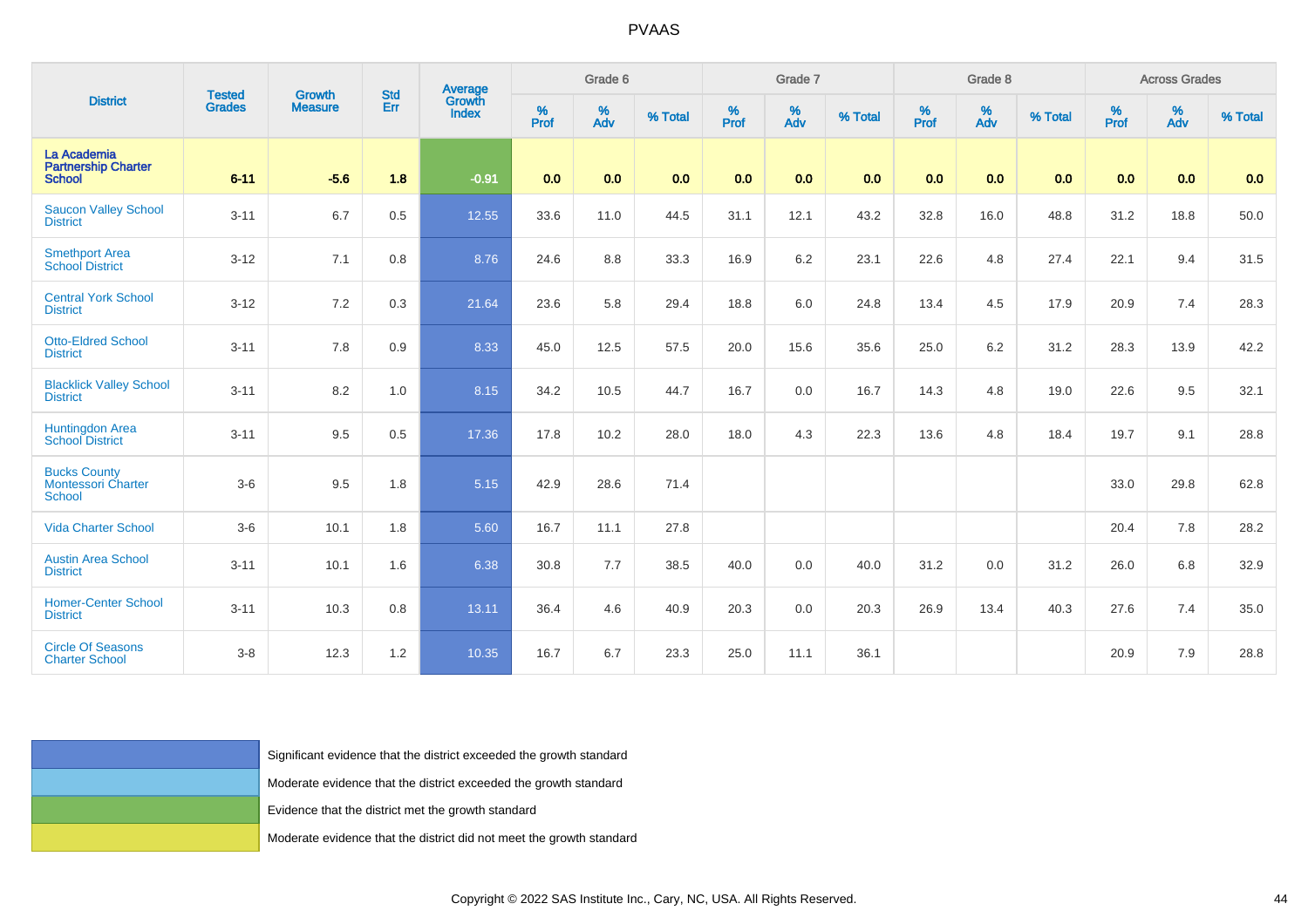| <b>District</b>                                                   | <b>Tested</b> | Growth                                                               |            | <b>Average</b><br>Growth |          | Grade 6  |         |        | Grade 7  |         |          | Grade 8         |         |           | <b>Across Grades</b> |         |
|-------------------------------------------------------------------|---------------|----------------------------------------------------------------------|------------|--------------------------|----------|----------|---------|--------|----------|---------|----------|-----------------|---------|-----------|----------------------|---------|
|                                                                   | <b>Grades</b> | <b>Measure</b>                                                       | Std<br>Err | <b>Index</b>             | $%$ Prof | %<br>Adv | % Total | % Pref | %<br>Adv | % Total | $%$ Prof | $\frac{\%}{\%}$ | % Total | %<br>Prof | %<br>Adv             | % Total |
| La Academia<br><b>Partnership Charter</b><br><b>School</b>        | $6 - 11$      | $-5.6$                                                               | 1.8        | $-0.91$                  | 0.0      | 0.0      | 0.0     | 0.0    | 0.0      | 0.0     | 0.0      | 0.0             | 0.0     | 0.0       | 0.0                  | 0.0     |
| <b>Saucon Valley School</b><br><b>District</b>                    | $3 - 11$      | 6.7                                                                  | 0.5        | 12.55                    | 33.6     | 11.0     | 44.5    | 31.1   | 12.1     | 43.2    | 32.8     | 16.0            | 48.8    | 31.2      | 18.8                 | 50.0    |
| Smethport Area<br>School District                                 | $3 - 12$      | 7.1                                                                  | 0.8        | 8.76                     | 24.6     | $8.8\,$  | 33.3    | 16.9   | $6.2\,$  | 23.1    | 22.6     | 4.8             | 27.4    | 22.1      | 9.4                  | 31.5    |
| <b>Central York School</b><br><b>District</b>                     | $3 - 12$      | 7.2                                                                  | 0.3        | 21.64                    | 23.6     | 5.8      | 29.4    | 18.8   | 6.0      | 24.8    | 13.4     | 4.5             | 17.9    | 20.9      | 7.4                  | 28.3    |
| <b>Otto-Eldred School</b><br><b>District</b>                      | $3 - 11$      | 7.8                                                                  | 0.9        | 8.33                     | 45.0     | 12.5     | 57.5    | 20.0   | 15.6     | 35.6    | 25.0     | 6.2             | 31.2    | 28.3      | 13.9                 | 42.2    |
| <b>Blacklick Valley School</b><br><b>District</b>                 | $3 - 11$      | $8.2\,$                                                              | 1.0        | 8.15                     | 34.2     | 10.5     | 44.7    | 16.7   | 0.0      | 16.7    | 14.3     | $4.8\,$         | 19.0    | 22.6      | 9.5                  | 32.1    |
| Huntingdon Area<br>School District                                | $3 - 11$      | 9.5                                                                  | 0.5        | 17.36                    | 17.8     | 10.2     | 28.0    | 18.0   | 4.3      | 22.3    | 13.6     | 4.8             | 18.4    | 19.7      | 9.1                  | 28.8    |
| <b>Bucks County</b><br><b>Montessori Charter</b><br><b>School</b> | $3-6$         | $9.5\,$                                                              | 1.8        | 5.15                     | 42.9     | 28.6     | 71.4    |        |          |         |          |                 |         | 33.0      | 29.8                 | 62.8    |
| <b>Vida Charter School</b>                                        | $3-6$         | 10.1                                                                 | 1.8        | 5.60                     | 16.7     | 11.1     | 27.8    |        |          |         |          |                 |         | 20.4      | 7.8                  | 28.2    |
| <b>Austin Area School</b><br><b>District</b>                      | $3 - 11$      | 10.1                                                                 | 1.6        | 6.38                     | 30.8     | 7.7      | 38.5    | 40.0   | 0.0      | 40.0    | 31.2     | 0.0             | 31.2    | 26.0      | 6.8                  | 32.9    |
| <b>Homer-Center School</b><br><b>District</b>                     | $3 - 11$      | 10.3                                                                 | 0.8        | 13.11                    | 36.4     | 4.6      | 40.9    | 20.3   | 0.0      | 20.3    | 26.9     | 13.4            | 40.3    | 27.6      | 7.4                  | 35.0    |
| <b>Circle Of Seasons</b><br><b>Charter School</b>                 | $3-8$         | 12.3                                                                 | 1.2        | 10.35                    | 16.7     | 6.7      | 23.3    | 25.0   | 11.1     | 36.1    |          |                 |         | 20.9      | 7.9                  | 28.8    |
|                                                                   |               |                                                                      |            |                          |          |          |         |        |          |         |          |                 |         |           |                      |         |
|                                                                   |               | Significant evidence that the district exceeded the growth standard  |            |                          |          |          |         |        |          |         |          |                 |         |           |                      |         |
|                                                                   |               | Moderate evidence that the district exceeded the growth standard     |            |                          |          |          |         |        |          |         |          |                 |         |           |                      |         |
|                                                                   |               | Evidence that the district met the growth standard                   |            |                          |          |          |         |        |          |         |          |                 |         |           |                      |         |
|                                                                   |               | Moderate evidence that the district did not meet the growth standard |            |                          |          |          |         |        |          |         |          |                 |         |           |                      |         |